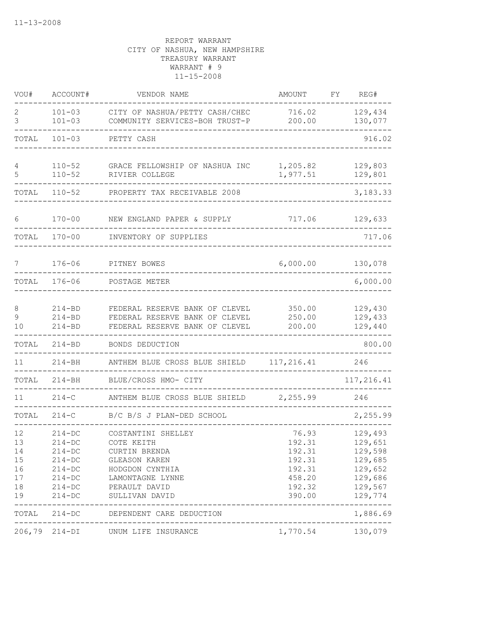| VOU#                                         | ACCOUNT#                                                                                                 | VENDOR NAME                                                                                                                                  | AMOUNT                                                                      | FY | REG#                                                                                 |
|----------------------------------------------|----------------------------------------------------------------------------------------------------------|----------------------------------------------------------------------------------------------------------------------------------------------|-----------------------------------------------------------------------------|----|--------------------------------------------------------------------------------------|
| 2<br>3                                       | $101 - 03$<br>$101 - 03$                                                                                 | CITY OF NASHUA/PETTY CASH/CHEC<br>COMMUNITY SERVICES-BOH TRUST-P                                                                             | 716.02<br>200.00                                                            |    | 129,434<br>130,077                                                                   |
| TOTAL                                        | $101 - 03$                                                                                               | PETTY CASH                                                                                                                                   |                                                                             |    | 916.02                                                                               |
| 4<br>5                                       | $110 - 52$<br>$110 - 52$                                                                                 | GRACE FELLOWSHIP OF NASHUA INC<br>RIVIER COLLEGE                                                                                             | 1,205.82<br>1,977.51                                                        |    | 129,803<br>129,801                                                                   |
| TOTAL                                        | $110 - 52$                                                                                               | PROPERTY TAX RECEIVABLE 2008                                                                                                                 |                                                                             |    | 3,183.33                                                                             |
| 6                                            | $170 - 00$                                                                                               | NEW ENGLAND PAPER & SUPPLY                                                                                                                   | 717.06                                                                      |    | 129,633                                                                              |
| TOTAL                                        | $170 - 00$                                                                                               | INVENTORY OF SUPPLIES                                                                                                                        |                                                                             |    | 717.06                                                                               |
| 7                                            | $176 - 06$                                                                                               | PITNEY BOWES                                                                                                                                 | 6,000.00                                                                    |    | 130,078                                                                              |
| TOTAL                                        | $176 - 06$                                                                                               | POSTAGE METER                                                                                                                                |                                                                             |    | 6,000.00                                                                             |
| 8<br>9<br>10                                 | $214 - BD$<br>$214 - BD$<br>$214 - BD$                                                                   | FEDERAL RESERVE BANK OF CLEVEL<br>FEDERAL RESERVE BANK OF CLEVEL<br>FEDERAL RESERVE BANK OF CLEVEL                                           | 350.00<br>250.00<br>200.00                                                  |    | 129,430<br>129,433<br>129,440                                                        |
| TOTAL                                        | $214 - BD$                                                                                               | BONDS DEDUCTION                                                                                                                              |                                                                             |    | 800.00                                                                               |
| 11                                           | $214 - BH$                                                                                               | ANTHEM BLUE CROSS BLUE SHIELD                                                                                                                | 117,216.41                                                                  |    | 246                                                                                  |
| TOTAL                                        | $214 - BH$                                                                                               | BLUE/CROSS HMO- CITY                                                                                                                         |                                                                             |    | 117,216.41                                                                           |
| 11                                           | $214-C$                                                                                                  | ANTHEM BLUE CROSS BLUE SHIELD                                                                                                                | 2,255.99                                                                    |    | 246                                                                                  |
| TOTAL                                        | $214-C$                                                                                                  | B/C B/S J PLAN-DED SCHOOL                                                                                                                    |                                                                             |    | 2,255.99                                                                             |
| 12<br>13<br>14<br>15<br>16<br>17<br>18<br>19 | $214-DC$<br>$214-DC$<br>$214 - DC$<br>$214 - DC$<br>$214 - DC$<br>$214 - DC$<br>$214 - DC$<br>$214 - DC$ | COSTANTINI SHELLEY<br>COTE KEITH<br>CURTIN BRENDA<br>GLEASON KAREN<br>HODGDON CYNTHIA<br>LAMONTAGNE LYNNE<br>PERAULT DAVID<br>SULLIVAN DAVID | 76.93<br>192.31<br>192.31<br>192.31<br>192.31<br>458.20<br>192.32<br>390.00 |    | 129,493<br>129,651<br>129,598<br>129,685<br>129,652<br>129,686<br>129,567<br>129,774 |
| TOTAL                                        |                                                                                                          | 214-DC DEPENDENT CARE DEDUCTION                                                                                                              | ______________________                                                      |    | -----------<br>1,886.69                                                              |
|                                              | $206, 79$ $214-DI$                                                                                       | UNUM LIFE INSURANCE                                                                                                                          | 1,770.54 130,079                                                            |    |                                                                                      |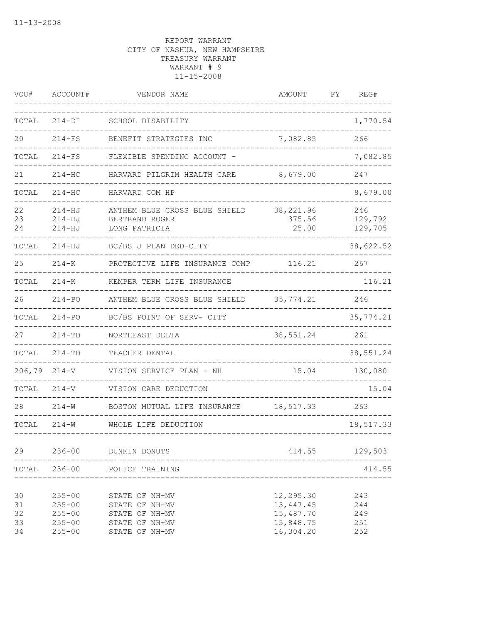| VOU#                       | ACCOUNT#                                                           | VENDOR NAME                                                                            | <b>AMOUNT</b>                                                   | REG#<br>FΥ                      |
|----------------------------|--------------------------------------------------------------------|----------------------------------------------------------------------------------------|-----------------------------------------------------------------|---------------------------------|
| TOTAL                      | $214-DI$                                                           | SCHOOL DISABILITY                                                                      |                                                                 | 1,770.54                        |
| 20                         | $214-FS$                                                           | BENEFIT STRATEGIES INC                                                                 | 7,082.85                                                        | 266                             |
| TOTAL                      | $214-FS$                                                           | FLEXIBLE SPENDING ACCOUNT -                                                            |                                                                 | 7,082.85                        |
| 21                         | $214-HC$                                                           | HARVARD PILGRIM HEALTH CARE                                                            | 8,679.00                                                        | 247                             |
| TOTAL                      | $214 - HC$                                                         | HARVARD COM HP                                                                         |                                                                 | 8,679.00                        |
| 22<br>23<br>24             | $214 - HJ$<br>$214-HJ$<br>$214 - HJ$                               | ANTHEM BLUE CROSS BLUE SHIELD<br>BERTRAND ROGER<br>LONG PATRICIA                       | 38,221.96<br>375.56<br>25.00                                    | 246<br>129,792<br>129,705       |
| TOTAL                      | $214 - HJ$                                                         | BC/BS J PLAN DED-CITY                                                                  |                                                                 | 38,622.52                       |
| 25                         | $214 - K$                                                          | PROTECTIVE LIFE INSURANCE COMP                                                         | 116.21                                                          | 267                             |
| TOTAL                      | $214 - K$                                                          | KEMPER TERM LIFE INSURANCE                                                             |                                                                 | 116.21                          |
| 26                         | $214 - PQ$                                                         | ANTHEM BLUE CROSS BLUE SHIELD                                                          | 35,774.21                                                       | 246                             |
| TOTAL                      | $214 - PQ$                                                         | BC/BS POINT OF SERV- CITY                                                              |                                                                 | 35,774.21                       |
| 27                         | $214 - TD$                                                         | NORTHEAST DELTA                                                                        | 38,551.24                                                       | 261                             |
| TOTAL                      | $214 - TD$                                                         | TEACHER DENTAL                                                                         |                                                                 | 38,551.24                       |
| 206,79                     | $214 - V$                                                          | VISION SERVICE PLAN - NH                                                               | 15.04                                                           | 130,080                         |
| TOTAL                      | $214 - V$                                                          | VISION CARE DEDUCTION                                                                  |                                                                 | 15.04                           |
| 28                         | $214 - W$                                                          | BOSTON MUTUAL LIFE INSURANCE                                                           | 18,517.33                                                       | 263                             |
| TOTAL                      | $214 - W$                                                          | WHOLE LIFE DEDUCTION                                                                   |                                                                 | 18,517.33                       |
| 29                         | $236 - 00$                                                         | DUNKIN DONUTS                                                                          | 414.55                                                          | 129,503                         |
| TOTAL                      | $236 - 00$                                                         | POLICE TRAINING                                                                        |                                                                 | 414.55                          |
| 30<br>31<br>32<br>33<br>34 | $255 - 00$<br>$255 - 00$<br>$255 - 00$<br>$255 - 00$<br>$255 - 00$ | STATE OF NH-MV<br>STATE OF NH-MV<br>STATE OF NH-MV<br>STATE OF NH-MV<br>STATE OF NH-MV | 12,295.30<br>13, 447. 45<br>15,487.70<br>15,848.75<br>16,304.20 | 243<br>244<br>249<br>251<br>252 |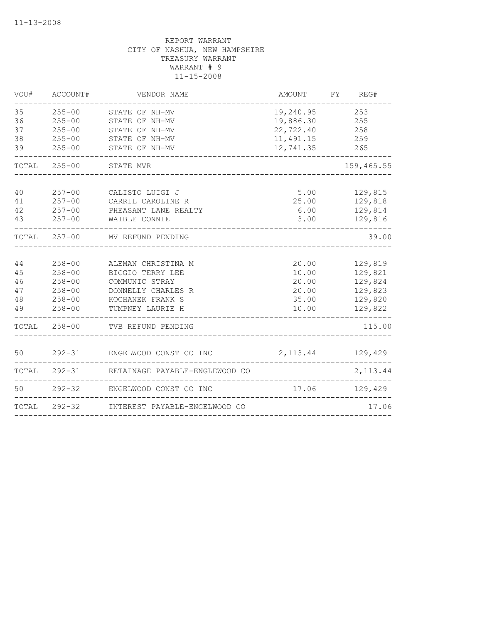| VOU#                             | ACCOUNT#                                                                         | VENDOR NAME                                                                                                            | AMOUNT                                                                | FY REG#                                                        |
|----------------------------------|----------------------------------------------------------------------------------|------------------------------------------------------------------------------------------------------------------------|-----------------------------------------------------------------------|----------------------------------------------------------------|
| 35<br>36<br>37<br>38<br>39       | $255 - 00$<br>$255 - 00$<br>$255 - 00$<br>$255 - 00$<br>$255 - 00$               | STATE OF NH-MV<br>STATE OF NH-MV<br>STATE OF NH-MV<br>STATE OF NH-MV<br>STATE OF NH-MV                                 | 19,240.95<br>19,886.30<br>22,722.40<br>11,491.15 259<br>12,741.35 265 | 253<br>255<br>258                                              |
|                                  | TOTAL 255-00 STATE MVR                                                           |                                                                                                                        |                                                                       | 159,465.55                                                     |
| 40<br>41<br>42<br>43             |                                                                                  | 257-00 CALISTO LUIGI J<br>257-00 CARRIL CAROLINE R<br>257-00 PHEASANT LANE REALTY<br>257-00 WAIBLE CONNIE              | $5.00$ $129,815$<br>25.00 129,818                                     | $6.00$ 129,814<br>3.00 129,816                                 |
|                                  |                                                                                  | TOTAL 257-00 MV REFUND PENDING                                                                                         |                                                                       | 39.00                                                          |
| 44<br>45<br>46<br>47<br>48<br>49 | $258 - 00$<br>$258 - 00$<br>$258 - 00$<br>$258 - 00$<br>$258 - 00$<br>$258 - 00$ | ALEMAN CHRISTINA M<br>BIGGIO TERRY LEE<br>COMMUNIC STRAY<br>DONNELLY CHARLES R<br>KOCHANEK FRANK S<br>TUMPNEY LAURIE H | 20.00<br>10.00<br>20.00<br>20.00<br>35.00<br>10.00                    | 129,819<br>129,821<br>129,824<br>129,823<br>129,820<br>129,822 |
|                                  |                                                                                  | TOTAL 258-00 TVB REFUND PENDING                                                                                        |                                                                       | 115.00                                                         |
| 50                               |                                                                                  | 292-31 ENGELWOOD CONST CO INC                                                                                          | 2, 113.44 129, 429                                                    |                                                                |
|                                  |                                                                                  | TOTAL 292-31 RETAINAGE PAYABLE-ENGLEWOOD CO                                                                            |                                                                       | 2,113.44                                                       |
| 50                               |                                                                                  | 292-32 ENGELWOOD CONST CO INC                                                                                          | 17.06 129,429                                                         |                                                                |
|                                  |                                                                                  | TOTAL 292-32 INTEREST PAYABLE-ENGELWOOD CO                                                                             | ------------------------------                                        | 17.06                                                          |
|                                  |                                                                                  |                                                                                                                        |                                                                       |                                                                |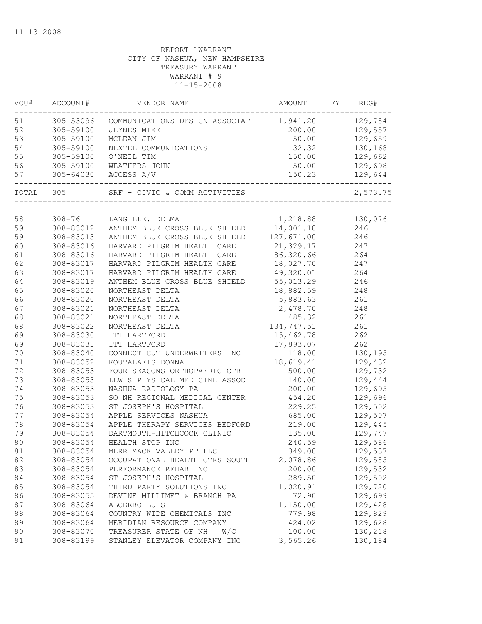| VOU#      | ACCOUNT#   | VENDOR NAME                             | AMOUNT           | FY | REG#     |
|-----------|------------|-----------------------------------------|------------------|----|----------|
| 51        | 305-53096  | COMMUNICATIONS DESIGN ASSOCIAT 1,941.20 |                  |    | 129,784  |
| 52        | 305-59100  | JEYNES MIKE                             | 200.00           |    | 129,557  |
| 53        | 305-59100  | MCLEAN JIM                              | 50.00            |    | 129,659  |
| 54        | 305-59100  | NEXTEL COMMUNICATIONS                   | 32.32            |    | 130,168  |
| 55        | 305-59100  | O'NEIL TIM                              | 150.00           |    | 129,662  |
| 56        | 305-59100  | WEATHERS JOHN                           | 50.00            |    | 129,698  |
| 57        | 305-64030  | ACCESS A/V                              | 150.23           |    | 129,644  |
| TOTAL 305 |            | SRF - CIVIC & COMM ACTIVITIES           |                  |    | 2,573.75 |
|           |            |                                         |                  |    |          |
| 58        | $308 - 76$ | LANGILLE, DELMA                         | 1,218.88 130,076 |    |          |
| 59        | 308-83012  | ANTHEM BLUE CROSS BLUE SHIELD           | 14,001.18        |    | 246      |
| 59        | 308-83013  | ANTHEM BLUE CROSS BLUE SHIELD           | 127,671.00       |    | 246      |
| 60        | 308-83016  | HARVARD PILGRIM HEALTH CARE             | 21,329.17        |    | 247      |
| 61        | 308-83016  | HARVARD PILGRIM HEALTH CARE             | 86,320.66        |    | 264      |
| 62        | 308-83017  | HARVARD PILGRIM HEALTH CARE             | 18,027.70        |    | 247      |
| 63        | 308-83017  | HARVARD PILGRIM HEALTH CARE             | 49,320.01        |    | 264      |
| 64        | 308-83019  | ANTHEM BLUE CROSS BLUE SHIELD           | 55,013.29        |    | 246      |
| 65        | 308-83020  | NORTHEAST DELTA                         | 18,882.59        |    | 248      |
| 66        | 308-83020  | NORTHEAST DELTA                         | 5,883.63         |    | 261      |
| 67        | 308-83021  | NORTHEAST DELTA                         | 2,478.70         |    | 248      |
| 68        | 308-83021  | NORTHEAST DELTA                         | 485.32           |    | 261      |
| 68        | 308-83022  | NORTHEAST DELTA                         | 134,747.51       |    | 261      |
| 69        | 308-83030  | ITT HARTFORD                            | 15,462.78        |    | 262      |
| 69        | 308-83031  | ITT HARTFORD                            | 17,893.07        |    | 262      |
| 70        | 308-83040  | CONNECTICUT UNDERWRITERS INC            | 118.00           |    | 130,195  |
| 71        | 308-83052  | KOUTALAKIS DONNA                        | 18,619.41        |    | 129,432  |
| 72        | 308-83053  | FOUR SEASONS ORTHOPAEDIC CTR            | 500.00           |    | 129,732  |
| 73        | 308-83053  | LEWIS PHYSICAL MEDICINE ASSOC           | 140.00           |    | 129,444  |
| 74        | 308-83053  | NASHUA RADIOLOGY PA                     | 200.00           |    | 129,695  |
| 75        | 308-83053  | SO NH REGIONAL MEDICAL CENTER           | 454.20           |    | 129,696  |
| 76        | 308-83053  | ST JOSEPH'S HOSPITAL                    | 229.25           |    | 129,502  |
| 77        | 308-83054  | APPLE SERVICES NASHUA                   | 685.00           |    | 129,507  |
| 78        | 308-83054  | APPLE THERAPY SERVICES BEDFORD          | 219.00           |    | 129,445  |
| 79        | 308-83054  | DARTMOUTH-HITCHCOCK CLINIC              | 135.00           |    | 129,747  |
| 80        | 308-83054  | HEALTH STOP INC                         | 240.59           |    | 129,586  |
| 81        | 308-83054  | MERRIMACK VALLEY PT LLC                 | 349.00           |    | 129,537  |
| 82        | 308-83054  | OCCUPATIONAL HEALTH CTRS SOUTH          | 2,078.86         |    | 129,585  |
| 83        | 308-83054  | PERFORMANCE REHAB INC                   | 200.00           |    | 129,532  |
| 84        | 308-83054  | ST JOSEPH'S HOSPITAL                    | 289.50           |    | 129,502  |
| 85        | 308-83054  | THIRD PARTY SOLUTIONS INC               | 1,020.91         |    | 129,720  |
| 86        | 308-83055  | DEVINE MILLIMET & BRANCH PA             | 72.90            |    | 129,699  |
| 87        | 308-83064  | ALCERRO LUIS                            | 1,150.00         |    | 129,428  |
| 88        | 308-83064  | COUNTRY WIDE CHEMICALS INC              | 779.98           |    | 129,829  |
| 89        | 308-83064  | MERIDIAN RESOURCE COMPANY               | 424.02           |    | 129,628  |
| 90        | 308-83070  | TREASURER STATE OF NH<br>W/C            | 100.00           |    | 130,218  |
| 91        | 308-83199  | STANLEY ELEVATOR COMPANY INC            | 3,565.26         |    | 130,184  |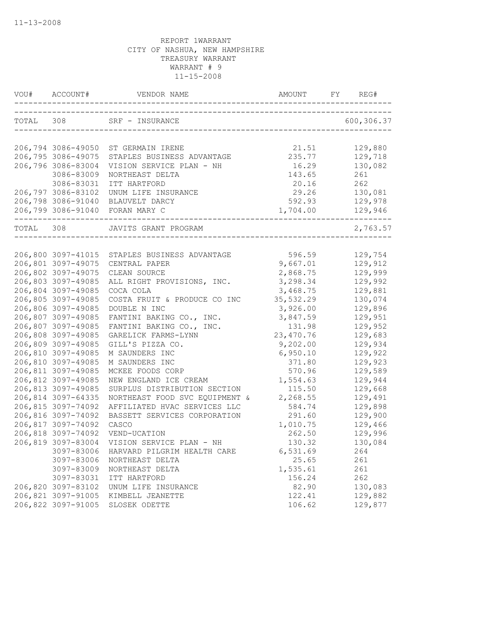|           | VOU# ACCOUNT#      |                                     |                                       | REG#       |
|-----------|--------------------|-------------------------------------|---------------------------------------|------------|
|           |                    | TOTAL 308 SRF - INSURANCE           | ------------------------------------- | 600,306.37 |
|           |                    |                                     |                                       |            |
|           |                    | 206,794 3086-49050 ST GERMAIN IRENE | 21.51                                 | 129,880    |
|           | 206,795 3086-49075 | STAPLES BUSINESS ADVANTAGE          | 235.77                                | 129,718    |
|           | 206,796 3086-83004 | VISION SERVICE PLAN - NH            | 16.29                                 | 130,082    |
|           | 3086-83009         | NORTHEAST DELTA                     | 143.65                                | 261        |
|           | 3086-83031         | ITT HARTFORD                        | 20.16                                 | 262        |
|           | 206,797 3086-83102 | UNUM LIFE INSURANCE                 | 29.26                                 | 130,081    |
|           |                    | 206,798 3086-91040 BLAUVELT DARCY   | 592.93                                | 129,978    |
|           |                    | 206,799 3086-91040 FORAN MARY C     | 1,704.00                              | 129,946    |
| TOTAL 308 |                    | JAVITS GRANT PROGRAM                |                                       | 2,763.57   |
|           |                    |                                     |                                       |            |
|           | 206,800 3097-41015 | STAPLES BUSINESS ADVANTAGE          | 596.59                                | 129,754    |
|           | 206,801 3097-49075 | CENTRAL PAPER                       | 9,667.01                              | 129,912    |
|           | 206,802 3097-49075 | CLEAN SOURCE                        | 2,868.75                              | 129,999    |
|           | 206,803 3097-49085 | ALL RIGHT PROVISIONS, INC.          | 3,298.34                              | 129,992    |
|           | 206,804 3097-49085 | COCA COLA                           | 3,468.75                              | 129,881    |
|           | 206,805 3097-49085 | COSTA FRUIT & PRODUCE CO INC        | 35,532.29                             | 130,074    |
|           | 206,806 3097-49085 | DOUBLE N INC                        | 3,926.00                              | 129,896    |
|           | 206,807 3097-49085 | FANTINI BAKING CO., INC.            | 3,847.59                              | 129,951    |
|           | 206,807 3097-49085 | FANTINI BAKING CO., INC.            | 131.98                                | 129,952    |
|           | 206,808 3097-49085 | GARELICK FARMS-LYNN                 | 23, 470.76                            | 129,683    |
|           | 206,809 3097-49085 | GILL'S PIZZA CO.                    | 9,202.00                              | 129,934    |
|           | 206,810 3097-49085 | M SAUNDERS INC                      | 6,950.10                              | 129,922    |
|           | 206,810 3097-49085 | M SAUNDERS INC                      | 371.80                                | 129,923    |
|           | 206,811 3097-49085 | MCKEE FOODS CORP                    | 570.96                                | 129,589    |
|           | 206,812 3097-49085 | NEW ENGLAND ICE CREAM               | 1,554.63                              | 129,944    |
|           | 206,813 3097-49085 | SURPLUS DISTRIBUTION SECTION        | 115.50                                | 129,668    |
|           | 206,814 3097-64335 | NORTHEAST FOOD SVC EQUIPMENT &      | 2,268.55                              | 129,491    |
|           | 206,815 3097-74092 | AFFILIATED HVAC SERVICES LLC        | 584.74                                | 129,898    |
|           | 206,816 3097-74092 | BASSETT SERVICES CORPORATION        | 291.60                                | 129,900    |
|           | 206,817 3097-74092 | CASCO                               | 1,010.75                              | 129,466    |
|           | 206,818 3097-74092 | VEND-UCATION                        | 262.50                                | 129,996    |
|           | 206,819 3097-83004 | VISION SERVICE PLAN - NH            | 130.32                                | 130,084    |
|           | 3097-83006         | HARVARD PILGRIM HEALTH CARE         | 6,531.69                              | 264        |
|           | 3097-83006         | NORTHEAST DELTA                     | 25.65                                 | 261        |
|           | 3097-83009         | NORTHEAST DELTA                     | 1,535.61                              | 261        |
|           | 3097-83031         | ITT HARTFORD                        | 156.24                                | 262        |
|           | 206,820 3097-83102 | UNUM LIFE INSURANCE                 | 82.90                                 | 130,083    |
|           | 206,821 3097-91005 | KIMBELL JEANETTE                    | 122.41                                | 129,882    |
|           | 206,822 3097-91005 | SLOSEK ODETTE                       | 106.62                                | 129,877    |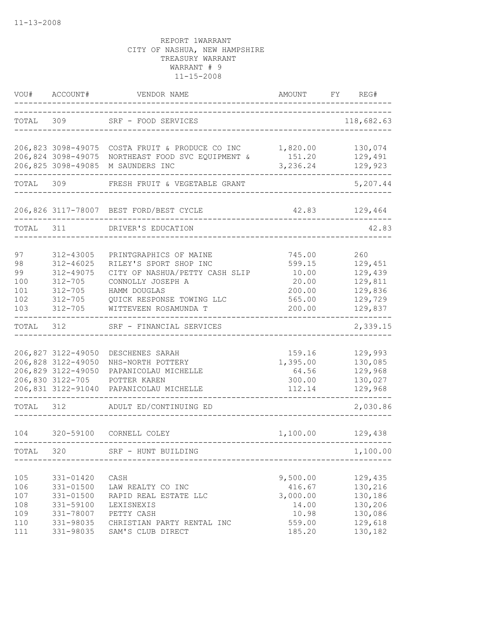| VOU#                                          | ACCOUNT#                                                                                                 | VENDOR NAME                                                                                                                                                                   | <b>AMOUNT</b>                                                        | FY | REG#                                                                      |
|-----------------------------------------------|----------------------------------------------------------------------------------------------------------|-------------------------------------------------------------------------------------------------------------------------------------------------------------------------------|----------------------------------------------------------------------|----|---------------------------------------------------------------------------|
| TOTAL                                         | 309                                                                                                      | SRF - FOOD SERVICES                                                                                                                                                           |                                                                      |    | 118,682.63                                                                |
|                                               | 206,824 3098-49075<br>206,825 3098-49085                                                                 | 206,823 3098-49075 COSTA FRUIT & PRODUCE CO INC<br>NORTHEAST FOOD SVC EQUIPMENT &<br>M SAUNDERS INC                                                                           | 1,820.00<br>151.20<br>3,236.24                                       |    | 130,074<br>129,491<br>129,923                                             |
| TOTAL                                         | 309                                                                                                      | FRESH FRUIT & VEGETABLE GRANT                                                                                                                                                 |                                                                      |    | 5,207.44                                                                  |
|                                               |                                                                                                          | 206,826 3117-78007 BEST FORD/BEST CYCLE                                                                                                                                       | 42.83                                                                |    | 129,464                                                                   |
| TOTAL                                         | 311                                                                                                      | DRIVER'S EDUCATION                                                                                                                                                            |                                                                      |    | 42.83                                                                     |
| 97<br>98<br>99<br>100<br>101<br>102<br>103    | 312-43005<br>$312 - 46025$<br>312-49075<br>$312 - 705$<br>$312 - 705$<br>$312 - 705$<br>$312 - 705$      | PRINTGRAPHICS OF MAINE<br>RILEY'S SPORT SHOP INC<br>CITY OF NASHUA/PETTY CASH SLIP<br>CONNOLLY JOSEPH A<br>HAMM DOUGLAS<br>QUICK RESPONSE TOWING LLC<br>WITTEVEEN ROSAMUNDA T | 745.00<br>599.15<br>10.00<br>20.00<br>200.00<br>565.00<br>200.00     |    | 260<br>129,451<br>129,439<br>129,811<br>129,836<br>129,729<br>129,837     |
| TOTAL                                         | 312                                                                                                      | SRF - FINANCIAL SERVICES                                                                                                                                                      |                                                                      |    | 2,339.15                                                                  |
|                                               | 206,827 3122-49050<br>206,828 3122-49050<br>206,829 3122-49050<br>206,830 3122-705<br>206,831 3122-91040 | DESCHENES SARAH<br>NHS-NORTH POTTERY<br>PAPANICOLAU MICHELLE<br>POTTER KAREN<br>PAPANICOLAU MICHELLE                                                                          | 159.16<br>1,395.00<br>64.56<br>300.00<br>112.14                      |    | 129,993<br>130,085<br>129,968<br>130,027<br>129,968                       |
| TOTAL                                         | 312                                                                                                      | ADULT ED/CONTINUING ED                                                                                                                                                        |                                                                      |    | 2,030.86                                                                  |
| 104                                           | 320-59100                                                                                                | CORNELL COLEY                                                                                                                                                                 | 1,100.00                                                             |    | 129,438                                                                   |
| TOTAL                                         | 320                                                                                                      | SRF - HUNT BUILDING                                                                                                                                                           |                                                                      |    | 1,100.00                                                                  |
| 105<br>106<br>107<br>108<br>109<br>110<br>111 | 331-01420<br>331-01500<br>331-01500<br>331-59100<br>331-78007<br>331-98035<br>331-98035                  | CASH<br>LAW REALTY CO INC<br>RAPID REAL ESTATE LLC<br>LEXISNEXIS<br>PETTY CASH<br>CHRISTIAN PARTY RENTAL INC<br>SAM'S CLUB DIRECT                                             | 9,500.00<br>416.67<br>3,000.00<br>14.00<br>10.98<br>559.00<br>185.20 |    | 129,435<br>130,216<br>130,186<br>130,206<br>130,086<br>129,618<br>130,182 |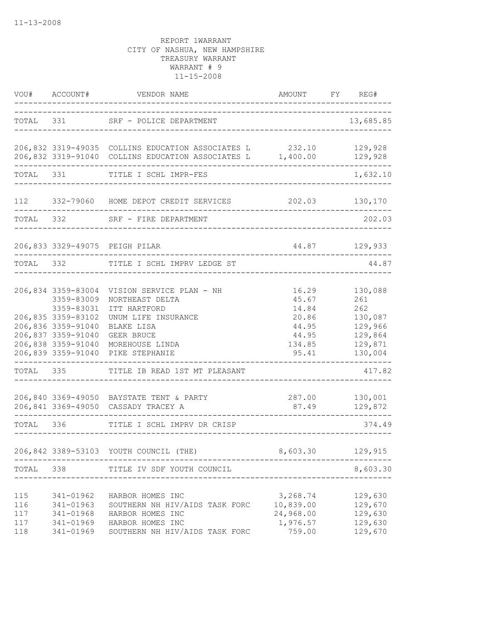| VOU#                            | ACCOUNT#                                                                                                   | VENDOR NAME                                                                                                                    | AMOUNT                                                   | FY | REG#                                                |
|---------------------------------|------------------------------------------------------------------------------------------------------------|--------------------------------------------------------------------------------------------------------------------------------|----------------------------------------------------------|----|-----------------------------------------------------|
|                                 |                                                                                                            | TOTAL 331 SRF - POLICE DEPARTMENT                                                                                              | ____________________                                     |    | 13,685.85                                           |
|                                 |                                                                                                            | 206,832 3319-49035 COLLINS EDUCATION ASSOCIATES L 232.10 129,928<br>206,832 3319-91040 COLLINS EDUCATION ASSOCIATES L 1,400.00 |                                                          |    | 129,928                                             |
|                                 | TOTAL 331                                                                                                  | TITLE I SCHL IMPR-FES                                                                                                          |                                                          |    | 1,632.10                                            |
|                                 |                                                                                                            | 112 332-79060 HOME DEPOT CREDIT SERVICES                                                                                       | 202.03                                                   |    | 130,170                                             |
| TOTAL 332                       |                                                                                                            | SRF - FIRE DEPARTMENT                                                                                                          |                                                          |    | 202.03                                              |
|                                 |                                                                                                            | 206,833 3329-49075 PEIGH PILAR                                                                                                 |                                                          |    | 44.87 129,933                                       |
| TOTAL 332                       |                                                                                                            | TITLE I SCHL IMPRV LEDGE ST                                                                                                    |                                                          |    | 44.87                                               |
|                                 | 206,834 3359-83004<br>3359-83009<br>3359-83031                                                             | VISION SERVICE PLAN - NH<br>NORTHEAST DELTA<br>ITT HARTFORD                                                                    | 16.29<br>45.67<br>14.84                                  |    | 130,088<br>261<br>262                               |
|                                 | 206,835 3359-83102<br>206,836 3359-91040<br>206,837 3359-91040<br>206,838 3359-91040<br>206,839 3359-91040 | UNUM LIFE INSURANCE<br>BLAKE LISA<br><b>GEER BRUCE</b><br>MOREHOUSE LINDA<br>PIKE STEPHANIE                                    | 20.86<br>44.95<br>44.95<br>134.85<br>95.41               |    | 130,087<br>129,966<br>129,864<br>129,871<br>130,004 |
| TOTAL 335                       |                                                                                                            | TITLE IB READ 1ST MT PLEASANT                                                                                                  |                                                          |    | 417.82                                              |
|                                 |                                                                                                            | 206,840 3369-49050 BAYSTATE TENT & PARTY<br>206,841 3369-49050 CASSADY TRACEY A                                                | 287.00<br>87.49                                          |    | 130,001<br>129,872                                  |
| TOTAL 336                       |                                                                                                            | TITLE I SCHL IMPRV DR CRISP                                                                                                    |                                                          |    | 374.49                                              |
|                                 |                                                                                                            | 206,842 3389-53103 YOUTH COUNCIL (THE)                                                                                         | 8,603.30                                                 |    | 129,915                                             |
| TOTAL                           | 338                                                                                                        | TITLE IV SDF YOUTH COUNCIL                                                                                                     |                                                          |    | 8,603.30                                            |
| 115<br>116<br>117<br>117<br>118 | 341-01962<br>341-01963<br>341-01968<br>341-01969<br>341-01969                                              | HARBOR HOMES INC<br>SOUTHERN NH HIV/AIDS TASK FORC<br>HARBOR HOMES INC<br>HARBOR HOMES INC<br>SOUTHERN NH HIV/AIDS TASK FORC   | 3,268.74<br>10,839.00<br>24,968.00<br>1,976.57<br>759.00 |    | 129,630<br>129,670<br>129,630<br>129,630<br>129,670 |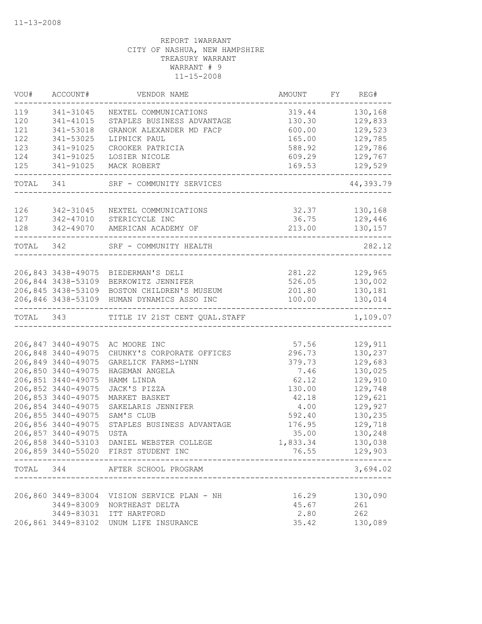| VOU#      | ACCOUNT#           | VENDOR NAME                                           | AMOUNT                 | FY REG#   |
|-----------|--------------------|-------------------------------------------------------|------------------------|-----------|
| 119       | 341-31045          | NEXTEL COMMUNICATIONS                                 | 319.44                 | 130,168   |
| 120       | 341-41015          | STAPLES BUSINESS ADVANTAGE                            | 130.30                 | 129,833   |
| 121       | 341-53018          | GRANOK ALEXANDER MD FACP                              | 600.00                 | 129,523   |
| 122       | 341-53025          | LIPNICK PAUL                                          | 165.00                 | 129,785   |
| 123       | 341-91025          | CROOKER PATRICIA                                      | 588.92                 | 129,786   |
| 124       | 341-91025          | LOSIER NICOLE                                         | 609.29                 | 129,767   |
| 125       | 341-91025          | MACK ROBERT                                           | 169.53<br>____________ | 129,529   |
| TOTAL 341 |                    | SRF - COMMUNITY SERVICES                              |                        | 44,393.79 |
|           |                    |                                                       |                        |           |
| 126       | 342-31045          | NEXTEL COMMUNICATIONS                                 | 32.37 130,168          |           |
| 127       | 342-47010          | STERICYCLE INC                                        | 36.75                  | 129,446   |
| 128       |                    | 342-49070 AMERICAN ACADEMY OF                         | 213.00                 | 130,157   |
| TOTAL 342 |                    | SRF - COMMUNITY HEALTH                                |                        | 282.12    |
|           |                    |                                                       |                        |           |
|           | 206,843 3438-49075 | BIEDERMAN'S DELI                                      | 281.22                 | 129,965   |
|           | 206,844 3438-53109 | BERKOWITZ JENNIFER                                    | 526.05                 | 130,002   |
|           | 206,845 3438-53109 | BOSTON CHILDREN'S MUSEUM                              | 201.80                 | 130,181   |
|           | 206,846 3438-53109 | HUMAN DYNAMICS ASSO INC                               | 100.00                 | 130,014   |
| TOTAL 343 |                    | TITLE IV 21ST CENT QUAL. STAFF                        |                        | 1,109.07  |
|           |                    |                                                       |                        |           |
|           | 206,847 3440-49075 | AC MOORE INC                                          | 57.56                  | 129,911   |
|           | 206,848 3440-49075 | CHUNKY'S CORPORATE OFFICES                            | 296.73                 | 130,237   |
|           | 206,849 3440-49075 | GARELICK FARMS-LYNN                                   | 379.73                 | 129,683   |
|           | 206,850 3440-49075 | HAGEMAN ANGELA                                        | 7.46                   | 130,025   |
|           | 206,851 3440-49075 | HAMM LINDA                                            | 62.12                  | 129,910   |
|           | 206,852 3440-49075 | JACK'S PIZZA                                          | 130.00                 | 129,748   |
|           | 206,853 3440-49075 | MARKET BASKET                                         | 42.18                  | 129,621   |
|           | 206,854 3440-49075 | SAKELARIS JENNIFER                                    | 4.00                   | 129,927   |
|           | 206,855 3440-49075 | SAM'S CLUB                                            | 592.40                 | 130,235   |
|           | 206,856 3440-49075 | STAPLES BUSINESS ADVANTAGE                            | 176.95                 | 129,718   |
|           | 206,857 3440-49075 | <b>USTA</b>                                           | 35.00                  | 130,248   |
|           | 206,858 3440-53103 | DANIEL WEBSTER COLLEGE                                | 1,833.34               | 130,038   |
|           |                    | 206,859 3440-55020 FIRST STUDENT INC                  | 76.55                  | 129,903   |
|           |                    | TOTAL 344 AFTER SCHOOL PROGRAM<br>___________________ |                        | 3,694.02  |
|           |                    |                                                       |                        |           |
|           |                    | 206,860 3449-83004 VISION SERVICE PLAN - NH           | 16.29                  | 130,090   |
|           | 3449-83009         | NORTHEAST DELTA                                       | 45.67                  | 261       |
|           | 3449-83031         | ITT HARTFORD                                          | 2.80                   | 262       |
|           |                    | 206,861 3449-83102 UNUM LIFE INSURANCE                | 35.42                  | 130,089   |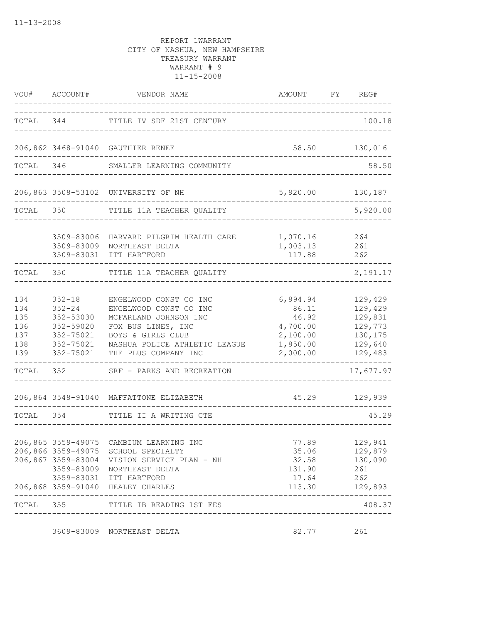|                                               | VOU# ACCOUNT#                                                                             | VENDOR NAME                                                                                                                                                                                                                 | AMOUNT                                                                     | FY | REG#                                                                      |
|-----------------------------------------------|-------------------------------------------------------------------------------------------|-----------------------------------------------------------------------------------------------------------------------------------------------------------------------------------------------------------------------------|----------------------------------------------------------------------------|----|---------------------------------------------------------------------------|
| TOTAL                                         | 344                                                                                       | TITLE IV SDF 21ST CENTURY                                                                                                                                                                                                   |                                                                            |    | 100.18                                                                    |
|                                               |                                                                                           | 206,862 3468-91040 GAUTHIER RENEE                                                                                                                                                                                           | 58.50                                                                      |    | 130,016                                                                   |
| TOTAL                                         | 346                                                                                       | SMALLER LEARNING COMMUNITY                                                                                                                                                                                                  |                                                                            |    | 58.50                                                                     |
|                                               |                                                                                           | 206,863 3508-53102 UNIVERSITY OF NH                                                                                                                                                                                         | 5,920.00                                                                   |    | 130,187                                                                   |
| TOTAL                                         | 350                                                                                       | TITLE 11A TEACHER QUALITY                                                                                                                                                                                                   |                                                                            |    | 5,920.00                                                                  |
|                                               | 3509-83006<br>3509-83009<br>3509-83031                                                    | HARVARD PILGRIM HEALTH CARE<br>NORTHEAST DELTA<br>ITT HARTFORD                                                                                                                                                              | 1,070.16<br>1,003.13<br>117.88                                             |    | 264<br>261<br>262                                                         |
| TOTAL                                         | 350                                                                                       | TITLE 11A TEACHER QUALITY                                                                                                                                                                                                   |                                                                            |    | 2,191.17                                                                  |
| 134<br>134<br>135<br>136<br>137<br>138<br>139 | $352 - 18$<br>$352 - 24$<br>352-53030<br>352-59020<br>352-75021<br>352-75021<br>352-75021 | ENGELWOOD CONST CO INC<br>ENGELWOOD CONST CO INC<br>MCFARLAND JOHNSON INC<br>FOX BUS LINES, INC<br>BOYS & GIRLS CLUB<br>NASHUA POLICE ATHLETIC LEAGUE<br>THE PLUS COMPANY INC                                               | 6,894.94<br>86.11<br>46.92<br>4,700.00<br>2,100.00<br>1,850.00<br>2,000.00 |    | 129,429<br>129,429<br>129,831<br>129,773<br>130,175<br>129,640<br>129,483 |
| TOTAL                                         | 352                                                                                       | SRF - PARKS AND RECREATION                                                                                                                                                                                                  |                                                                            |    | 17,677.97                                                                 |
|                                               |                                                                                           | 206,864 3548-91040 MAFFATTONE ELIZABETH                                                                                                                                                                                     | 45.29                                                                      |    | 129,939                                                                   |
| TOTAL                                         | 354                                                                                       | TITLE II A WRITING CTE                                                                                                                                                                                                      |                                                                            |    | 45.29                                                                     |
|                                               |                                                                                           | 206,865 3559-49075 CAMBIUM LEARNING INC<br>206,866 3559-49075 SCHOOL SPECIALTY<br>206,867 3559-83004 VISION SERVICE PLAN - NH<br>3559-83009 NORTHEAST DELTA<br>3559-83031 ITT HARTFORD<br>206,868 3559-91040 HEALEY CHARLES | 77.89<br>35.06<br>32.58<br>131.90<br>17.64<br>113.30                       |    | 129,941<br>129,879<br>130,090<br>261<br>262<br>129,893                    |
| TOTAL                                         | 355                                                                                       | TITLE IB READING 1ST FES                                                                                                                                                                                                    |                                                                            |    | 408.37                                                                    |
|                                               |                                                                                           | 3609-83009 NORTHEAST DELTA                                                                                                                                                                                                  | 82.77                                                                      |    | 261                                                                       |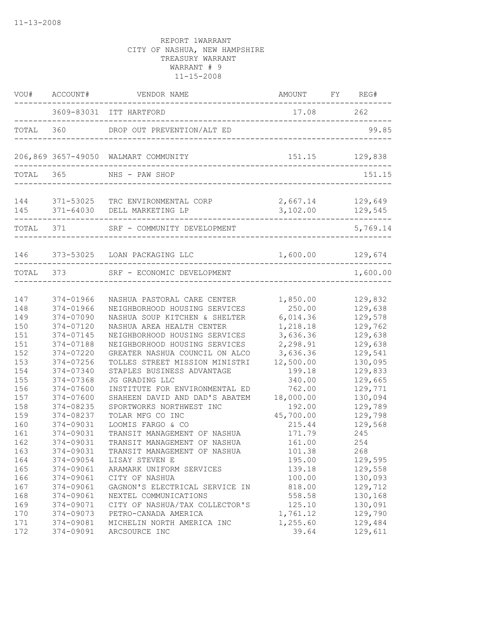|                          | VOU# ACCOUNT#                                    | VENDOR NAME                                                                                                                   | AMOUNT FY REG#                               |                                          |
|--------------------------|--------------------------------------------------|-------------------------------------------------------------------------------------------------------------------------------|----------------------------------------------|------------------------------------------|
|                          |                                                  | 3609-83031 ITT HARTFORD                                                                                                       | 17.08 262                                    |                                          |
|                          |                                                  | TOTAL 360 DROP OUT PREVENTION/ALT ED                                                                                          | -------------------------------              | 99.85                                    |
|                          |                                                  | 206,869 3657-49050 WALMART COMMUNITY                                                                                          |                                              | 151.15 129,838                           |
| TOTAL 365                |                                                  | NHS - PAW SHOP                                                                                                                |                                              | 151.15                                   |
|                          | --------------------                             | 144 371-53025 TRC ENVIRONMENTAL CORP<br>145 371-64030 DELL MARKETING LP                                                       | 2,667.14<br>3,102.00                         | 129,649<br>129,545                       |
|                          | TOTAL 371                                        | SRF - COMMUNITY DEVELOPMENT                                                                                                   |                                              | 5,769.14                                 |
|                          |                                                  | 146 373-53025 LOAN PACKAGING LLC                                                                                              | 1,600.00 129,674                             |                                          |
| TOTAL 373                |                                                  | SRF - ECONOMIC DEVELOPMENT                                                                                                    |                                              | 1,600.00                                 |
| 147<br>148<br>149        | 374-01966<br>374-01966<br>374-07090              | NASHUA PASTORAL CARE CENTER<br>NEIGHBORHOOD HOUSING SERVICES<br>NASHUA SOUP KITCHEN & SHELTER                                 | 1,850.00<br>250.00<br>6,014.36               | 129,832<br>129,638<br>129,578            |
| 150<br>151<br>151<br>152 | 374-07120<br>374-07145<br>374-07188<br>374-07220 | NASHUA AREA HEALTH CENTER<br>NEIGHBORHOOD HOUSING SERVICES<br>NEIGHBORHOOD HOUSING SERVICES<br>GREATER NASHUA COUNCIL ON ALCO | 1,218.18<br>3,636.36<br>2,298.91<br>3,636.36 | 129,762<br>129,638<br>129,638<br>129,541 |
| 153<br>154<br>155        | 374-07256<br>374-07340<br>374-07368              | TOLLES STREET MISSION MINISTRI<br>STAPLES BUSINESS ADVANTAGE<br>JG GRADING LLC                                                | 12,500.00<br>199.18<br>340.00                | 130,095<br>129,833<br>129,665            |
| 156<br>157<br>158<br>159 | 374-07600<br>374-07600<br>374-08235<br>374-08237 | INSTITUTE FOR ENVIRONMENTAL ED<br>SHAHEEN DAVID AND DAD'S ABATEM<br>SPORTWORKS NORTHWEST INC<br>TOLAR MFG CO INC              | 762.00<br>18,000.00<br>192.00<br>45,700.00   | 129,771<br>130,094<br>129,789<br>129,798 |
| 160<br>161<br>162<br>163 | 374-09031<br>374-09031<br>374-09031<br>374-09031 | LOOMIS FARGO & CO<br>TRANSIT MANAGEMENT OF NASHUA<br>TRANSIT MANAGEMENT OF NASHUA<br>TRANSIT MANAGEMENT OF NASHUA             | 215.44<br>171.79<br>161.00<br>101.38         | 129,568<br>245<br>254<br>268             |
| 164<br>165<br>166        | 374-09054<br>374-09061<br>374-09061              | LISAY STEVEN E<br>ARAMARK UNIFORM SERVICES<br>CITY OF NASHUA                                                                  | 195.00<br>139.18<br>100.00                   | 129,595<br>129,558<br>130,093            |
| 167<br>168<br>169        | 374-09061<br>374-09061<br>374-09071              | GAGNON'S ELECTRICAL SERVICE IN<br>NEXTEL COMMUNICATIONS<br>CITY OF NASHUA/TAX COLLECTOR'S                                     | 818.00<br>558.58<br>125.10                   | 129,712<br>130,168<br>130,091            |
| 170<br>171<br>172        | 374-09073<br>374-09081<br>374-09091              | PETRO-CANADA AMERICA<br>MICHELIN NORTH AMERICA INC<br>ARCSOURCE INC                                                           | 1,761.12<br>1,255.60<br>39.64                | 129,790<br>129,484<br>129,611            |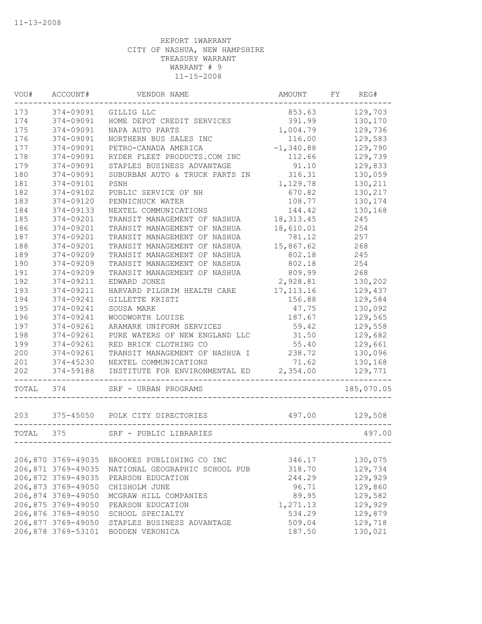| WOU#      | ACCOUNT#           | VENDOR NAME                                      | AMOUNT      | FY | REG#       |
|-----------|--------------------|--------------------------------------------------|-------------|----|------------|
| 173       | 374-09091          | GILLIG LLC                                       | 853.63      |    | 129,703    |
| 174       | 374-09091          | HOME DEPOT CREDIT SERVICES                       | 391.99      |    | 130,170    |
| 175       | 374-09091          | NAPA AUTO PARTS                                  | 1,004.79    |    | 129,736    |
| 176       | 374-09091          | NORTHERN BUS SALES INC                           | 116.00      |    | 129,583    |
| 177       | 374-09091          | PETRO-CANADA AMERICA                             | $-1,340.88$ |    | 129,790    |
| 178       | 374-09091          | RYDER FLEET PRODUCTS.COM INC                     | 112.66      |    | 129,739    |
| 179       | 374-09091          | STAPLES BUSINESS ADVANTAGE                       | 91.10       |    | 129,833    |
| 180       | 374-09091          | SUBURBAN AUTO & TRUCK PARTS IN                   | 316.31      |    | 130,059    |
| 181       | 374-09101          | PSNH                                             | 1,129.78    |    | 130,211    |
| 182       | 374-09102          | PUBLIC SERVICE OF NH                             | 670.82      |    | 130,217    |
| 183       | 374-09120          | PENNICHUCK WATER                                 | 108.77      |    | 130,174    |
| 184       | 374-09133          | NEXTEL COMMUNICATIONS                            | 144.42      |    | 130,168    |
| 185       | 374-09201          | TRANSIT MANAGEMENT OF NASHUA                     | 18, 313.45  |    | 245        |
| 186       | 374-09201          | TRANSIT MANAGEMENT OF NASHUA                     | 18,610.01   |    | 254        |
| 187       | 374-09201          | TRANSIT MANAGEMENT OF NASHUA                     | 781.12      |    | 257        |
| 188       | 374-09201          | TRANSIT MANAGEMENT OF NASHUA                     | 15,867.62   |    | 268        |
| 189       | 374-09209          | TRANSIT MANAGEMENT OF NASHUA                     | 802.18      |    | 245        |
| 190       | 374-09209          | TRANSIT MANAGEMENT OF NASHUA                     | 802.18      |    | 254        |
| 191       | 374-09209          | TRANSIT MANAGEMENT OF NASHUA                     | 809.99      |    | 268        |
| 192       | 374-09211          | EDWARD JONES                                     | 2,928.81    |    | 130,202    |
| 193       | 374-09211          | HARVARD PILGRIM HEALTH CARE                      | 17, 113.16  |    | 129,437    |
| 194       | 374-09241          | GILLETTE KRISTI                                  | 156.88      |    | 129,584    |
| 195       | 374-09241          | SOUSA MARK                                       | 47.75       |    | 130,092    |
| 196       | 374-09241          | WOODWORTH LOUISE                                 | 187.67      |    | 129,565    |
| 197       | 374-09261          | ARAMARK UNIFORM SERVICES                         | 59.42       |    | 129,558    |
| 198       | 374-09261          | PURE WATERS OF NEW ENGLAND LLC                   | 31.50       |    | 129,682    |
| 199       | 374-09261          | RED BRICK CLOTHING CO                            | 55.40       |    | 129,661    |
| 200       | 374-09261          | TRANSIT MANAGEMENT OF NASHUA I                   | 238.72      |    | 130,096    |
| 201       | 374-45230          | NEXTEL COMMUNICATIONS                            | 71.62       |    | 130,168    |
| 202       | 374-59188          | INSTITUTE FOR ENVIRONMENTAL ED                   | 2,354.00    |    | 129,771    |
| TOTAL     | 374                | SRF - URBAN PROGRAMS                             |             |    | 185,070.05 |
| 203       | 375-45050          | POLK CITY DIRECTORIES                            | 497.00      |    | 129,508    |
| TOTAL 375 |                    | SRF - PUBLIC LIBRARIES<br>---------------------- |             |    | 497.00     |
|           |                    |                                                  |             |    |            |
|           | 206,870 3769-49035 | BROOKES PUBLISHING CO INC                        | 346.17      |    | 130,075    |
|           | 206,871 3769-49035 | NATIONAL GEOGRAPHIC SCHOOL PUB                   | 318.70      |    | 129,734    |
|           | 206,872 3769-49035 | PEARSON EDUCATION                                | 244.29      |    | 129,929    |
|           | 206,873 3769-49050 | CHISHOLM JUNE                                    | 96.71       |    | 129,860    |
|           | 206,874 3769-49050 | MCGRAW HILL COMPANIES                            | 89.95       |    | 129,582    |
|           | 206,875 3769-49050 | PEARSON EDUCATION                                | 1,271.13    |    | 129,929    |
|           | 206,876 3769-49050 | SCHOOL SPECIALTY                                 | 534.29      |    | 129,879    |
|           | 206,877 3769-49050 | STAPLES BUSINESS ADVANTAGE                       | 509.04      |    | 129,718    |
|           | 206,878 3769-53101 | BODDEN VERONICA                                  | 187.50      |    | 130,021    |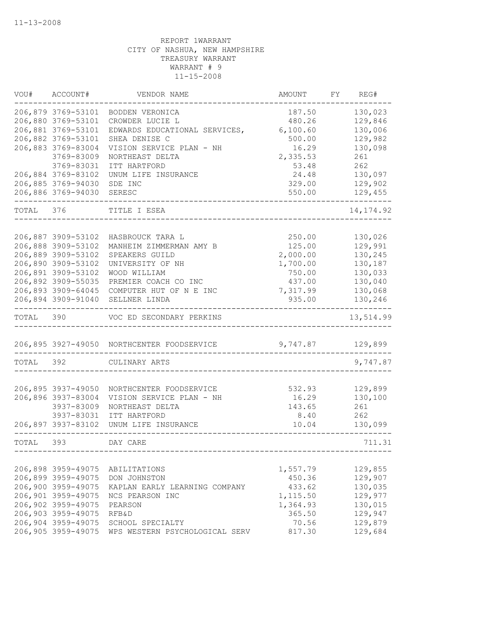| VOU#      | ACCOUNT#           | VENDOR NAME                                | AMOUNT   | FY | REG#       |
|-----------|--------------------|--------------------------------------------|----------|----|------------|
|           | 206,879 3769-53101 | BODDEN VERONICA                            | 187.50   |    | 130,023    |
|           | 206,880 3769-53101 | CROWDER LUCIE L                            | 480.26   |    | 129,846    |
|           | 206,881 3769-53101 | EDWARDS EDUCATIONAL SERVICES,              | 6,100.60 |    | 130,006    |
|           | 206,882 3769-53101 | SHEA DENISE C                              | 500.00   |    | 129,982    |
|           | 206,883 3769-83004 | VISION SERVICE PLAN - NH                   | 16.29    |    | 130,098    |
|           | 3769-83009         | NORTHEAST DELTA                            | 2,335.53 |    | 261        |
|           | 3769-83031         | ITT HARTFORD                               | 53.48    |    | 262        |
|           | 206,884 3769-83102 | UNUM LIFE INSURANCE                        | 24.48    |    | 130,097    |
|           | 206,885 3769-94030 | SDE INC                                    | 329.00   |    | 129,902    |
|           | 206,886 3769-94030 | SERESC                                     | 550.00   |    | 129,455    |
| TOTAL 376 |                    | TITLE I ESEA                               |          |    | 14, 174.92 |
|           |                    |                                            |          |    |            |
|           | 206,887 3909-53102 | HASBROUCK TARA L                           | 250.00   |    | 130,026    |
|           | 206,888 3909-53102 | MANHEIM ZIMMERMAN AMY B                    | 125.00   |    | 129,991    |
|           | 206,889 3909-53102 | SPEAKERS GUILD                             | 2,000.00 |    | 130,245    |
|           | 206,890 3909-53102 | UNIVERSITY OF NH                           | 1,700.00 |    | 130,187    |
|           | 206,891 3909-53102 | WOOD WILLIAM                               | 750.00   |    | 130,033    |
|           | 206,892 3909-55035 | PREMIER COACH CO INC                       | 437.00   |    | 130,040    |
|           | 206,893 3909-64045 | COMPUTER HUT OF N E INC                    | 7,317.99 |    | 130,068    |
|           | 206,894 3909-91040 | SELLNER LINDA                              | 935.00   |    | 130,246    |
| TOTAL     | 390                | VOC ED SECONDARY PERKINS                   |          |    | 13,514.99  |
|           |                    | 206,895 3927-49050 NORTHCENTER FOODSERVICE | 9,747.87 |    | 129,899    |
| TOTAL     | 392                | CULINARY ARTS                              |          |    | 9,747.87   |
|           |                    |                                            |          |    |            |
|           | 206,895 3937-49050 | NORTHCENTER FOODSERVICE                    | 532.93   |    | 129,899    |
|           | 206,896 3937-83004 | VISION SERVICE PLAN - NH                   | 16.29    |    | 130,100    |
|           | 3937-83009         | NORTHEAST DELTA                            | 143.65   |    | 261        |
|           | 3937-83031         | ITT HARTFORD                               | 8.40     |    | 262        |
|           | 206,897 3937-83102 | UNUM LIFE INSURANCE                        | 10.04    |    | 130,099    |
| TOTAL     | 393                | DAY CARE                                   |          |    | 711.31     |
|           |                    |                                            |          |    |            |
|           | 206,898 3959-49075 | ABILITATIONS                               | 1,557.79 |    | 129,855    |
|           | 206,899 3959-49075 | DON JOHNSTON                               | 450.36   |    | 129,907    |
|           | 206,900 3959-49075 | KAPLAN EARLY LEARNING COMPANY              | 433.62   |    | 130,035    |
|           | 206,901 3959-49075 | NCS PEARSON INC                            | 1,115.50 |    | 129,977    |
|           | 206,902 3959-49075 | PEARSON                                    | 1,364.93 |    | 130,015    |
|           | 206,903 3959-49075 | RFB&D                                      | 365.50   |    | 129,947    |
|           | 206,904 3959-49075 | SCHOOL SPECIALTY                           | 70.56    |    | 129,879    |
|           | 206,905 3959-49075 | WPS WESTERN PSYCHOLOGICAL SERV             | 817.30   |    | 129,684    |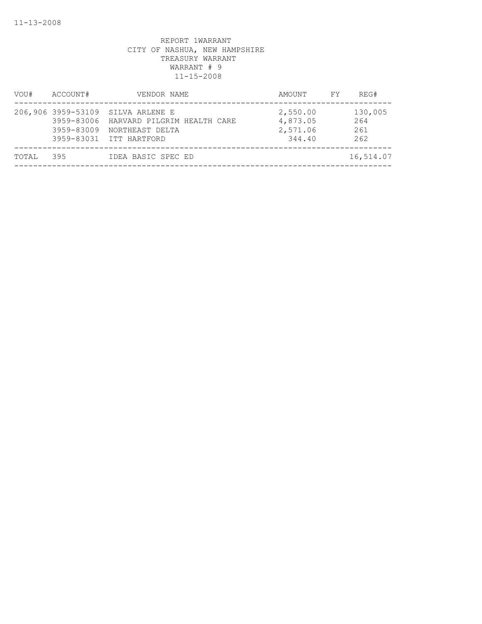| VOU#  | ACCOUNT#                                                     | VENDOR NAME                                                                      | AMOUNT                                     | FY | REG#                         |
|-------|--------------------------------------------------------------|----------------------------------------------------------------------------------|--------------------------------------------|----|------------------------------|
|       | 206,906 3959-53109<br>3959-83006<br>3959-83009<br>3959-83031 | SILVA ARLENE E<br>HARVARD PILGRIM HEALTH CARE<br>NORTHEAST DELTA<br>ITT HARTFORD | 2,550.00<br>4,873.05<br>2,571.06<br>344.40 |    | 130,005<br>264<br>261<br>262 |
| TOTAL | 395                                                          | IDEA BASIC SPEC ED                                                               |                                            |    | 16,514.07                    |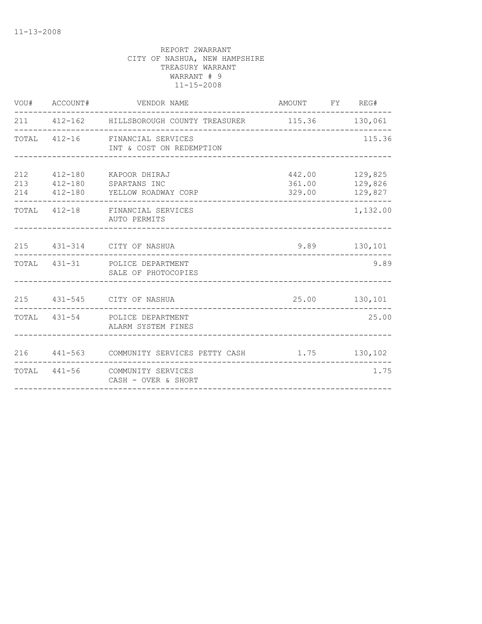| VOU# ACCOUNT# |                     |                                                                                                                                                                                                                                                                                                                                                                                                         |                                                                                                                                                                                                                     |
|---------------|---------------------|---------------------------------------------------------------------------------------------------------------------------------------------------------------------------------------------------------------------------------------------------------------------------------------------------------------------------------------------------------------------------------------------------------|---------------------------------------------------------------------------------------------------------------------------------------------------------------------------------------------------------------------|
|               |                     |                                                                                                                                                                                                                                                                                                                                                                                                         |                                                                                                                                                                                                                     |
|               |                     |                                                                                                                                                                                                                                                                                                                                                                                                         | 115.36                                                                                                                                                                                                              |
|               | ------------        |                                                                                                                                                                                                                                                                                                                                                                                                         | 129,825<br>129,827<br>--------------                                                                                                                                                                                |
|               | AUTO PERMITS        |                                                                                                                                                                                                                                                                                                                                                                                                         | 1,132.00                                                                                                                                                                                                            |
|               |                     |                                                                                                                                                                                                                                                                                                                                                                                                         |                                                                                                                                                                                                                     |
|               |                     |                                                                                                                                                                                                                                                                                                                                                                                                         | 9.89                                                                                                                                                                                                                |
|               |                     |                                                                                                                                                                                                                                                                                                                                                                                                         |                                                                                                                                                                                                                     |
|               | ALARM SYSTEM FINES  |                                                                                                                                                                                                                                                                                                                                                                                                         | 25.00                                                                                                                                                                                                               |
|               |                     |                                                                                                                                                                                                                                                                                                                                                                                                         |                                                                                                                                                                                                                     |
|               | CASH - OVER & SHORT |                                                                                                                                                                                                                                                                                                                                                                                                         | 1.75                                                                                                                                                                                                                |
|               |                     | VENDOR NAME<br>TOTAL 412-16 FINANCIAL SERVICES<br>INT & COST ON REDEMPTION<br>412-180       KAPOOR DHIRAJ<br>213  412-180  SPARTANS INC<br>214 412-180 YELLOW ROADWAY CORP<br>TOTAL 412-18 FINANCIAL SERVICES<br>215 431-314 CITY OF NASHUA<br>TOTAL 431-31 POLICE DEPARTMENT<br>SALE OF PHOTOCOPIES<br>215 431-545 CITY OF NASHUA<br>TOTAL 431-54 POLICE DEPARTMENT<br>TOTAL 441-56 COMMUNITY SERVICES | AMOUNT FY REG#<br>211  412-162  HILLSBOROUGH COUNTY TREASURER  115.36  130,061<br>442.00<br>361.00 129,826<br>329.00<br>9.89 130,101<br>25.00 130,101<br>216  441-563  COMMUNITY SERVICES PETTY CASH  1.75  130,102 |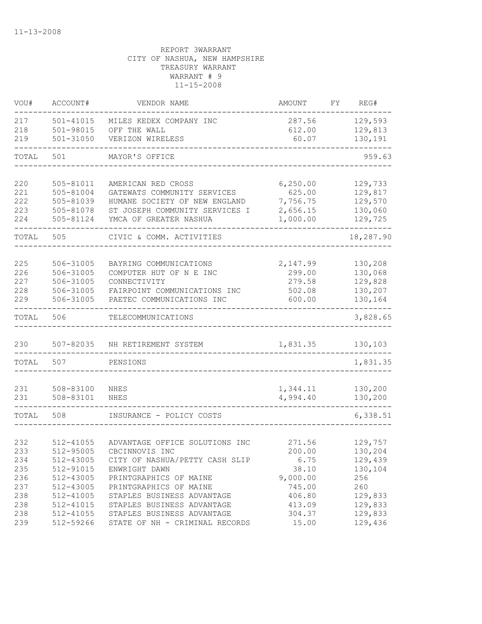| VOU#       | ACCOUNT#               | VENDOR NAME                    | AMOUNT    | FY. | REG#               |
|------------|------------------------|--------------------------------|-----------|-----|--------------------|
| 217        | $501 - 41015$          | MILES KEDEX COMPANY INC        | 287.56    |     | 129,593            |
| 218        | $501 - 98015$          | OFF THE WALL                   | 612.00    |     | 129,813            |
| 219        | 501-31050              | VERIZON WIRELESS               | 60.07     |     | 130,191            |
| TOTAL      | 501                    | MAYOR'S OFFICE                 |           |     | 959.63             |
|            |                        | AMERICAN RED CROSS             | 6, 250.00 |     |                    |
| 220<br>221 | 505-81011<br>505-81004 | GATEWATS COMMUNITY SERVICES    | 625.00    |     | 129,733<br>129,817 |
| 222        | 505-81039              | HUMANE SOCIETY OF NEW ENGLAND  | 7,756.75  |     | 129,570            |
| 223        | 505-81078              | ST JOSEPH COMMUNITY SERVICES I | 2,656.15  |     | 130,060            |
| 224        | 505-81124              | YMCA OF GREATER NASHUA         | 1,000.00  |     | 129,725            |
| TOTAL      | 505                    | CIVIC & COMM. ACTIVITIES       |           |     | 18,287.90          |
|            |                        |                                |           |     |                    |
| 225        | 506-31005              | BAYRING COMMUNICATIONS         | 2,147.99  |     | 130,208            |
| 226        | 506-31005              | COMPUTER HUT OF N E INC        | 299.00    |     | 130,068            |
| 227        | 506-31005              | CONNECTIVITY                   | 279.58    |     | 129,828            |
| 228        | 506-31005              | FAIRPOINT COMMUNICATIONS INC   | 502.08    |     | 130,207            |
| 229        | 506-31005              | PAETEC COMMUNICATIONS INC      | 600.00    |     | 130,164            |
| TOTAL      | 506                    | TELECOMMUNICATIONS             |           |     | 3,828.65           |
| 230        | 507-82035              | NH RETIREMENT SYSTEM           | 1,831.35  |     | 130,103            |
| TOTAL      | 507                    | PENSIONS                       |           |     | 1,831.35           |
|            |                        |                                |           |     |                    |
| 231        | 508-83100              | NHES                           | 1,344.11  |     | 130,200            |
| 231        | 508-83101              | NHES                           | 4,994.40  |     | 130,200            |
| TOTAL      | 508                    | INSURANCE - POLICY COSTS       |           |     | 6,338.51           |
|            |                        |                                |           |     |                    |
| 232        | 512-41055              | ADVANTAGE OFFICE SOLUTIONS INC | 271.56    |     | 129,757            |
| 233        | 512-95005              | CBCINNOVIS INC                 | 200.00    |     | 130,204            |
| 234        | 512-43005              | CITY OF NASHUA/PETTY CASH SLIP | 6.75      |     | 129,439            |
| 235        | 512-91015              | ENWRIGHT DAWN                  | 38.10     |     | 130,104            |
| 236        | 512-43005              | PRINTGRAPHICS OF MAINE         | 9,000.00  |     | 256                |
| 237        | 512-43005              | PRINTGRAPHICS OF MAINE         | 745.00    |     | 260                |
| 238        | 512-41005              | STAPLES BUSINESS ADVANTAGE     | 406.80    |     | 129,833            |
| 238        | 512-41015              | STAPLES BUSINESS ADVANTAGE     | 413.09    |     | 129,833            |
| 238        | 512-41055              | STAPLES BUSINESS ADVANTAGE     | 304.37    |     | 129,833            |
| 239        | 512-59266              | STATE OF NH - CRIMINAL RECORDS | 15.00     |     | 129,436            |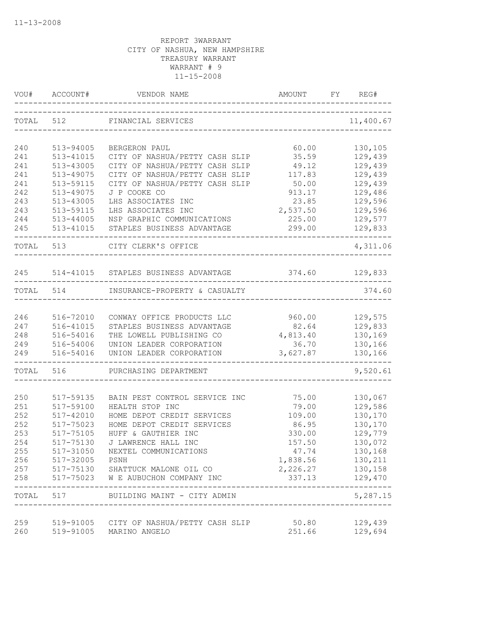| VOU#      | ACCOUNT#      | VENDOR NAME<br>______________________________________ | AMOUNT   | FY | REG#                |
|-----------|---------------|-------------------------------------------------------|----------|----|---------------------|
| TOTAL     | 512           | FINANCIAL SERVICES                                    |          |    | 11,400.67           |
| 240       | 513-94005     | BERGERON PAUL                                         | 60.00    |    | 130,105             |
| 241       | 513-41015     | CITY OF NASHUA/PETTY CASH SLIP                        | 35.59    |    | 129,439             |
| 241       | 513-43005     | CITY OF NASHUA/PETTY CASH SLIP                        | 49.12    |    | 129,439             |
| 241       | 513-49075     | CITY OF NASHUA/PETTY CASH SLIP                        | 117.83   |    | 129,439             |
| 241       | 513-59115     | CITY OF NASHUA/PETTY CASH SLIP                        | 50.00    |    | 129,439             |
| 242       | 513-49075     | J P COOKE CO                                          | 913.17   |    | 129,486             |
| 243       | 513-43005     | LHS ASSOCIATES INC                                    | 23.85    |    | 129,596             |
| 243       | 513-59115     | LHS ASSOCIATES INC                                    | 2,537.50 |    | 129,596             |
| 244       | $513 - 44005$ | NSP GRAPHIC COMMUNICATIONS                            | 225.00   |    | 129,577             |
| 245       | 513-41015     | STAPLES BUSINESS ADVANTAGE                            | 299.00   |    | 129,833             |
| TOTAL 513 |               | CITY CLERK'S OFFICE                                   |          |    | 4,311.06            |
| 245       |               | 514-41015 STAPLES BUSINESS ADVANTAGE                  | 374.60   |    | 129,833             |
| TOTAL     | 514           | INSURANCE-PROPERTY & CASUALTY                         |          |    | 374.60              |
|           |               |                                                       |          |    |                     |
| 246       | 516-72010     | CONWAY OFFICE PRODUCTS LLC                            | 960.00   |    | 129,575             |
| 247       | 516-41015     | STAPLES BUSINESS ADVANTAGE                            | 82.64    |    | 129,833             |
| 248       | 516-54016     | THE LOWELL PUBLISHING CO                              | 4,813.40 |    | 130,169             |
| 249       | 516-54006     | UNION LEADER CORPORATION                              | 36.70    |    | 130,166             |
| 249       | 516-54016     | UNION LEADER CORPORATION                              | 3,627.87 |    | 130,166             |
| TOTAL     | 516           | PURCHASING DEPARTMENT                                 |          |    | 9,520.61            |
| 250       | 517-59135     | BAIN PEST CONTROL SERVICE INC                         | 75.00    |    | 130,067             |
| 251       | 517-59100     | HEALTH STOP INC                                       | 79.00    |    | 129,586             |
| 252       | 517-42010     | HOME DEPOT CREDIT SERVICES                            | 109.00   |    | 130,170             |
| 252       | 517-75023     | HOME DEPOT CREDIT SERVICES                            | 86.95    |    | 130,170             |
| 253       | 517-75105     | HUFF & GAUTHIER INC                                   | 330.00   |    | 129,779             |
| 254       | 517-75130     | J LAWRENCE HALL INC                                   | 157.50   |    | 130,072             |
| 255       | 517-31050     | NEXTEL COMMUNICATIONS                                 | 47.74    |    | 130,168             |
| 256       | 517-32005     | PSNH                                                  | 1,838.56 |    | 130,211             |
| 257       |               | 517-75130 SHATTUCK MALONE OIL CO                      | 2,226.27 |    | 130,158             |
| 258       | 517-75023     | W E AUBUCHON COMPANY INC                              | 337.13   |    | 129,470             |
| TOTAL     |               | 517 BUILDING MAINT - CITY ADMIN                       |          |    | -------<br>5,287.15 |
| 259       |               | 519-91005 CITY OF NASHUA/PETTY CASH SLIP              | 50.80    |    | 129,439             |
| 260       |               | 519-91005 MARINO ANGELO                               | 251.66   |    | 129,694             |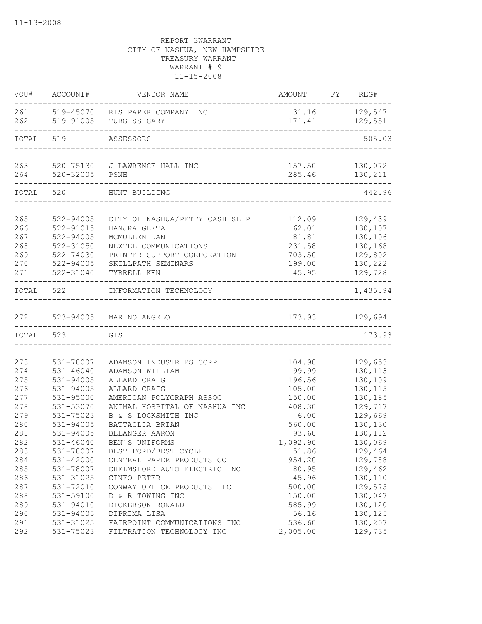| 261 519-45070 RIS PAPER COMPANY INC<br>31.16 129,547<br>171.41 129,551<br>519-91005 TURGISS GARY<br>TOTAL<br>519<br>ASSESSORS<br>263<br>520-75130 J LAWRENCE HALL INC<br>157.50 130,072<br>264<br>520-32005 PSNH<br>285.46<br>130,211<br>---------------------------------<br>TOTAL<br>520<br>442.96<br>HUNT BUILDING<br>265<br>522-94005<br>CITY OF NASHUA/PETTY CASH SLIP<br>112.09<br>129,439<br>266<br>522-91015<br>62.01<br>130,107<br>HANJRA GEETA<br>267<br>81.81<br>522-94005<br>MCMULLEN DAN<br>130,106<br>268<br>522-31050<br>231.58<br>130,168<br>NEXTEL COMMUNICATIONS<br>269<br>522-74030<br>PRINTER SUPPORT CORPORATION<br>703.50<br>129,802<br>130,222<br>270<br>522-94005<br>SKILLPATH SEMINARS<br>199.00<br>271<br>522-31040<br>TYRRELL KEN<br>45.95<br>129,728<br>-------------<br>TOTAL<br>522<br>INFORMATION TECHNOLOGY<br>173.93 129,694<br>272 523-94005 MARINO ANGELO<br>TOTAL 523<br>173.93<br>GIS<br>273<br>129,653<br>531-78007<br>ADAMSON INDUSTRIES CORP<br>104.90<br>274<br>$531 - 46040$<br>99.99<br>130,113<br>ADAMSON WILLIAM<br>275<br>531-94005<br>ALLARD CRAIG<br>196.56<br>130,109<br>276<br>531-94005<br>105.00<br>130,115<br>ALLARD CRAIG<br>277<br>531-95000<br>AMERICAN POLYGRAPH ASSOC<br>150.00<br>130,185<br>278<br>531-53070<br>129,717<br>ANIMAL HOSPITAL OF NASHUA INC<br>408.30<br>279<br>6.00<br>129,669<br>531-75023<br>B & S LOCKSMITH INC<br>280<br>130,130<br>531-94005<br>BATTAGLIA BRIAN<br>560.00<br>281<br>531-94005<br>BELANGER AARON<br>93.60<br>130,112<br>282<br>1,092.90<br>130,069<br>531-46040<br>BEN'S UNIFORMS<br>283<br>531-78007<br>129,464<br>BEST FORD/BEST CYCLE<br>51.86<br>284<br>531-42000<br>954.20<br>129,788<br>CENTRAL PAPER PRODUCTS CO<br>285<br>531-78007<br>80.95<br>129,462<br>CHELMSFORD AUTO ELECTRIC INC<br>286<br>531-31025<br>45.96<br>130,110<br>CINFO PETER<br>287<br>531-72010<br>CONWAY OFFICE PRODUCTS LLC<br>500.00<br>129,575<br>288<br>130,047<br>531-59100<br>D & R TOWING INC<br>150.00<br>289<br>531-94010<br>DICKERSON RONALD<br>585.99<br>130,120<br>290<br>531-94005<br>56.16<br>130,125<br>DIPRIMA LISA<br>291<br>531-31025<br>FAIRPOINT COMMUNICATIONS INC<br>536.60<br>130,207<br>129,735<br>531-75023<br>FILTRATION TECHNOLOGY INC<br>2,005.00 |     | VOU# ACCOUNT# | VENDOR NAME | AMOUNT FY REG# |          |
|---------------------------------------------------------------------------------------------------------------------------------------------------------------------------------------------------------------------------------------------------------------------------------------------------------------------------------------------------------------------------------------------------------------------------------------------------------------------------------------------------------------------------------------------------------------------------------------------------------------------------------------------------------------------------------------------------------------------------------------------------------------------------------------------------------------------------------------------------------------------------------------------------------------------------------------------------------------------------------------------------------------------------------------------------------------------------------------------------------------------------------------------------------------------------------------------------------------------------------------------------------------------------------------------------------------------------------------------------------------------------------------------------------------------------------------------------------------------------------------------------------------------------------------------------------------------------------------------------------------------------------------------------------------------------------------------------------------------------------------------------------------------------------------------------------------------------------------------------------------------------------------------------------------------------------------------------------------------------------------------------------------------------------------------------------------------------------------------------------------------------------------------------------------------------------------------------------------------------------------------------------|-----|---------------|-------------|----------------|----------|
|                                                                                                                                                                                                                                                                                                                                                                                                                                                                                                                                                                                                                                                                                                                                                                                                                                                                                                                                                                                                                                                                                                                                                                                                                                                                                                                                                                                                                                                                                                                                                                                                                                                                                                                                                                                                                                                                                                                                                                                                                                                                                                                                                                                                                                                         |     |               |             |                |          |
|                                                                                                                                                                                                                                                                                                                                                                                                                                                                                                                                                                                                                                                                                                                                                                                                                                                                                                                                                                                                                                                                                                                                                                                                                                                                                                                                                                                                                                                                                                                                                                                                                                                                                                                                                                                                                                                                                                                                                                                                                                                                                                                                                                                                                                                         | 262 |               |             |                |          |
|                                                                                                                                                                                                                                                                                                                                                                                                                                                                                                                                                                                                                                                                                                                                                                                                                                                                                                                                                                                                                                                                                                                                                                                                                                                                                                                                                                                                                                                                                                                                                                                                                                                                                                                                                                                                                                                                                                                                                                                                                                                                                                                                                                                                                                                         |     |               |             |                | 505.03   |
|                                                                                                                                                                                                                                                                                                                                                                                                                                                                                                                                                                                                                                                                                                                                                                                                                                                                                                                                                                                                                                                                                                                                                                                                                                                                                                                                                                                                                                                                                                                                                                                                                                                                                                                                                                                                                                                                                                                                                                                                                                                                                                                                                                                                                                                         |     |               |             |                |          |
|                                                                                                                                                                                                                                                                                                                                                                                                                                                                                                                                                                                                                                                                                                                                                                                                                                                                                                                                                                                                                                                                                                                                                                                                                                                                                                                                                                                                                                                                                                                                                                                                                                                                                                                                                                                                                                                                                                                                                                                                                                                                                                                                                                                                                                                         |     |               |             |                |          |
|                                                                                                                                                                                                                                                                                                                                                                                                                                                                                                                                                                                                                                                                                                                                                                                                                                                                                                                                                                                                                                                                                                                                                                                                                                                                                                                                                                                                                                                                                                                                                                                                                                                                                                                                                                                                                                                                                                                                                                                                                                                                                                                                                                                                                                                         |     |               |             |                |          |
|                                                                                                                                                                                                                                                                                                                                                                                                                                                                                                                                                                                                                                                                                                                                                                                                                                                                                                                                                                                                                                                                                                                                                                                                                                                                                                                                                                                                                                                                                                                                                                                                                                                                                                                                                                                                                                                                                                                                                                                                                                                                                                                                                                                                                                                         |     |               |             |                |          |
|                                                                                                                                                                                                                                                                                                                                                                                                                                                                                                                                                                                                                                                                                                                                                                                                                                                                                                                                                                                                                                                                                                                                                                                                                                                                                                                                                                                                                                                                                                                                                                                                                                                                                                                                                                                                                                                                                                                                                                                                                                                                                                                                                                                                                                                         |     |               |             |                |          |
|                                                                                                                                                                                                                                                                                                                                                                                                                                                                                                                                                                                                                                                                                                                                                                                                                                                                                                                                                                                                                                                                                                                                                                                                                                                                                                                                                                                                                                                                                                                                                                                                                                                                                                                                                                                                                                                                                                                                                                                                                                                                                                                                                                                                                                                         |     |               |             |                |          |
|                                                                                                                                                                                                                                                                                                                                                                                                                                                                                                                                                                                                                                                                                                                                                                                                                                                                                                                                                                                                                                                                                                                                                                                                                                                                                                                                                                                                                                                                                                                                                                                                                                                                                                                                                                                                                                                                                                                                                                                                                                                                                                                                                                                                                                                         |     |               |             |                |          |
|                                                                                                                                                                                                                                                                                                                                                                                                                                                                                                                                                                                                                                                                                                                                                                                                                                                                                                                                                                                                                                                                                                                                                                                                                                                                                                                                                                                                                                                                                                                                                                                                                                                                                                                                                                                                                                                                                                                                                                                                                                                                                                                                                                                                                                                         |     |               |             |                |          |
|                                                                                                                                                                                                                                                                                                                                                                                                                                                                                                                                                                                                                                                                                                                                                                                                                                                                                                                                                                                                                                                                                                                                                                                                                                                                                                                                                                                                                                                                                                                                                                                                                                                                                                                                                                                                                                                                                                                                                                                                                                                                                                                                                                                                                                                         |     |               |             |                |          |
|                                                                                                                                                                                                                                                                                                                                                                                                                                                                                                                                                                                                                                                                                                                                                                                                                                                                                                                                                                                                                                                                                                                                                                                                                                                                                                                                                                                                                                                                                                                                                                                                                                                                                                                                                                                                                                                                                                                                                                                                                                                                                                                                                                                                                                                         |     |               |             |                |          |
|                                                                                                                                                                                                                                                                                                                                                                                                                                                                                                                                                                                                                                                                                                                                                                                                                                                                                                                                                                                                                                                                                                                                                                                                                                                                                                                                                                                                                                                                                                                                                                                                                                                                                                                                                                                                                                                                                                                                                                                                                                                                                                                                                                                                                                                         |     |               |             |                |          |
|                                                                                                                                                                                                                                                                                                                                                                                                                                                                                                                                                                                                                                                                                                                                                                                                                                                                                                                                                                                                                                                                                                                                                                                                                                                                                                                                                                                                                                                                                                                                                                                                                                                                                                                                                                                                                                                                                                                                                                                                                                                                                                                                                                                                                                                         |     |               |             |                |          |
|                                                                                                                                                                                                                                                                                                                                                                                                                                                                                                                                                                                                                                                                                                                                                                                                                                                                                                                                                                                                                                                                                                                                                                                                                                                                                                                                                                                                                                                                                                                                                                                                                                                                                                                                                                                                                                                                                                                                                                                                                                                                                                                                                                                                                                                         |     |               |             |                | 1,435.94 |
|                                                                                                                                                                                                                                                                                                                                                                                                                                                                                                                                                                                                                                                                                                                                                                                                                                                                                                                                                                                                                                                                                                                                                                                                                                                                                                                                                                                                                                                                                                                                                                                                                                                                                                                                                                                                                                                                                                                                                                                                                                                                                                                                                                                                                                                         |     |               |             |                |          |
|                                                                                                                                                                                                                                                                                                                                                                                                                                                                                                                                                                                                                                                                                                                                                                                                                                                                                                                                                                                                                                                                                                                                                                                                                                                                                                                                                                                                                                                                                                                                                                                                                                                                                                                                                                                                                                                                                                                                                                                                                                                                                                                                                                                                                                                         |     |               |             |                |          |
|                                                                                                                                                                                                                                                                                                                                                                                                                                                                                                                                                                                                                                                                                                                                                                                                                                                                                                                                                                                                                                                                                                                                                                                                                                                                                                                                                                                                                                                                                                                                                                                                                                                                                                                                                                                                                                                                                                                                                                                                                                                                                                                                                                                                                                                         |     |               |             |                |          |
|                                                                                                                                                                                                                                                                                                                                                                                                                                                                                                                                                                                                                                                                                                                                                                                                                                                                                                                                                                                                                                                                                                                                                                                                                                                                                                                                                                                                                                                                                                                                                                                                                                                                                                                                                                                                                                                                                                                                                                                                                                                                                                                                                                                                                                                         |     |               |             |                |          |
|                                                                                                                                                                                                                                                                                                                                                                                                                                                                                                                                                                                                                                                                                                                                                                                                                                                                                                                                                                                                                                                                                                                                                                                                                                                                                                                                                                                                                                                                                                                                                                                                                                                                                                                                                                                                                                                                                                                                                                                                                                                                                                                                                                                                                                                         |     |               |             |                |          |
|                                                                                                                                                                                                                                                                                                                                                                                                                                                                                                                                                                                                                                                                                                                                                                                                                                                                                                                                                                                                                                                                                                                                                                                                                                                                                                                                                                                                                                                                                                                                                                                                                                                                                                                                                                                                                                                                                                                                                                                                                                                                                                                                                                                                                                                         |     |               |             |                |          |
|                                                                                                                                                                                                                                                                                                                                                                                                                                                                                                                                                                                                                                                                                                                                                                                                                                                                                                                                                                                                                                                                                                                                                                                                                                                                                                                                                                                                                                                                                                                                                                                                                                                                                                                                                                                                                                                                                                                                                                                                                                                                                                                                                                                                                                                         |     |               |             |                |          |
|                                                                                                                                                                                                                                                                                                                                                                                                                                                                                                                                                                                                                                                                                                                                                                                                                                                                                                                                                                                                                                                                                                                                                                                                                                                                                                                                                                                                                                                                                                                                                                                                                                                                                                                                                                                                                                                                                                                                                                                                                                                                                                                                                                                                                                                         |     |               |             |                |          |
|                                                                                                                                                                                                                                                                                                                                                                                                                                                                                                                                                                                                                                                                                                                                                                                                                                                                                                                                                                                                                                                                                                                                                                                                                                                                                                                                                                                                                                                                                                                                                                                                                                                                                                                                                                                                                                                                                                                                                                                                                                                                                                                                                                                                                                                         |     |               |             |                |          |
|                                                                                                                                                                                                                                                                                                                                                                                                                                                                                                                                                                                                                                                                                                                                                                                                                                                                                                                                                                                                                                                                                                                                                                                                                                                                                                                                                                                                                                                                                                                                                                                                                                                                                                                                                                                                                                                                                                                                                                                                                                                                                                                                                                                                                                                         |     |               |             |                |          |
|                                                                                                                                                                                                                                                                                                                                                                                                                                                                                                                                                                                                                                                                                                                                                                                                                                                                                                                                                                                                                                                                                                                                                                                                                                                                                                                                                                                                                                                                                                                                                                                                                                                                                                                                                                                                                                                                                                                                                                                                                                                                                                                                                                                                                                                         |     |               |             |                |          |
|                                                                                                                                                                                                                                                                                                                                                                                                                                                                                                                                                                                                                                                                                                                                                                                                                                                                                                                                                                                                                                                                                                                                                                                                                                                                                                                                                                                                                                                                                                                                                                                                                                                                                                                                                                                                                                                                                                                                                                                                                                                                                                                                                                                                                                                         |     |               |             |                |          |
|                                                                                                                                                                                                                                                                                                                                                                                                                                                                                                                                                                                                                                                                                                                                                                                                                                                                                                                                                                                                                                                                                                                                                                                                                                                                                                                                                                                                                                                                                                                                                                                                                                                                                                                                                                                                                                                                                                                                                                                                                                                                                                                                                                                                                                                         |     |               |             |                |          |
|                                                                                                                                                                                                                                                                                                                                                                                                                                                                                                                                                                                                                                                                                                                                                                                                                                                                                                                                                                                                                                                                                                                                                                                                                                                                                                                                                                                                                                                                                                                                                                                                                                                                                                                                                                                                                                                                                                                                                                                                                                                                                                                                                                                                                                                         |     |               |             |                |          |
|                                                                                                                                                                                                                                                                                                                                                                                                                                                                                                                                                                                                                                                                                                                                                                                                                                                                                                                                                                                                                                                                                                                                                                                                                                                                                                                                                                                                                                                                                                                                                                                                                                                                                                                                                                                                                                                                                                                                                                                                                                                                                                                                                                                                                                                         |     |               |             |                |          |
|                                                                                                                                                                                                                                                                                                                                                                                                                                                                                                                                                                                                                                                                                                                                                                                                                                                                                                                                                                                                                                                                                                                                                                                                                                                                                                                                                                                                                                                                                                                                                                                                                                                                                                                                                                                                                                                                                                                                                                                                                                                                                                                                                                                                                                                         |     |               |             |                |          |
|                                                                                                                                                                                                                                                                                                                                                                                                                                                                                                                                                                                                                                                                                                                                                                                                                                                                                                                                                                                                                                                                                                                                                                                                                                                                                                                                                                                                                                                                                                                                                                                                                                                                                                                                                                                                                                                                                                                                                                                                                                                                                                                                                                                                                                                         |     |               |             |                |          |
|                                                                                                                                                                                                                                                                                                                                                                                                                                                                                                                                                                                                                                                                                                                                                                                                                                                                                                                                                                                                                                                                                                                                                                                                                                                                                                                                                                                                                                                                                                                                                                                                                                                                                                                                                                                                                                                                                                                                                                                                                                                                                                                                                                                                                                                         |     |               |             |                |          |
|                                                                                                                                                                                                                                                                                                                                                                                                                                                                                                                                                                                                                                                                                                                                                                                                                                                                                                                                                                                                                                                                                                                                                                                                                                                                                                                                                                                                                                                                                                                                                                                                                                                                                                                                                                                                                                                                                                                                                                                                                                                                                                                                                                                                                                                         |     |               |             |                |          |
|                                                                                                                                                                                                                                                                                                                                                                                                                                                                                                                                                                                                                                                                                                                                                                                                                                                                                                                                                                                                                                                                                                                                                                                                                                                                                                                                                                                                                                                                                                                                                                                                                                                                                                                                                                                                                                                                                                                                                                                                                                                                                                                                                                                                                                                         |     |               |             |                |          |
|                                                                                                                                                                                                                                                                                                                                                                                                                                                                                                                                                                                                                                                                                                                                                                                                                                                                                                                                                                                                                                                                                                                                                                                                                                                                                                                                                                                                                                                                                                                                                                                                                                                                                                                                                                                                                                                                                                                                                                                                                                                                                                                                                                                                                                                         |     |               |             |                |          |
|                                                                                                                                                                                                                                                                                                                                                                                                                                                                                                                                                                                                                                                                                                                                                                                                                                                                                                                                                                                                                                                                                                                                                                                                                                                                                                                                                                                                                                                                                                                                                                                                                                                                                                                                                                                                                                                                                                                                                                                                                                                                                                                                                                                                                                                         |     |               |             |                |          |
|                                                                                                                                                                                                                                                                                                                                                                                                                                                                                                                                                                                                                                                                                                                                                                                                                                                                                                                                                                                                                                                                                                                                                                                                                                                                                                                                                                                                                                                                                                                                                                                                                                                                                                                                                                                                                                                                                                                                                                                                                                                                                                                                                                                                                                                         | 292 |               |             |                |          |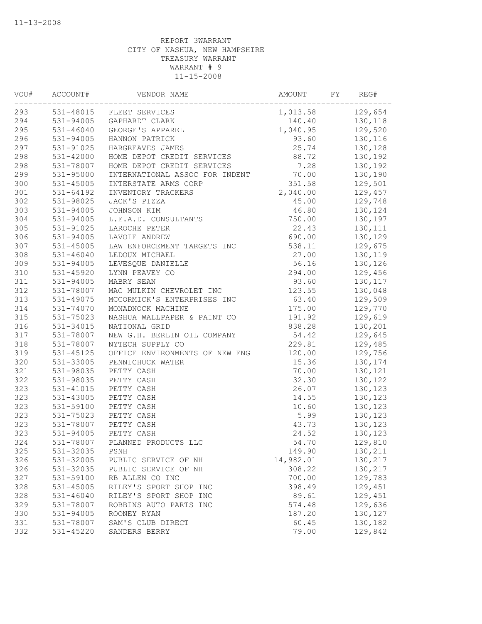| 531-48015 FLEET SERVICES<br>129,654<br>1,013.58<br>531-94005<br>140.40<br>130,118<br>GAPHARDT CLARK<br>1,040.95<br>129,520<br>$531 - 46040$<br>GEORGE'S APPAREL<br>296<br>531-94005<br>93.60<br>130,116<br>HANNON PATRICK<br>25.74<br>130,128<br>531-91025<br>HARGREAVES JAMES<br>531-42000<br>HOME DEPOT CREDIT SERVICES<br>88.72<br>130,192<br>7.28<br>130,192<br>531-78007<br>HOME DEPOT CREDIT SERVICES<br>70.00<br>531-95000<br>130,190<br>INTERNATIONAL ASSOC FOR INDENT<br>351.58<br>129,501<br>531-45005<br>INTERSTATE ARMS CORP<br>301<br>$531 - 64192$<br>2,040.00<br>INVENTORY TRACKERS<br>129,457<br>531-98025<br>JACK'S PIZZA<br>45.00<br>129,748<br>531-94005<br>JOHNSON KIM<br>46.80<br>130,124<br>531-94005<br>750.00<br>130,197<br>L.E.A.D. CONSULTANTS<br>305<br>531-91025<br>22.43<br>130,111<br>LAROCHE PETER<br>306<br>531-94005<br>690.00<br>130,129<br>LAVOIE ANDREW<br>531-45005<br>538.11<br>129,675<br>LAW ENFORCEMENT TARGETS INC<br>$531 - 46040$<br>27.00<br>130,119<br>LEDOUX MICHAEL<br>56.16<br>531-94005<br>LEVESQUE DANIELLE<br>130,126<br>531-45920<br>294.00<br>129,456<br>LYNN PEAVEY CO<br>531-94005<br>MABRY SEAN<br>93.60<br>130,117<br>531-78007<br>MAC MULKIN CHEVROLET INC<br>123.55<br>130,048<br>531-49075<br>MCCORMICK'S ENTERPRISES INC<br>63.40<br>129,509<br>175.00<br>531-74070<br>MONADNOCK MACHINE<br>129,770<br>531-75023<br>NASHUA WALLPAPER & PAINT CO<br>191.92<br>129,619<br>531-34015<br>NATIONAL GRID<br>838.28<br>130,201<br>54.42<br>531-78007<br>NEW G.H. BERLIN OIL COMPANY<br>129,645<br>229.81<br>129,485<br>531-78007<br>NYTECH SUPPLY CO<br>531-45125<br>120.00<br>OFFICE ENVIRONMENTS OF NEW ENG<br>129,756<br>531-33005<br>PENNICHUCK WATER<br>15.36<br>130,174<br>531-98035<br>PETTY CASH<br>70.00<br>130,121<br>531-98035<br>32.30<br>130,122<br>PETTY CASH<br>26.07<br>130,123<br>531-41015<br>PETTY CASH<br>531-43005<br>PETTY CASH<br>14.55<br>130,123<br>531-59100<br>PETTY CASH<br>10.60<br>130,123<br>531-75023<br>PETTY CASH<br>5.99<br>130,123<br>531-78007<br>43.73<br>130,123<br>PETTY CASH<br>PETTY CASH<br>531-94005<br>24.52<br>130,123<br>531-78007 PLANNED PRODUCTS LLC<br>54.70<br>129,810<br>130,211<br>531-32035<br>PSNH<br>149.90<br>531-32005<br>PUBLIC SERVICE OF NH<br>14,982.01<br>130,217<br>531-32035<br>308.22<br>130,217<br>PUBLIC SERVICE OF NH<br>531-59100<br>RB ALLEN CO INC<br>700.00<br>129,783<br>RILEY'S SPORT SHOP INC<br>398.49<br>129,451<br>531-45005<br>129,451<br>$531 - 46040$<br>RILEY'S SPORT SHOP INC<br>89.61<br>531-78007<br>ROBBINS AUTO PARTS INC<br>574.48<br>129,636<br>531-94005<br>187.20<br>130,127<br>ROONEY RYAN<br>531-78007<br>SAM'S CLUB DIRECT<br>130,182<br>60.45<br>79.00<br>531-45220<br>SANDERS BERRY<br>129,842 | VOU# | ACCOUNT# | VENDOR NAME | AMOUNT | FY | REG# |
|---------------------------------------------------------------------------------------------------------------------------------------------------------------------------------------------------------------------------------------------------------------------------------------------------------------------------------------------------------------------------------------------------------------------------------------------------------------------------------------------------------------------------------------------------------------------------------------------------------------------------------------------------------------------------------------------------------------------------------------------------------------------------------------------------------------------------------------------------------------------------------------------------------------------------------------------------------------------------------------------------------------------------------------------------------------------------------------------------------------------------------------------------------------------------------------------------------------------------------------------------------------------------------------------------------------------------------------------------------------------------------------------------------------------------------------------------------------------------------------------------------------------------------------------------------------------------------------------------------------------------------------------------------------------------------------------------------------------------------------------------------------------------------------------------------------------------------------------------------------------------------------------------------------------------------------------------------------------------------------------------------------------------------------------------------------------------------------------------------------------------------------------------------------------------------------------------------------------------------------------------------------------------------------------------------------------------------------------------------------------------------------------------------------------------------------------------------------------------------------------------------------------------------------------------------------------------------------------------------------------------------------------------------------------------------------------------------------------------------------------------------|------|----------|-------------|--------|----|------|
|                                                                                                                                                                                                                                                                                                                                                                                                                                                                                                                                                                                                                                                                                                                                                                                                                                                                                                                                                                                                                                                                                                                                                                                                                                                                                                                                                                                                                                                                                                                                                                                                                                                                                                                                                                                                                                                                                                                                                                                                                                                                                                                                                                                                                                                                                                                                                                                                                                                                                                                                                                                                                                                                                                                                                         | 293  |          |             |        |    |      |
|                                                                                                                                                                                                                                                                                                                                                                                                                                                                                                                                                                                                                                                                                                                                                                                                                                                                                                                                                                                                                                                                                                                                                                                                                                                                                                                                                                                                                                                                                                                                                                                                                                                                                                                                                                                                                                                                                                                                                                                                                                                                                                                                                                                                                                                                                                                                                                                                                                                                                                                                                                                                                                                                                                                                                         | 294  |          |             |        |    |      |
|                                                                                                                                                                                                                                                                                                                                                                                                                                                                                                                                                                                                                                                                                                                                                                                                                                                                                                                                                                                                                                                                                                                                                                                                                                                                                                                                                                                                                                                                                                                                                                                                                                                                                                                                                                                                                                                                                                                                                                                                                                                                                                                                                                                                                                                                                                                                                                                                                                                                                                                                                                                                                                                                                                                                                         | 295  |          |             |        |    |      |
|                                                                                                                                                                                                                                                                                                                                                                                                                                                                                                                                                                                                                                                                                                                                                                                                                                                                                                                                                                                                                                                                                                                                                                                                                                                                                                                                                                                                                                                                                                                                                                                                                                                                                                                                                                                                                                                                                                                                                                                                                                                                                                                                                                                                                                                                                                                                                                                                                                                                                                                                                                                                                                                                                                                                                         |      |          |             |        |    |      |
|                                                                                                                                                                                                                                                                                                                                                                                                                                                                                                                                                                                                                                                                                                                                                                                                                                                                                                                                                                                                                                                                                                                                                                                                                                                                                                                                                                                                                                                                                                                                                                                                                                                                                                                                                                                                                                                                                                                                                                                                                                                                                                                                                                                                                                                                                                                                                                                                                                                                                                                                                                                                                                                                                                                                                         | 297  |          |             |        |    |      |
|                                                                                                                                                                                                                                                                                                                                                                                                                                                                                                                                                                                                                                                                                                                                                                                                                                                                                                                                                                                                                                                                                                                                                                                                                                                                                                                                                                                                                                                                                                                                                                                                                                                                                                                                                                                                                                                                                                                                                                                                                                                                                                                                                                                                                                                                                                                                                                                                                                                                                                                                                                                                                                                                                                                                                         | 298  |          |             |        |    |      |
|                                                                                                                                                                                                                                                                                                                                                                                                                                                                                                                                                                                                                                                                                                                                                                                                                                                                                                                                                                                                                                                                                                                                                                                                                                                                                                                                                                                                                                                                                                                                                                                                                                                                                                                                                                                                                                                                                                                                                                                                                                                                                                                                                                                                                                                                                                                                                                                                                                                                                                                                                                                                                                                                                                                                                         | 298  |          |             |        |    |      |
|                                                                                                                                                                                                                                                                                                                                                                                                                                                                                                                                                                                                                                                                                                                                                                                                                                                                                                                                                                                                                                                                                                                                                                                                                                                                                                                                                                                                                                                                                                                                                                                                                                                                                                                                                                                                                                                                                                                                                                                                                                                                                                                                                                                                                                                                                                                                                                                                                                                                                                                                                                                                                                                                                                                                                         | 299  |          |             |        |    |      |
|                                                                                                                                                                                                                                                                                                                                                                                                                                                                                                                                                                                                                                                                                                                                                                                                                                                                                                                                                                                                                                                                                                                                                                                                                                                                                                                                                                                                                                                                                                                                                                                                                                                                                                                                                                                                                                                                                                                                                                                                                                                                                                                                                                                                                                                                                                                                                                                                                                                                                                                                                                                                                                                                                                                                                         | 300  |          |             |        |    |      |
|                                                                                                                                                                                                                                                                                                                                                                                                                                                                                                                                                                                                                                                                                                                                                                                                                                                                                                                                                                                                                                                                                                                                                                                                                                                                                                                                                                                                                                                                                                                                                                                                                                                                                                                                                                                                                                                                                                                                                                                                                                                                                                                                                                                                                                                                                                                                                                                                                                                                                                                                                                                                                                                                                                                                                         |      |          |             |        |    |      |
|                                                                                                                                                                                                                                                                                                                                                                                                                                                                                                                                                                                                                                                                                                                                                                                                                                                                                                                                                                                                                                                                                                                                                                                                                                                                                                                                                                                                                                                                                                                                                                                                                                                                                                                                                                                                                                                                                                                                                                                                                                                                                                                                                                                                                                                                                                                                                                                                                                                                                                                                                                                                                                                                                                                                                         | 302  |          |             |        |    |      |
|                                                                                                                                                                                                                                                                                                                                                                                                                                                                                                                                                                                                                                                                                                                                                                                                                                                                                                                                                                                                                                                                                                                                                                                                                                                                                                                                                                                                                                                                                                                                                                                                                                                                                                                                                                                                                                                                                                                                                                                                                                                                                                                                                                                                                                                                                                                                                                                                                                                                                                                                                                                                                                                                                                                                                         | 303  |          |             |        |    |      |
|                                                                                                                                                                                                                                                                                                                                                                                                                                                                                                                                                                                                                                                                                                                                                                                                                                                                                                                                                                                                                                                                                                                                                                                                                                                                                                                                                                                                                                                                                                                                                                                                                                                                                                                                                                                                                                                                                                                                                                                                                                                                                                                                                                                                                                                                                                                                                                                                                                                                                                                                                                                                                                                                                                                                                         | 304  |          |             |        |    |      |
|                                                                                                                                                                                                                                                                                                                                                                                                                                                                                                                                                                                                                                                                                                                                                                                                                                                                                                                                                                                                                                                                                                                                                                                                                                                                                                                                                                                                                                                                                                                                                                                                                                                                                                                                                                                                                                                                                                                                                                                                                                                                                                                                                                                                                                                                                                                                                                                                                                                                                                                                                                                                                                                                                                                                                         |      |          |             |        |    |      |
|                                                                                                                                                                                                                                                                                                                                                                                                                                                                                                                                                                                                                                                                                                                                                                                                                                                                                                                                                                                                                                                                                                                                                                                                                                                                                                                                                                                                                                                                                                                                                                                                                                                                                                                                                                                                                                                                                                                                                                                                                                                                                                                                                                                                                                                                                                                                                                                                                                                                                                                                                                                                                                                                                                                                                         |      |          |             |        |    |      |
|                                                                                                                                                                                                                                                                                                                                                                                                                                                                                                                                                                                                                                                                                                                                                                                                                                                                                                                                                                                                                                                                                                                                                                                                                                                                                                                                                                                                                                                                                                                                                                                                                                                                                                                                                                                                                                                                                                                                                                                                                                                                                                                                                                                                                                                                                                                                                                                                                                                                                                                                                                                                                                                                                                                                                         | 307  |          |             |        |    |      |
|                                                                                                                                                                                                                                                                                                                                                                                                                                                                                                                                                                                                                                                                                                                                                                                                                                                                                                                                                                                                                                                                                                                                                                                                                                                                                                                                                                                                                                                                                                                                                                                                                                                                                                                                                                                                                                                                                                                                                                                                                                                                                                                                                                                                                                                                                                                                                                                                                                                                                                                                                                                                                                                                                                                                                         | 308  |          |             |        |    |      |
|                                                                                                                                                                                                                                                                                                                                                                                                                                                                                                                                                                                                                                                                                                                                                                                                                                                                                                                                                                                                                                                                                                                                                                                                                                                                                                                                                                                                                                                                                                                                                                                                                                                                                                                                                                                                                                                                                                                                                                                                                                                                                                                                                                                                                                                                                                                                                                                                                                                                                                                                                                                                                                                                                                                                                         | 309  |          |             |        |    |      |
|                                                                                                                                                                                                                                                                                                                                                                                                                                                                                                                                                                                                                                                                                                                                                                                                                                                                                                                                                                                                                                                                                                                                                                                                                                                                                                                                                                                                                                                                                                                                                                                                                                                                                                                                                                                                                                                                                                                                                                                                                                                                                                                                                                                                                                                                                                                                                                                                                                                                                                                                                                                                                                                                                                                                                         | 310  |          |             |        |    |      |
|                                                                                                                                                                                                                                                                                                                                                                                                                                                                                                                                                                                                                                                                                                                                                                                                                                                                                                                                                                                                                                                                                                                                                                                                                                                                                                                                                                                                                                                                                                                                                                                                                                                                                                                                                                                                                                                                                                                                                                                                                                                                                                                                                                                                                                                                                                                                                                                                                                                                                                                                                                                                                                                                                                                                                         | 311  |          |             |        |    |      |
|                                                                                                                                                                                                                                                                                                                                                                                                                                                                                                                                                                                                                                                                                                                                                                                                                                                                                                                                                                                                                                                                                                                                                                                                                                                                                                                                                                                                                                                                                                                                                                                                                                                                                                                                                                                                                                                                                                                                                                                                                                                                                                                                                                                                                                                                                                                                                                                                                                                                                                                                                                                                                                                                                                                                                         | 312  |          |             |        |    |      |
|                                                                                                                                                                                                                                                                                                                                                                                                                                                                                                                                                                                                                                                                                                                                                                                                                                                                                                                                                                                                                                                                                                                                                                                                                                                                                                                                                                                                                                                                                                                                                                                                                                                                                                                                                                                                                                                                                                                                                                                                                                                                                                                                                                                                                                                                                                                                                                                                                                                                                                                                                                                                                                                                                                                                                         | 313  |          |             |        |    |      |
|                                                                                                                                                                                                                                                                                                                                                                                                                                                                                                                                                                                                                                                                                                                                                                                                                                                                                                                                                                                                                                                                                                                                                                                                                                                                                                                                                                                                                                                                                                                                                                                                                                                                                                                                                                                                                                                                                                                                                                                                                                                                                                                                                                                                                                                                                                                                                                                                                                                                                                                                                                                                                                                                                                                                                         | 314  |          |             |        |    |      |
|                                                                                                                                                                                                                                                                                                                                                                                                                                                                                                                                                                                                                                                                                                                                                                                                                                                                                                                                                                                                                                                                                                                                                                                                                                                                                                                                                                                                                                                                                                                                                                                                                                                                                                                                                                                                                                                                                                                                                                                                                                                                                                                                                                                                                                                                                                                                                                                                                                                                                                                                                                                                                                                                                                                                                         | 315  |          |             |        |    |      |
|                                                                                                                                                                                                                                                                                                                                                                                                                                                                                                                                                                                                                                                                                                                                                                                                                                                                                                                                                                                                                                                                                                                                                                                                                                                                                                                                                                                                                                                                                                                                                                                                                                                                                                                                                                                                                                                                                                                                                                                                                                                                                                                                                                                                                                                                                                                                                                                                                                                                                                                                                                                                                                                                                                                                                         | 316  |          |             |        |    |      |
|                                                                                                                                                                                                                                                                                                                                                                                                                                                                                                                                                                                                                                                                                                                                                                                                                                                                                                                                                                                                                                                                                                                                                                                                                                                                                                                                                                                                                                                                                                                                                                                                                                                                                                                                                                                                                                                                                                                                                                                                                                                                                                                                                                                                                                                                                                                                                                                                                                                                                                                                                                                                                                                                                                                                                         | 317  |          |             |        |    |      |
|                                                                                                                                                                                                                                                                                                                                                                                                                                                                                                                                                                                                                                                                                                                                                                                                                                                                                                                                                                                                                                                                                                                                                                                                                                                                                                                                                                                                                                                                                                                                                                                                                                                                                                                                                                                                                                                                                                                                                                                                                                                                                                                                                                                                                                                                                                                                                                                                                                                                                                                                                                                                                                                                                                                                                         | 318  |          |             |        |    |      |
|                                                                                                                                                                                                                                                                                                                                                                                                                                                                                                                                                                                                                                                                                                                                                                                                                                                                                                                                                                                                                                                                                                                                                                                                                                                                                                                                                                                                                                                                                                                                                                                                                                                                                                                                                                                                                                                                                                                                                                                                                                                                                                                                                                                                                                                                                                                                                                                                                                                                                                                                                                                                                                                                                                                                                         | 319  |          |             |        |    |      |
|                                                                                                                                                                                                                                                                                                                                                                                                                                                                                                                                                                                                                                                                                                                                                                                                                                                                                                                                                                                                                                                                                                                                                                                                                                                                                                                                                                                                                                                                                                                                                                                                                                                                                                                                                                                                                                                                                                                                                                                                                                                                                                                                                                                                                                                                                                                                                                                                                                                                                                                                                                                                                                                                                                                                                         | 320  |          |             |        |    |      |
|                                                                                                                                                                                                                                                                                                                                                                                                                                                                                                                                                                                                                                                                                                                                                                                                                                                                                                                                                                                                                                                                                                                                                                                                                                                                                                                                                                                                                                                                                                                                                                                                                                                                                                                                                                                                                                                                                                                                                                                                                                                                                                                                                                                                                                                                                                                                                                                                                                                                                                                                                                                                                                                                                                                                                         | 321  |          |             |        |    |      |
|                                                                                                                                                                                                                                                                                                                                                                                                                                                                                                                                                                                                                                                                                                                                                                                                                                                                                                                                                                                                                                                                                                                                                                                                                                                                                                                                                                                                                                                                                                                                                                                                                                                                                                                                                                                                                                                                                                                                                                                                                                                                                                                                                                                                                                                                                                                                                                                                                                                                                                                                                                                                                                                                                                                                                         | 322  |          |             |        |    |      |
|                                                                                                                                                                                                                                                                                                                                                                                                                                                                                                                                                                                                                                                                                                                                                                                                                                                                                                                                                                                                                                                                                                                                                                                                                                                                                                                                                                                                                                                                                                                                                                                                                                                                                                                                                                                                                                                                                                                                                                                                                                                                                                                                                                                                                                                                                                                                                                                                                                                                                                                                                                                                                                                                                                                                                         | 323  |          |             |        |    |      |
|                                                                                                                                                                                                                                                                                                                                                                                                                                                                                                                                                                                                                                                                                                                                                                                                                                                                                                                                                                                                                                                                                                                                                                                                                                                                                                                                                                                                                                                                                                                                                                                                                                                                                                                                                                                                                                                                                                                                                                                                                                                                                                                                                                                                                                                                                                                                                                                                                                                                                                                                                                                                                                                                                                                                                         | 323  |          |             |        |    |      |
|                                                                                                                                                                                                                                                                                                                                                                                                                                                                                                                                                                                                                                                                                                                                                                                                                                                                                                                                                                                                                                                                                                                                                                                                                                                                                                                                                                                                                                                                                                                                                                                                                                                                                                                                                                                                                                                                                                                                                                                                                                                                                                                                                                                                                                                                                                                                                                                                                                                                                                                                                                                                                                                                                                                                                         | 323  |          |             |        |    |      |
|                                                                                                                                                                                                                                                                                                                                                                                                                                                                                                                                                                                                                                                                                                                                                                                                                                                                                                                                                                                                                                                                                                                                                                                                                                                                                                                                                                                                                                                                                                                                                                                                                                                                                                                                                                                                                                                                                                                                                                                                                                                                                                                                                                                                                                                                                                                                                                                                                                                                                                                                                                                                                                                                                                                                                         | 323  |          |             |        |    |      |
|                                                                                                                                                                                                                                                                                                                                                                                                                                                                                                                                                                                                                                                                                                                                                                                                                                                                                                                                                                                                                                                                                                                                                                                                                                                                                                                                                                                                                                                                                                                                                                                                                                                                                                                                                                                                                                                                                                                                                                                                                                                                                                                                                                                                                                                                                                                                                                                                                                                                                                                                                                                                                                                                                                                                                         | 323  |          |             |        |    |      |
|                                                                                                                                                                                                                                                                                                                                                                                                                                                                                                                                                                                                                                                                                                                                                                                                                                                                                                                                                                                                                                                                                                                                                                                                                                                                                                                                                                                                                                                                                                                                                                                                                                                                                                                                                                                                                                                                                                                                                                                                                                                                                                                                                                                                                                                                                                                                                                                                                                                                                                                                                                                                                                                                                                                                                         | 323  |          |             |        |    |      |
|                                                                                                                                                                                                                                                                                                                                                                                                                                                                                                                                                                                                                                                                                                                                                                                                                                                                                                                                                                                                                                                                                                                                                                                                                                                                                                                                                                                                                                                                                                                                                                                                                                                                                                                                                                                                                                                                                                                                                                                                                                                                                                                                                                                                                                                                                                                                                                                                                                                                                                                                                                                                                                                                                                                                                         | 324  |          |             |        |    |      |
|                                                                                                                                                                                                                                                                                                                                                                                                                                                                                                                                                                                                                                                                                                                                                                                                                                                                                                                                                                                                                                                                                                                                                                                                                                                                                                                                                                                                                                                                                                                                                                                                                                                                                                                                                                                                                                                                                                                                                                                                                                                                                                                                                                                                                                                                                                                                                                                                                                                                                                                                                                                                                                                                                                                                                         | 325  |          |             |        |    |      |
|                                                                                                                                                                                                                                                                                                                                                                                                                                                                                                                                                                                                                                                                                                                                                                                                                                                                                                                                                                                                                                                                                                                                                                                                                                                                                                                                                                                                                                                                                                                                                                                                                                                                                                                                                                                                                                                                                                                                                                                                                                                                                                                                                                                                                                                                                                                                                                                                                                                                                                                                                                                                                                                                                                                                                         | 326  |          |             |        |    |      |
|                                                                                                                                                                                                                                                                                                                                                                                                                                                                                                                                                                                                                                                                                                                                                                                                                                                                                                                                                                                                                                                                                                                                                                                                                                                                                                                                                                                                                                                                                                                                                                                                                                                                                                                                                                                                                                                                                                                                                                                                                                                                                                                                                                                                                                                                                                                                                                                                                                                                                                                                                                                                                                                                                                                                                         | 326  |          |             |        |    |      |
|                                                                                                                                                                                                                                                                                                                                                                                                                                                                                                                                                                                                                                                                                                                                                                                                                                                                                                                                                                                                                                                                                                                                                                                                                                                                                                                                                                                                                                                                                                                                                                                                                                                                                                                                                                                                                                                                                                                                                                                                                                                                                                                                                                                                                                                                                                                                                                                                                                                                                                                                                                                                                                                                                                                                                         | 327  |          |             |        |    |      |
|                                                                                                                                                                                                                                                                                                                                                                                                                                                                                                                                                                                                                                                                                                                                                                                                                                                                                                                                                                                                                                                                                                                                                                                                                                                                                                                                                                                                                                                                                                                                                                                                                                                                                                                                                                                                                                                                                                                                                                                                                                                                                                                                                                                                                                                                                                                                                                                                                                                                                                                                                                                                                                                                                                                                                         | 328  |          |             |        |    |      |
|                                                                                                                                                                                                                                                                                                                                                                                                                                                                                                                                                                                                                                                                                                                                                                                                                                                                                                                                                                                                                                                                                                                                                                                                                                                                                                                                                                                                                                                                                                                                                                                                                                                                                                                                                                                                                                                                                                                                                                                                                                                                                                                                                                                                                                                                                                                                                                                                                                                                                                                                                                                                                                                                                                                                                         | 328  |          |             |        |    |      |
|                                                                                                                                                                                                                                                                                                                                                                                                                                                                                                                                                                                                                                                                                                                                                                                                                                                                                                                                                                                                                                                                                                                                                                                                                                                                                                                                                                                                                                                                                                                                                                                                                                                                                                                                                                                                                                                                                                                                                                                                                                                                                                                                                                                                                                                                                                                                                                                                                                                                                                                                                                                                                                                                                                                                                         | 329  |          |             |        |    |      |
|                                                                                                                                                                                                                                                                                                                                                                                                                                                                                                                                                                                                                                                                                                                                                                                                                                                                                                                                                                                                                                                                                                                                                                                                                                                                                                                                                                                                                                                                                                                                                                                                                                                                                                                                                                                                                                                                                                                                                                                                                                                                                                                                                                                                                                                                                                                                                                                                                                                                                                                                                                                                                                                                                                                                                         | 330  |          |             |        |    |      |
|                                                                                                                                                                                                                                                                                                                                                                                                                                                                                                                                                                                                                                                                                                                                                                                                                                                                                                                                                                                                                                                                                                                                                                                                                                                                                                                                                                                                                                                                                                                                                                                                                                                                                                                                                                                                                                                                                                                                                                                                                                                                                                                                                                                                                                                                                                                                                                                                                                                                                                                                                                                                                                                                                                                                                         | 331  |          |             |        |    |      |
|                                                                                                                                                                                                                                                                                                                                                                                                                                                                                                                                                                                                                                                                                                                                                                                                                                                                                                                                                                                                                                                                                                                                                                                                                                                                                                                                                                                                                                                                                                                                                                                                                                                                                                                                                                                                                                                                                                                                                                                                                                                                                                                                                                                                                                                                                                                                                                                                                                                                                                                                                                                                                                                                                                                                                         | 332  |          |             |        |    |      |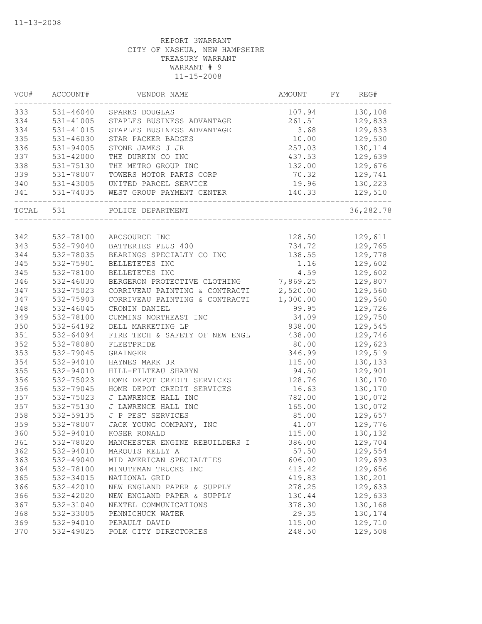| VOU#  | ACCOUNT#      | VENDOR NAME                    | AMOUNT   | FY | REG#      |
|-------|---------------|--------------------------------|----------|----|-----------|
| 333   | 531-46040     | SPARKS DOUGLAS                 | 107.94   |    | 130,108   |
| 334   | $531 - 41005$ | STAPLES BUSINESS ADVANTAGE     | 261.51   |    | 129,833   |
| 334   | 531-41015     | STAPLES BUSINESS ADVANTAGE     | 3.68     |    | 129,833   |
| 335   | 531-46030     | STAR PACKER BADGES             | 10.00    |    | 129,530   |
| 336   | 531-94005     | STONE JAMES J JR               | 257.03   |    | 130,114   |
| 337   | 531-42000     | THE DURKIN CO INC              | 437.53   |    | 129,639   |
| 338   | 531-75130     | THE METRO GROUP INC            | 132.00   |    | 129,676   |
| 339   | 531-78007     | TOWERS MOTOR PARTS CORP        | 70.32    |    | 129,741   |
| 340   | 531-43005     | UNITED PARCEL SERVICE          | 19.96    |    | 130,223   |
| 341   | 531-74035     | WEST GROUP PAYMENT CENTER      | 140.33   |    | 129,510   |
| TOTAL | 531           | POLICE DEPARTMENT              |          |    | 36,282.78 |
|       |               |                                |          |    |           |
| 342   | 532-78100     | ARCSOURCE INC                  | 128.50   |    | 129,611   |
| 343   | 532-79040     | BATTERIES PLUS 400             | 734.72   |    | 129,765   |
| 344   | 532-78035     | BEARINGS SPECIALTY CO INC      | 138.55   |    | 129,778   |
| 345   | 532-75901     | BELLETETES INC                 | 1.16     |    | 129,602   |
| 345   | 532-78100     | BELLETETES INC                 | 4.59     |    | 129,602   |
| 346   | 532-46030     | BERGERON PROTECTIVE CLOTHING   | 7,869.25 |    | 129,807   |
| 347   | 532-75023     | CORRIVEAU PAINTING & CONTRACTI | 2,520.00 |    | 129,560   |
| 347   | 532-75903     | CORRIVEAU PAINTING & CONTRACTI | 1,000.00 |    | 129,560   |
| 348   | 532-46045     | CRONIN DANIEL                  | 99.95    |    | 129,726   |
| 349   | 532-78100     | CUMMINS NORTHEAST INC          | 34.09    |    | 129,750   |
| 350   | 532-64192     | DELL MARKETING LP              | 938.00   |    | 129,545   |
| 351   | 532-64094     | FIRE TECH & SAFETY OF NEW ENGL | 438.00   |    | 129,746   |
| 352   | 532-78080     | FLEETPRIDE                     | 80.00    |    | 129,623   |
| 353   | 532-79045     | GRAINGER                       | 346.99   |    | 129,519   |
| 354   | 532-94010     | HAYNES MARK JR                 | 115.00   |    | 130,133   |
| 355   | 532-94010     | HILL-FILTEAU SHARYN            | 94.50    |    | 129,901   |
| 356   | 532-75023     | HOME DEPOT CREDIT SERVICES     | 128.76   |    | 130,170   |
| 356   | 532-79045     | HOME DEPOT CREDIT SERVICES     | 16.63    |    | 130,170   |
| 357   | 532-75023     | J LAWRENCE HALL INC            | 782.00   |    | 130,072   |
| 357   | 532-75130     | J LAWRENCE HALL INC            | 165.00   |    | 130,072   |
| 358   | 532-59135     | J P PEST SERVICES              | 85.00    |    | 129,657   |
| 359   | 532-78007     | JACK YOUNG COMPANY, INC        | 41.07    |    | 129,776   |
| 360   | 532-94010     | KOSER RONALD                   | 115.00   |    | 130,132   |
| 361   | 532-78020     | MANCHESTER ENGINE REBUILDERS I | 386.00   |    | 129,704   |
| 362   | 532-94010     | MARQUIS KELLY A                | 57.50    |    | 129,554   |
| 363   | 532-49040     | MID AMERICAN SPECIALTIES       | 606.00   |    | 129,693   |
| 364   | 532-78100     | MINUTEMAN TRUCKS INC           | 413.42   |    | 129,656   |
| 365   | 532-34015     | NATIONAL GRID                  | 419.83   |    | 130,201   |
| 366   | 532-42010     | NEW ENGLAND PAPER & SUPPLY     | 278.25   |    | 129,633   |
| 366   | 532-42020     | NEW ENGLAND PAPER & SUPPLY     | 130.44   |    | 129,633   |
| 367   | 532-31040     | NEXTEL COMMUNICATIONS          | 378.30   |    | 130,168   |
| 368   | 532-33005     | PENNICHUCK WATER               | 29.35    |    | 130,174   |
| 369   | 532-94010     | PERAULT DAVID                  | 115.00   |    | 129,710   |
| 370   | 532-49025     | POLK CITY DIRECTORIES          | 248.50   |    | 129,508   |
|       |               |                                |          |    |           |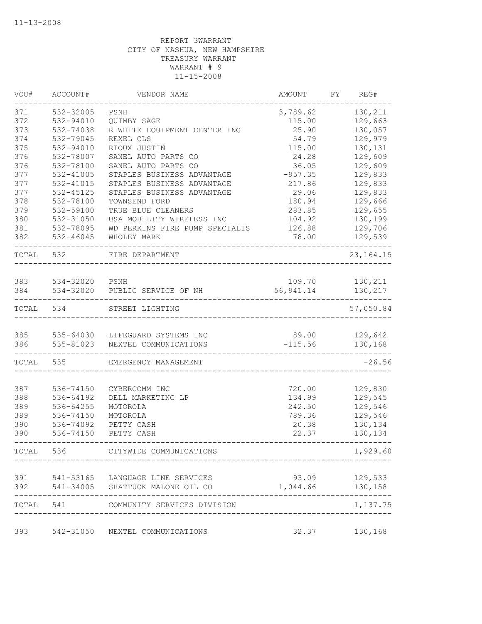| VOU#       | ACCOUNT#                    | VENDOR NAME                      | AMOUNT               | FY | REG#               |
|------------|-----------------------------|----------------------------------|----------------------|----|--------------------|
| 371        | 532-32005                   | PSNH                             | 3,789.62             |    | 130,211            |
| 372        | 532-94010                   | QUIMBY SAGE                      | 115.00               |    | 129,663            |
| 373        | 532-74038                   | R WHITE EQUIPMENT CENTER INC     | 25.90                |    | 130,057            |
| 374        | 532-79045                   | REXEL CLS                        | 54.79                |    | 129,979            |
| 375        | 532-94010                   | RIOUX JUSTIN                     | 115.00               |    | 130,131            |
| 376        | 532-78007                   | SANEL AUTO PARTS CO              | 24.28                |    | 129,609            |
| 376        | 532-78100                   | SANEL AUTO PARTS CO              | 36.05                |    | 129,609            |
| 377        | 532-41005                   | STAPLES BUSINESS ADVANTAGE       | $-957.35$            |    | 129,833            |
| 377        | 532-41015                   | STAPLES BUSINESS ADVANTAGE       | 217.86               |    | 129,833            |
| 377        | 532-45125                   | STAPLES BUSINESS ADVANTAGE       | 29.06                |    | 129,833            |
| 378        | 532-78100                   | TOWNSEND FORD                    | 180.94               |    | 129,666            |
| 379        | 532-59100                   | TRUE BLUE CLEANERS               | 283.85               |    | 129,655            |
| 380        | 532-31050                   | USA MOBILITY WIRELESS INC        | 104.92               |    | 130,199            |
| 381        | 532-78095                   | WD PERKINS FIRE PUMP SPECIALIS   | 126.88               |    | 129,706            |
| 382        | 532-46045                   | WHOLEY MARK                      | 78.00                |    | 129,539            |
| TOTAL      | 532                         | FIRE DEPARTMENT                  |                      |    | 23, 164. 15        |
|            |                             |                                  |                      |    |                    |
| 383<br>384 | 534-32020 PSNH<br>534-32020 | PUBLIC SERVICE OF NH             | 109.70<br>56, 941.14 |    | 130,211<br>130,217 |
|            |                             |                                  |                      |    |                    |
| TOTAL      | 534                         | STREET LIGHTING                  |                      |    | 57,050.84          |
| 385        |                             | 535-64030 LIFEGUARD SYSTEMS INC  | 89.00                |    | 129,642            |
| 386        | 535-81023                   | NEXTEL COMMUNICATIONS            | $-115.56$            |    | 130,168            |
| TOTAL      | 535                         | EMERGENCY MANAGEMENT             |                      |    | $-26.56$           |
|            |                             |                                  |                      |    |                    |
| 387        | 536-74150                   | CYBERCOMM INC                    | 720.00               |    | 129,830            |
| 388        | 536-64192<br>536-64255      | DELL MARKETING LP                | 134.99               |    | 129,545            |
| 389<br>389 | 536-74150                   | MOTOROLA<br>MOTOROLA             | 242.50               |    | 129,546            |
| 390        | 536-74092                   | PETTY CASH                       | 789.36<br>20.38      |    | 129,546<br>130,134 |
| 390        | 536-74150                   | PETTY CASH                       | 22.37                |    | 130,134            |
| TOTAL      | 536                         | CITYWIDE COMMUNICATIONS          |                      |    | 1,929.60           |
|            |                             |                                  |                      |    |                    |
| 391        |                             | 541-53165 LANGUAGE LINE SERVICES |                      |    | 93.09 129,533      |
| 392        |                             | 541-34005 SHATTUCK MALONE OIL CO | 1,044.66 130,158     |    |                    |
| TOTAL      | 541                         | COMMUNITY SERVICES DIVISION      |                      |    | 1,137.75           |
| 393        |                             | 542-31050 NEXTEL COMMUNICATIONS  |                      |    | 32.37 130,168      |
|            |                             |                                  |                      |    |                    |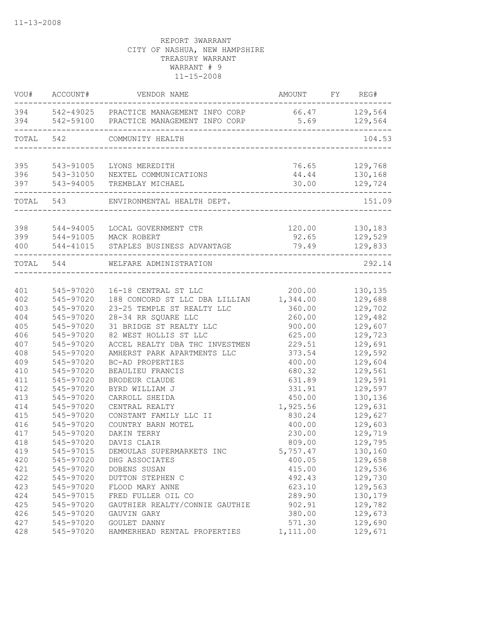|            | VOU# ACCOUNT#          | VENDOR NAME                                                   | AMOUNT FY REG#                   |                |
|------------|------------------------|---------------------------------------------------------------|----------------------------------|----------------|
|            |                        | 394 542-49025 PRACTICE MANAGEMENT INFO CORP                   | 66.47 129,564                    |                |
|            | ______________________ | 394 542-59100 PRACTICE MANAGEMENT INFO CORP<br>----------     | 5.69                             | 129,564        |
| TOTAL 542  |                        | COMMUNITY HEALTH<br>-------------------------------------     |                                  | 104.53         |
| 395        |                        | 543-91005 LYONS MEREDITH                                      | 76.65                            | 129,768        |
| 396        |                        |                                                               | 44.44                            | 130,168        |
| 397        |                        | 543-31050 NEXTEL COMMUNICATIONS<br>543-94005 TREMBLAY MICHAEL | 30.00<br>----------------------- | 129,724        |
|            |                        | -------------<br>TOTAL 543 ENVIRONMENTAL HEALTH DEPT.         |                                  | 151.09         |
|            |                        |                                                               |                                  |                |
| 398<br>399 |                        | 544-94005 LOCAL GOVERNMENT CTR                                | 120.00 130,183<br>92.65          | 129,529        |
| 400        |                        | 544-91005 MACK ROBERT<br>544-41015 STAPLES BUSINESS ADVANTAGE | 79.49                            | 129,833        |
|            | TOTAL 544              | WELFARE ADMINISTRATION                                        |                                  | 292.14         |
|            |                        |                                                               |                                  |                |
| 401        | 545-97020              | 16-18 CENTRAL ST LLC                                          |                                  | 200.00 130,135 |
| 402        | 545-97020              | 188 CONCORD ST LLC DBA LILLIAN 1,344.00                       |                                  | 129,688        |
| 403        | 545-97020              | 23-25 TEMPLE ST REALTY LLC                                    | 360.00                           | 129,702        |
| 404        | 545-97020              | 28-34 RR SQUARE LLC                                           | 260.00                           | 129,482        |
| 405        | 545-97020              | 31 BRIDGE ST REALTY LLC                                       | 900.00                           | 129,607        |
| 406        | 545-97020              | 82 WEST HOLLIS ST LLC                                         | 625.00                           | 129,723        |
| 407        | 545-97020              | ACCEL REALTY DBA THC INVESTMEN                                | 229.51                           | 129,691        |
| 408        | 545-97020              | AMHERST PARK APARTMENTS LLC                                   | 373.54                           | 129,592        |
| 409        | 545-97020              | BC-AD PROPERTIES                                              | 400.00                           | 129,604        |
| 410        | 545-97020              | BEAULIEU FRANCIS                                              | 680.32                           | 129,561        |
| 411        | 545-97020              | BRODEUR CLAUDE                                                | 631.89                           | 129,591        |
| 412        | 545-97020              | BYRD WILLIAM J                                                | 331.91                           | 129,597        |
| 413        | 545-97020              | CARROLL SHEIDA                                                | 450.00                           | 130,136        |
| 414        | 545-97020              | CENTRAL REALTY                                                | 1,925.56                         | 129,631        |
| 415        | 545-97020              | CONSTANT FAMILY LLC II                                        | 830.24                           | 129,627        |
| 416        | 545-97020              | COUNTRY BARN MOTEL                                            | 400.00                           | 129,603        |
| 417        | 545-97020              | DAKIN TERRY                                                   | 230.00                           | 129,719        |
| 418        | 545-97020              | DAVIS CLAIR                                                   | 809.00                           | 129,795        |
| 419        | 545-97015              | DEMOULAS SUPERMARKETS INC                                     | 5,757.47                         | 130,160        |
| 420        | 545-97020              | DHG ASSOCIATES                                                | 400.05                           | 129,658        |
| 421        | 545-97020              | DOBENS SUSAN                                                  | 415.00                           | 129,536        |
| 422        | 545-97020              | DUTTON STEPHEN C                                              | 492.43                           | 129,730        |
| 423        | 545-97020              | FLOOD MARY ANNE                                               | 623.10                           | 129,563        |
| 424        | 545-97015              | FRED FULLER OIL CO                                            | 289.90                           | 130,179        |
| 425        | 545-97020              | GAUTHIER REALTY/CONNIE GAUTHIE                                | 902.91                           | 129,782        |
| 426        | 545-97020              | GAUVIN GARY                                                   | 380.00                           | 129,673        |
| 427        | 545-97020              | GOULET DANNY                                                  | 571.30                           | 129,690        |
| 428        | 545-97020              | HAMMERHEAD RENTAL PROPERTIES                                  | 1,111.00                         | 129,671        |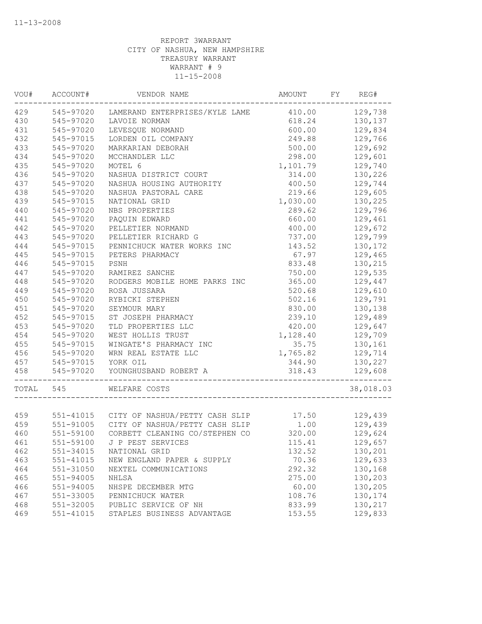| VOU#  | ACCOUNT#  | VENDOR NAME                                                                          | AMOUNT   | FY | REG#      |
|-------|-----------|--------------------------------------------------------------------------------------|----------|----|-----------|
| 429   |           | 545-97020 LAMERAND ENTERPRISES/KYLE LAME                                             | 410.00   |    | 129,738   |
| 430   | 545-97020 | LAVOIE NORMAN                                                                        | 618.24   |    | 130,137   |
| 431   | 545-97020 | LEVESQUE NORMAND                                                                     | 600.00   |    | 129,834   |
| 432   | 545-97015 | LORDEN OIL COMPANY                                                                   | 249.88   |    | 129,766   |
| 433   | 545-97020 | MARKARIAN DEBORAH                                                                    | 500.00   |    | 129,692   |
| 434   | 545-97020 | MCCHANDLER LLC                                                                       | 298.00   |    | 129,601   |
| 435   | 545-97020 | MOTEL 6                                                                              | 1,101.79 |    | 129,740   |
| 436   | 545-97020 | NASHUA DISTRICT COURT                                                                | 314.00   |    | 130,226   |
| 437   | 545-97020 | NASHUA HOUSING AUTHORITY                                                             | 400.50   |    | 129,744   |
| 438   | 545-97020 | NASHUA PASTORAL CARE                                                                 | 219.66   |    | 129,605   |
| 439   | 545-97015 | NATIONAL GRID                                                                        | 1,030.00 |    | 130,225   |
| 440   | 545-97020 | NBS PROPERTIES                                                                       | 289.62   |    | 129,796   |
| 441   | 545-97020 | PAQUIN EDWARD                                                                        | 660.00   |    | 129,461   |
| 442   | 545-97020 | PELLETIER NORMAND                                                                    | 400.00   |    | 129,672   |
| 443   | 545-97020 | PELLETIER RICHARD G                                                                  | 737.00   |    | 129,799   |
| 444   | 545-97015 | PENNICHUCK WATER WORKS INC                                                           | 143.52   |    | 130,172   |
| 445   | 545-97015 | PETERS PHARMACY                                                                      | 67.97    |    | 129,465   |
| 446   | 545-97015 | PSNH                                                                                 | 833.48   |    | 130,215   |
| 447   | 545-97020 | RAMIREZ SANCHE                                                                       | 750.00   |    | 129,535   |
| 448   | 545-97020 | RODGERS MOBILE HOME PARKS INC                                                        | 365.00   |    | 129,447   |
| 449   | 545-97020 | ROSA JUSSARA                                                                         | 520.68   |    | 129,610   |
| 450   | 545-97020 | RYBICKI STEPHEN                                                                      | 502.16   |    | 129,791   |
| 451   | 545-97020 | SEYMOUR MARY                                                                         | 830.00   |    | 130,138   |
| 452   | 545-97015 | ST JOSEPH PHARMACY                                                                   | 239.10   |    | 129,489   |
| 453   | 545-97020 | TLD PROPERTIES LLC                                                                   | 420.00   |    | 129,647   |
| 454   | 545-97020 | WEST HOLLIS TRUST                                                                    | 1,128.40 |    | 129,709   |
| 455   | 545-97015 | WINGATE'S PHARMACY INC                                                               | 35.75    |    | 130,161   |
| 456   | 545-97020 | WRN REAL ESTATE LLC                                                                  | 1,765.82 |    | 129,714   |
| 457   | 545-97015 | YORK OIL                                                                             | 344.90   |    | 130,227   |
| 458   | 545-97020 | YOUNGHUSBAND ROBERT A                                                                | 318.43   |    | 129,608   |
|       |           |                                                                                      |          |    |           |
| TOTAL | 545       | WELFARE COSTS                                                                        |          |    | 38,018.03 |
|       |           |                                                                                      |          |    |           |
| 459   |           | 551-41015 CITY OF NASHUA/PETTY CASH SLIP<br>551-91005 CITY OF NASHUA/PETTY CASH SLIP | 17.50    |    | 129,439   |
| 459   |           |                                                                                      | 1.00     |    | 129,439   |
| 460   | 551-59100 | CORBETT CLEANING CO/STEPHEN CO                                                       | 320.00   |    | 129,624   |
| 461   |           | 551-59100 J P PEST SERVICES                                                          | 115.41   |    | 129,657   |
| 462   | 551-34015 | NATIONAL GRID                                                                        | 132.52   |    | 130,201   |
| 463   | 551-41015 | NEW ENGLAND PAPER & SUPPLY                                                           | 70.36    |    | 129,633   |
| 464   | 551-31050 | NEXTEL COMMUNICATIONS                                                                | 292.32   |    | 130,168   |
| 465   | 551-94005 | NHLSA                                                                                | 275.00   |    | 130,203   |
| 466   | 551-94005 | NHSPE DECEMBER MTG                                                                   | 60.00    |    | 130,205   |
| 467   | 551-33005 | PENNICHUCK WATER                                                                     | 108.76   |    | 130,174   |
| 468   | 551-32005 | PUBLIC SERVICE OF NH                                                                 | 833.99   |    | 130,217   |
| 469   | 551-41015 | STAPLES BUSINESS ADVANTAGE                                                           | 153.55   |    | 129,833   |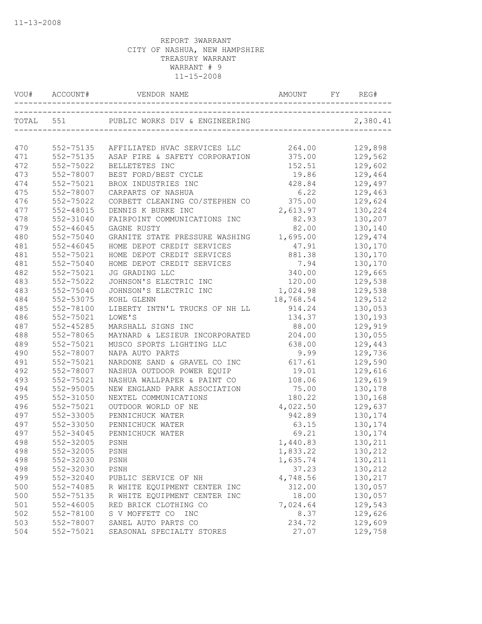|           | VOU# ACCOUNT# |                                     | AMOUNT    | REG#     |
|-----------|---------------|-------------------------------------|-----------|----------|
| TOTAL 551 |               | PUBLIC WORKS DIV & ENGINEERING      |           | 2,380.41 |
|           |               |                                     |           |          |
| 470       | 552-75135     | AFFILIATED HVAC SERVICES LLC        | 264.00    | 129,898  |
| 471       | 552-75135     | ASAP FIRE & SAFETY CORPORATION      | 375.00    | 129,562  |
| 472       | 552-75022     | BELLETETES INC                      | 152.51    | 129,602  |
| 473       | 552-78007     | BEST FORD/BEST CYCLE                | 19.86     | 129,464  |
| 474       | 552-75021     | BROX INDUSTRIES INC                 | 428.84    | 129,497  |
| 475       | 552-78007     | CARPARTS OF NASHUA                  | 6.22      | 129,463  |
| 476       | 552-75022     | CORBETT CLEANING CO/STEPHEN CO      | 375.00    | 129,624  |
| 477       | 552-48015     | DENNIS K BURKE INC                  | 2,613.97  | 130,224  |
| 478       | 552-31040     | FAIRPOINT COMMUNICATIONS INC        | 82.93     | 130,207  |
| 479       | 552-46045     | GAGNE RUSTY                         | 82.00     | 130,140  |
| 480       | 552-75040     | GRANITE STATE PRESSURE WASHING      | 1,695.00  | 129,474  |
| 481       | $552 - 46045$ | HOME DEPOT CREDIT SERVICES          | 47.91     | 130,170  |
| 481       | 552-75021     | HOME DEPOT CREDIT SERVICES          | 881.38    | 130,170  |
| 481       | 552-75040     | HOME DEPOT CREDIT SERVICES          | 7.94      | 130,170  |
| 482       | 552-75021     | JG GRADING LLC                      | 340.00    | 129,665  |
| 483       | 552-75022     | JOHNSON'S ELECTRIC INC              | 120.00    | 129,538  |
| 483       | 552-75040     | JOHNSON'S ELECTRIC INC              | 1,024.98  | 129,538  |
| 484       | 552-53075     | KOHL GLENN                          | 18,768.54 | 129,512  |
| 485       | 552-78100     | LIBERTY INTN'L TRUCKS OF NH LL      | 914.24    | 130,053  |
| 486       | 552-75021     | LOWE'S                              | 134.37    | 130,193  |
| 487       | 552-45285     | MARSHALL SIGNS INC                  | 88.00     | 129,919  |
| 488       | 552-78065     | MAYNARD & LESIEUR INCORPORATED      | 204.00    | 130,055  |
| 489       | 552-75021     | MUSCO SPORTS LIGHTING LLC           | 638.00    | 129,443  |
| 490       | 552-78007     | NAPA AUTO PARTS                     | 9.99      | 129,736  |
| 491       | 552-75021     | NARDONE SAND & GRAVEL CO INC 617.61 |           | 129,590  |
| 492       | 552-78007     | NASHUA OUTDOOR POWER EQUIP          | 19.01     | 129,616  |
| 493       | 552-75021     | NASHUA WALLPAPER & PAINT CO         | 108.06    | 129,619  |
| 494       | 552-95005     | NEW ENGLAND PARK ASSOCIATION        | 75.00     | 130,178  |
| 495       | 552-31050     | NEXTEL COMMUNICATIONS               | 180.22    | 130,168  |
| 496       | 552-75021     | OUTDOOR WORLD OF NE                 | 4,022.50  | 129,637  |
| 497       | 552-33005     | PENNICHUCK WATER                    | 942.89    | 130,174  |
| 497       | 552-33050     | PENNICHUCK WATER                    | 63.15     | 130,174  |
| 497       | 552-34045     | PENNICHUCK WATER                    | 69.21     | 130,174  |
| 498       | 552-32005     | PSNH                                | 1,440.83  | 130,211  |
| 498       | 552-32005     | PSNH                                | 1,833.22  | 130,212  |
| 498       | 552-32030     | PSNH                                | 1,635.74  | 130,211  |
| 498       | 552-32030     | PSNH                                | 37.23     | 130,212  |
| 499       | 552-32040     | PUBLIC SERVICE OF NH                | 4,748.56  | 130,217  |
| 500       | 552-74085     | R WHITE EQUIPMENT CENTER INC        | 312.00    | 130,057  |
| 500       | 552-75135     | R WHITE EQUIPMENT CENTER INC        | 18.00     | 130,057  |
| 501       | $552 - 46005$ | RED BRICK CLOTHING CO               | 7,024.64  | 129,543  |
| 502       | 552-78100     | S V MOFFETT CO<br>INC               | 8.37      | 129,626  |
| 503       | 552-78007     | SANEL AUTO PARTS CO                 | 234.72    | 129,609  |
| 504       | 552-75021     | SEASONAL SPECIALTY STORES           | 27.07     | 129,758  |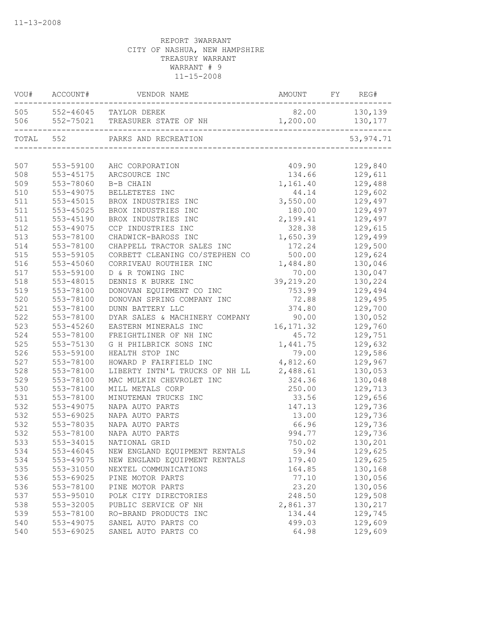|           | VOU# ACCOUNT# | ${\tt VENDOR\quad} \verb NAME  ~~ {\tt AMOUNT} ~~ {\tt FY} ~~ {\tt REG} \tag*{}$               |                  |                |
|-----------|---------------|------------------------------------------------------------------------------------------------|------------------|----------------|
|           |               | 505 552-46045 TAYLOR DEREK                                                                     |                  | 82.00 130,139  |
|           |               | 506 552-75021 TREASURER STATE OF NH 1,200.00 130,177<br>-------------------------------------- |                  | ----------     |
| TOTAL 552 |               | PARKS AND RECREATION                                                                           |                  | 53, 974.71     |
|           |               |                                                                                                |                  |                |
| 507       |               | 553-59100 AHC CORPORATION                                                                      | 409.90           | 129,840        |
| 508       | 553-45175     | ARCSOURCE INC                                                                                  | 134.66           | 129,611        |
| 509       | 553-78060     | B-B CHAIN                                                                                      | 1,161.40         | 129,488        |
| 510       | 553-49075     | BELLETETES INC                                                                                 | 44.14            | 129,602        |
| 511       | 553-45015     | BROX INDUSTRIES INC                                                                            | 3,550.00 129,497 |                |
| 511       | 553-45025     | BROX INDUSTRIES INC                                                                            |                  | 180.00 129,497 |
| 511       | 553-45190     | BROX INDUSTRIES INC                                                                            | 2,199.41         | 129,497        |
| 512       | 553-49075     | CCP INDUSTRIES INC                                                                             | 328.38           | 129,615        |
| 513       | 553-78100     | CHADWICK-BAROSS INC                                                                            | 1,650.39         | 129,499        |
| 514       | 553-78100     | CHAPPELL TRACTOR SALES INC                                                                     | 172.24           | 129,500        |
| 515       | 553-59105     | CORBETT CLEANING CO/STEPHEN CO                                                                 | 500.00           | 129,624        |
| 516       | 553-45060     | CORRIVEAU ROUTHIER INC                                                                         | 1,484.80         | 130,046        |
| 517       | 553-59100     | D & R TOWING INC                                                                               | 70.00            | 130,047        |
| 518       | 553-48015     | DENNIS K BURKE INC                                                                             | 39,219.20        | 130,224        |
| 519       | 553-78100     | DONOVAN EQUIPMENT CO INC                                                                       | 753.99           | 129,494        |
| 520       | 553-78100     | DONOVAN SPRING COMPANY INC                                                                     | 72.88            | 129,495        |
| 521       | 553-78100     | DUNN BATTERY LLC                                                                               | 374.80           | 129,700        |
| 522       | 553-78100     | DYAR SALES & MACHINERY COMPANY 90.00                                                           |                  | 130,052        |
| 523       | 553-45260     | EASTERN MINERALS INC                                                                           | 16, 171.32       | 129,760        |
| 524       | 553-78100     | FREIGHTLINER OF NH INC                                                                         | 45.72            | 129,751        |
| 525       | 553-75130     | G H PHILBRICK SONS INC                                                                         | 1,441.75         | 129,632        |
| 526       | 553-59100     | HEALTH STOP INC                                                                                | 79.00            | 129,586        |
| 527       | 553-78100     | HOWARD P FAIRFIELD INC                                                                         | 4,812.60         | 129,967        |
| 528       | 553-78100     | LIBERTY INTN'L TRUCKS OF NH LL 2,488.61                                                        |                  | 130,053        |
| 529       | 553-78100     | MAC MULKIN CHEVROLET INC                                                                       | 324.36           | 130,048        |
| 530       | 553-78100     | MILL METALS CORP                                                                               | 250.00           | 129,713        |
| 531       | 553-78100     | MINUTEMAN TRUCKS INC                                                                           | 33.56            | 129,656        |
| 532       | 553-49075     | NAPA AUTO PARTS                                                                                | 147.13           | 129,736        |
| 532       | 553-69025     | NAPA AUTO PARTS                                                                                | 13.00            | 129,736        |
| 532       | 553-78035     | NAPA AUTO PARTS                                                                                | 66.96            | 129,736        |
| 532       | 553-78100     | NAPA AUTO PARTS                                                                                | 994.77           | 129,736        |
| 533       |               | 553-34015 NATIONAL GRID                                                                        | 750.02           | 130,201        |
| 534       | 553-46045     | NEW ENGLAND EQUIPMENT RENTALS                                                                  | 59.94            | 129,625        |
| 534       | 553-49075     | NEW ENGLAND EQUIPMENT RENTALS                                                                  | 179.40           | 129,625        |
| 535       | 553-31050     | NEXTEL COMMUNICATIONS                                                                          | 164.85           | 130,168        |
| 536       | 553-69025     | PINE MOTOR PARTS                                                                               | 77.10            | 130,056        |
| 536       | 553-78100     | PINE MOTOR PARTS                                                                               | 23.20            | 130,056        |
| 537       | 553-95010     | POLK CITY DIRECTORIES                                                                          | 248.50           | 129,508        |
| 538       | 553-32005     | PUBLIC SERVICE OF NH                                                                           | 2,861.37         | 130,217        |
| 539       | 553-78100     | RO-BRAND PRODUCTS INC                                                                          | 134.44           | 129,745        |
| 540       | 553-49075     | SANEL AUTO PARTS CO                                                                            | 499.03           | 129,609        |
| 540       | 553-69025     | SANEL AUTO PARTS CO                                                                            | 64.98            | 129,609        |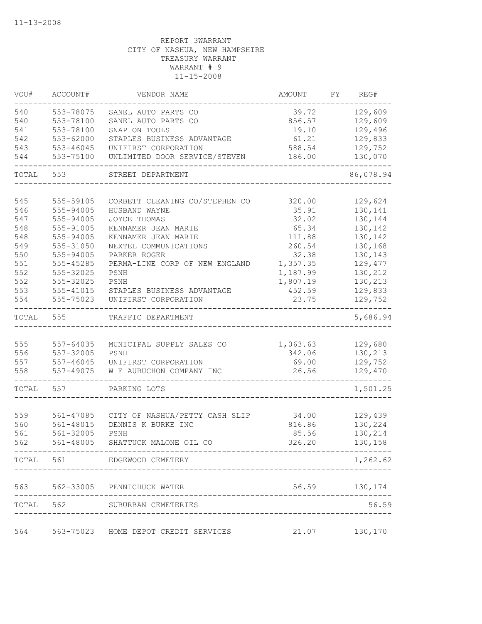| VOU#       | ACCOUNT#               | VENDOR NAME                              | AMOUNT          | FY | REG#               |
|------------|------------------------|------------------------------------------|-----------------|----|--------------------|
| 540        | 553-78075              | SANEL AUTO PARTS CO                      | 39.72           |    | 129,609            |
| 540        | 553-78100              | SANEL AUTO PARTS CO                      | 856.57          |    | 129,609            |
| 541        | 553-78100              | SNAP ON TOOLS                            | 19.10           |    | 129,496            |
| 542        | 553-62000              | STAPLES BUSINESS ADVANTAGE               | 61.21           |    | 129,833            |
| 543        | 553-46045              | UNIFIRST CORPORATION                     | 588.54          |    | 129,752            |
| 544        | 553-75100              | UNLIMITED DOOR SERVICE/STEVEN            | 186.00          |    | 130,070            |
| TOTAL      | 553                    | STREET DEPARTMENT                        |                 |    | 86,078.94          |
|            |                        |                                          |                 |    |                    |
| 545        | 555-59105              | CORBETT CLEANING CO/STEPHEN CO           | 320.00          |    | 129,624            |
| 546        | 555-94005              | HUSBAND WAYNE                            | 35.91           |    | 130,141            |
| 547        | 555-94005              | JOYCE THOMAS                             | 32.02           |    | 130,144            |
| 548        | 555-91005              | KENNAMER JEAN MARIE                      | 65.34           |    | 130,142            |
| 548        | 555-94005              | KENNAMER JEAN MARIE                      | 111.88          |    | 130,142            |
| 549<br>550 | 555-31050<br>555-94005 | NEXTEL COMMUNICATIONS<br>PARKER ROGER    | 260.54<br>32.38 |    | 130,168<br>130,143 |
| 551        | 555-45285              | PERMA-LINE CORP OF NEW ENGLAND           | 1,357.35        |    | 129,477            |
| 552        | 555-32025              | PSNH                                     | 1,187.99        |    | 130,212            |
| 552        | 555-32025              | PSNH                                     | 1,807.19        |    | 130,213            |
| 553        | 555-41015              | STAPLES BUSINESS ADVANTAGE               | 452.59          |    | 129,833            |
| 554        | 555-75023              | UNIFIRST CORPORATION                     | 23.75           |    | 129,752            |
| TOTAL      | 555                    | TRAFFIC DEPARTMENT                       |                 |    | 5,686.94           |
|            |                        |                                          |                 |    |                    |
| 555        | 557-64035              | MUNICIPAL SUPPLY SALES CO                | 1,063.63        |    | 129,680            |
| 556        | 557-32005              | PSNH                                     | 342.06          |    | 130,213            |
| 557        | 557-46045              | UNIFIRST CORPORATION                     | 69.00           |    | 129,752            |
| 558        | 557-49075              | W E AUBUCHON COMPANY INC                 | 26.56           |    | 129,470            |
| TOTAL      | 557                    | PARKING LOTS                             |                 |    | 1,501.25           |
|            |                        |                                          |                 |    |                    |
| 559        | 561-47085              | CITY OF NASHUA/PETTY CASH SLIP           | 34.00           |    | 129,439            |
| 560        | 561-48015              | DENNIS K BURKE INC                       | 816.86          |    | 130,224            |
| 561        | 561-32005              | PSNH                                     | 85.56           |    | 130,214            |
| 562        | 561-48005              | SHATTUCK MALONE OIL CO<br>-------------- | 326.20          |    | 130,158            |
|            |                        | TOTAL 561 EDGEWOOD CEMETERY              |                 |    | 1,262.62           |
|            |                        | 563 562-33005 PENNICHUCK WATER           |                 |    | 56.59 130,174      |
|            |                        | TOTAL 562 SUBURBAN CEMETERIES            |                 |    | 56.59              |
|            |                        |                                          |                 |    |                    |
| 564        |                        | 563-75023 HOME DEPOT CREDIT SERVICES     |                 |    | 21.07 130,170      |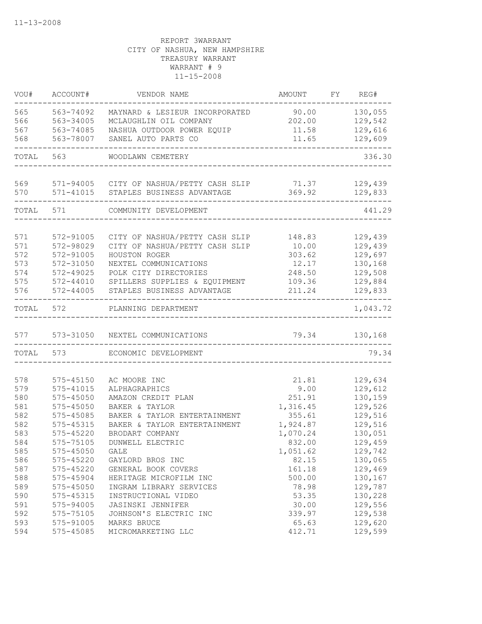| VOU#  | ACCOUNT#      | VENDOR NAME                                    | <b>AMOUNT</b> | FY | REG#               |
|-------|---------------|------------------------------------------------|---------------|----|--------------------|
| 565   | 563-74092     | MAYNARD & LESIEUR INCORPORATED                 | 90.00         |    | 130,055            |
| 566   | 563-34005     | MCLAUGHLIN OIL COMPANY                         | 202.00        |    | 129,542            |
| 567   | 563-74085     | NASHUA OUTDOOR POWER EQUIP                     | 11.58         |    | 129,616            |
| 568   | 563-78007     | SANEL AUTO PARTS CO                            | 11.65         |    | 129,609            |
| TOTAL | 563           | WOODLAWN CEMETERY                              |               |    | 336.30             |
| 569   |               | 571-94005 CITY OF NASHUA/PETTY CASH SLIP 71.37 |               |    | 129,439            |
| 570   | 571-41015     | STAPLES BUSINESS ADVANTAGE                     | 369.92        |    | 129,833            |
| TOTAL | 571           | COMMUNITY DEVELOPMENT                          |               |    | 441.29             |
| 571   | 572-91005     | CITY OF NASHUA/PETTY CASH SLIP                 | 148.83        |    | 129,439            |
| 571   | 572-98029     | CITY OF NASHUA/PETTY CASH SLIP                 | 10.00         |    | 129,439            |
| 572   | 572-91005     | HOUSTON ROGER                                  | 303.62        |    | 129,697            |
| 573   | 572-31050     | NEXTEL COMMUNICATIONS                          | 12.17         |    | 130,168            |
| 574   | 572-49025     | POLK CITY DIRECTORIES                          | 248.50        |    | 129,508            |
| 575   | 572-44010     | SPILLERS SUPPLIES & EQUIPMENT                  | 109.36        |    | 129,884            |
| 576   | $572 - 44005$ | STAPLES BUSINESS ADVANTAGE                     | 211.24        |    | 129,833            |
| TOTAL | 572           | PLANNING DEPARTMENT                            |               |    | 1,043.72           |
| 577   | 573-31050     | NEXTEL COMMUNICATIONS                          | 79.34         |    | 130,168            |
| TOTAL | 573           | ECONOMIC DEVELOPMENT                           |               |    | 79.34              |
|       |               |                                                |               |    |                    |
| 578   | 575-45150     | AC MOORE INC                                   | 21.81         |    | 129,634            |
| 579   | 575-41015     | ALPHAGRAPHICS                                  | 9.00          |    | 129,612            |
| 580   | 575-45050     | AMAZON CREDIT PLAN                             | 251.91        |    | 130,159            |
| 581   | 575-45050     | BAKER & TAYLOR                                 | 1,316.45      |    | 129,526            |
| 582   | 575-45085     | BAKER & TAYLOR ENTERTAINMENT                   | 355.61        |    | 129,516            |
| 582   | 575-45315     | BAKER & TAYLOR ENTERTAINMENT                   | 1,924.87      |    | 129,516            |
| 583   | 575-45220     | BRODART COMPANY                                | 1,070.24      |    | 130,051            |
| 584   | 575-75105     | DUNWELL ELECTRIC                               | 832.00        |    | 129,459            |
| 585   | 575-45050     | GALE                                           | 1,051.62      |    | 129,742            |
| 586   | 575-45220     | GAYLORD BROS INC                               | 82.15         |    | 130,065            |
| 587   | 575-45220     | GENERAL BOOK COVERS                            | 161.18        |    | 129,469            |
| 588   | 575-45904     | HERITAGE MICROFILM INC                         | 500.00        |    | 130,167            |
| 589   | $575 - 45050$ | INGRAM LIBRARY SERVICES                        | 78.98         |    | 129,787            |
| 590   | 575-45315     | INSTRUCTIONAL VIDEO                            | 53.35         |    | 130,228            |
| 591   | 575-94005     | JASINSKI JENNIFER                              | 30.00         |    | 129,556            |
| 592   | 575-75105     | JOHNSON'S ELECTRIC INC                         | 339.97        |    | 129,538            |
| 593   | 575-91005     | MARKS BRUCE                                    | 65.63         |    | 129,620<br>129,599 |
| 594   | 575-45085     | MICROMARKETING LLC                             | 412.71        |    |                    |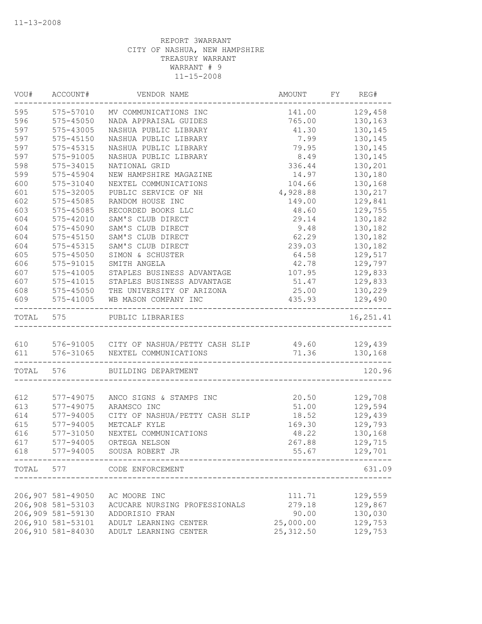|           | VOU# ACCOUNT#     | VENDOR NAME                                                | AMOUNT                      | FY REG#        |
|-----------|-------------------|------------------------------------------------------------|-----------------------------|----------------|
| 595       | 575-57010         | MV COMMUNICATIONS INC                                      |                             | 141.00 129,458 |
| 596       | $575 - 45050$     | NADA APPRAISAL GUIDES                                      | 765.00                      | 130,163        |
| 597       | 575-43005         | NASHUA PUBLIC LIBRARY                                      | 41.30                       | 130,145        |
| 597       | 575-45150         | NASHUA PUBLIC LIBRARY                                      | 7.99                        | 130,145        |
| 597       | $575 - 45315$     | NASHUA PUBLIC LIBRARY                                      | 79.95                       | 130,145        |
| 597       | 575-91005         | NASHUA PUBLIC LIBRARY                                      | 8.49                        | 130,145        |
| 598       | 575-34015         | NATIONAL GRID                                              | 336.44                      | 130,201        |
| 599       | 575-45904         | NEW HAMPSHIRE MAGAZINE                                     | 14.97                       | 130,180        |
| 600       | 575-31040         | NEXTEL COMMUNICATIONS                                      | 104.66                      | 130,168        |
| 601       | 575-32005         | PUBLIC SERVICE OF NH                                       | 4,928.88                    | 130,217        |
| 602       | 575-45085         | RANDOM HOUSE INC                                           | 149.00                      | 129,841        |
| 603       | 575-45085         | RECORDED BOOKS LLC                                         | 48.60                       | 129,755        |
| 604       | 575-42010         | SAM'S CLUB DIRECT                                          | 29.14                       | 130,182        |
| 604       | 575-45090         | SAM'S CLUB DIRECT                                          | 9.48                        | 130,182        |
| 604       | $575 - 45150$     | SAM'S CLUB DIRECT                                          | 62.29                       | 130,182        |
| 604       | 575-45315         | SAM'S CLUB DIRECT                                          | 239.03                      | 130,182        |
| 605       | 575-45050         | SIMON & SCHUSTER                                           | 64.58                       | 129,517        |
| 606       | 575-91015         | SMITH ANGELA                                               | 42.78                       | 129,797        |
| 607       | 575-41005         | STAPLES BUSINESS ADVANTAGE                                 | 107.95                      | 129,833        |
| 607       | 575-41015         | STAPLES BUSINESS ADVANTAGE                                 | 51.47                       | 129,833        |
| 608       | 575-45050         | THE UNIVERSITY OF ARIZONA                                  | 25.00                       | 130,229        |
| 609       | 575-41005         | WB MASON COMPANY INC                                       | 435.93                      | 129,490        |
| TOTAL 575 |                   | PUBLIC LIBRARIES                                           |                             | 16,251.41      |
|           |                   | 610 576-91005 CITY OF NASHUA/PETTY CASH SLIP 49.60 129,439 |                             |                |
| 611       |                   | 576-31065 NEXTEL COMMUNICATIONS                            | ___________________________ | 71.36 130,168  |
| TOTAL 576 |                   | BUILDING DEPARTMENT                                        |                             | 120.96         |
|           |                   |                                                            |                             |                |
| 612       |                   | 577-49075 ANCO SIGNS & STAMPS INC                          | 20.50                       | 129,708        |
| 613       | 577-49075         | ARAMSCO INC                                                | 51.00                       | 129,594        |
| 614       | 577-94005         | CITY OF NASHUA/PETTY CASH SLIP                             | 18.52                       | 129,439        |
| 615       | 577-94005         | METCALF KYLE                                               | 169.30                      | 129,793        |
| 616       | 577-31050         | NEXTEL COMMUNICATIONS                                      | 48.22                       | 130,168        |
| 617       | 577-94005         | ORTEGA NELSON                                              | 267.88                      | 129,715        |
| 618       | 577-94005         | SOUSA ROBERT JR                                            | 55.67                       | 129,701        |
| TOTAL     | 577               | CODE ENFORCEMENT                                           |                             | 631.09         |
|           |                   |                                                            |                             |                |
|           | 206,907 581-49050 | AC MOORE INC                                               | 111.71                      | 129,559        |
|           | 206,908 581-53103 | ACUCARE NURSING PROFESSIONALS                              | 279.18                      | 129,867        |
|           | 206,909 581-59130 | ADDORISIO FRAN                                             | 90.00                       | 130,030        |
|           | 206,910 581-53101 | ADULT LEARNING CENTER                                      | 25,000.00                   | 129,753        |
|           | 206,910 581-84030 | ADULT LEARNING CENTER                                      | 25, 312.50                  | 129,753        |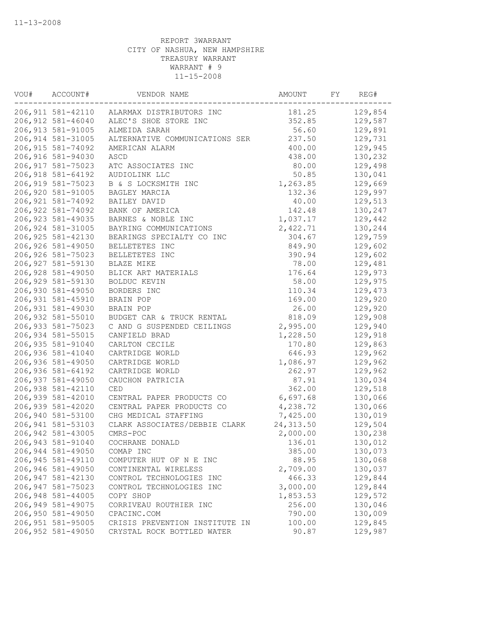| VOU# | ACCOUNT#           | VENDOR NAME                                | AMOUNT     | FY | REG#    |
|------|--------------------|--------------------------------------------|------------|----|---------|
|      |                    | 206,911 581-42110 ALARMAX DISTRIBUTORS INC | 181.25     |    | 129,854 |
|      | 206,912 581-46040  | ALEC'S SHOE STORE INC                      | 352.85     |    | 129,587 |
|      | 206, 913 581-91005 | ALMEIDA SARAH                              | 56.60      |    | 129,891 |
|      | 206, 914 581-31005 | ALTERNATIVE COMMUNICATIONS SER             | 237.50     |    | 129,731 |
|      | 206, 915 581-74092 | AMERICAN ALARM                             | 400.00     |    | 129,945 |
|      | 206,916 581-94030  | ASCD                                       | 438.00     |    | 130,232 |
|      | 206, 917 581-75023 | ATC ASSOCIATES INC                         | 80.00      |    | 129,498 |
|      | 206, 918 581-64192 | AUDIOLINK LLC                              | 50.85      |    | 130,041 |
|      | 206,919 581-75023  | B & S LOCKSMITH INC                        | 1,263.85   |    | 129,669 |
|      | 206,920 581-91005  | BAGLEY MARCIA                              | 132.36     |    | 129,997 |
|      | 206, 921 581-74092 | BAILEY DAVID                               | 40.00      |    | 129,513 |
|      | 206, 922 581-74092 | BANK OF AMERICA                            | 142.48     |    | 130,247 |
|      | 206, 923 581-49035 | BARNES & NOBLE INC                         | 1,037.17   |    | 129,442 |
|      | 206, 924 581-31005 | BAYRING COMMUNICATIONS                     | 2,422.71   |    | 130,244 |
|      | 206, 925 581-42130 | BEARINGS SPECIALTY CO INC                  | 304.67     |    | 129,759 |
|      | 206,926 581-49050  | BELLETETES INC                             | 849.90     |    | 129,602 |
|      | 206,926 581-75023  | BELLETETES INC                             | 390.94     |    | 129,602 |
|      | 206, 927 581-59130 | BLAZE MIKE                                 | 78.00      |    | 129,481 |
|      | 206,928 581-49050  | BLICK ART MATERIALS                        | 176.64     |    | 129,973 |
|      | 206,929 581-59130  | BOLDUC KEVIN                               | 58.00      |    | 129,975 |
|      | 206,930 581-49050  | BORDERS INC                                | 110.34     |    | 129,473 |
|      | 206,931 581-45910  | BRAIN POP                                  | 169.00     |    | 129,920 |
|      | 206,931 581-49030  | BRAIN POP                                  | 26.00      |    | 129,920 |
|      | 206,932 581-55010  | BUDGET CAR & TRUCK RENTAL                  | 818.09     |    | 129,908 |
|      | 206,933 581-75023  | C AND G SUSPENDED CEILINGS                 | 2,995.00   |    | 129,940 |
|      | 206,934 581-55015  | CANFIELD BRAD                              | 1,228.50   |    | 129,918 |
|      | 206,935 581-91040  | CARLTON CECILE                             | 170.80     |    | 129,863 |
|      | 206,936 581-41040  | CARTRIDGE WORLD                            | 646.93     |    | 129,962 |
|      | 206,936 581-49050  | CARTRIDGE WORLD                            | 1,086.97   |    | 129,962 |
|      | 206,936 581-64192  | CARTRIDGE WORLD                            | 262.97     |    | 129,962 |
|      | 206,937 581-49050  | CAUCHON PATRICIA                           | 87.91      |    | 130,034 |
|      | 206,938 581-42110  | CED                                        | 362.00     |    | 129,518 |
|      | 206,939 581-42010  | CENTRAL PAPER PRODUCTS CO                  | 6,697.68   |    | 130,066 |
|      | 206,939 581-42020  | CENTRAL PAPER PRODUCTS CO                  | 4,238.72   |    | 130,066 |
|      | 206,940 581-53100  | CHG MEDICAL STAFFING                       | 7,425.00   |    | 130,019 |
|      | 206, 941 581-53103 | CLARK ASSOCIATES/DEBBIE CLARK              | 24, 313.50 |    | 129,504 |
|      | 206,942 581-43005  | CMRS-POC                                   | 2,000.00   |    | 130,238 |
|      | 206,943 581-91040  | COCHRANE DONALD                            | 136.01     |    | 130,012 |
|      | 206,944 581-49050  | COMAP INC                                  | 385.00     |    | 130,073 |
|      | 206,945 581-49110  | COMPUTER HUT OF N E INC                    | 88.95      |    | 130,068 |
|      | 206,946 581-49050  | CONTINENTAL WIRELESS                       | 2,709.00   |    | 130,037 |
|      | 206,947 581-42130  | CONTROL TECHNOLOGIES INC                   | 466.33     |    | 129,844 |
|      | 206,947 581-75023  | CONTROL TECHNOLOGIES INC                   | 3,000.00   |    | 129,844 |
|      | 206,948 581-44005  | COPY SHOP                                  | 1,853.53   |    | 129,572 |
|      | 206,949 581-49075  | CORRIVEAU ROUTHIER INC                     | 256.00     |    | 130,046 |
|      | 206,950 581-49050  | CPACINC.COM                                | 790.00     |    | 130,009 |
|      | 206,951 581-95005  | CRISIS PREVENTION INSTITUTE IN             | 100.00     |    | 129,845 |
|      | 206,952 581-49050  | CRYSTAL ROCK BOTTLED WATER                 | 90.87      |    | 129,987 |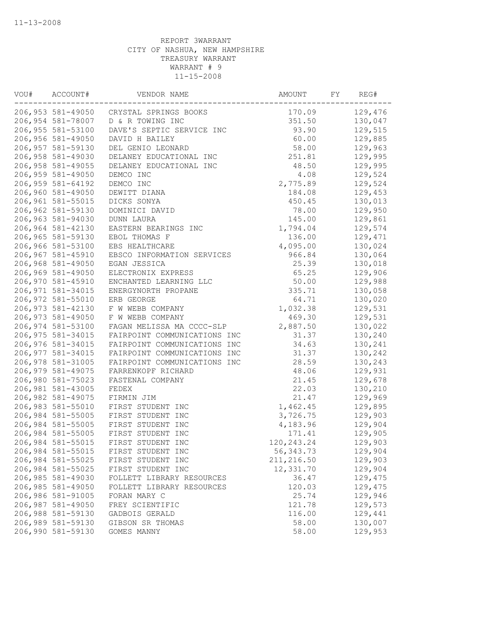| VOU# | ACCOUNT#          | VENDOR NAME                             | AMOUNT      | FY | REG#    |
|------|-------------------|-----------------------------------------|-------------|----|---------|
|      |                   | 206,953 581-49050 CRYSTAL SPRINGS BOOKS | 170.09      |    | 129,476 |
|      | 206,954 581-78007 | D & R TOWING INC                        | 351.50      |    | 130,047 |
|      | 206,955 581-53100 | DAVE'S SEPTIC SERVICE INC               | 93.90       |    | 129,515 |
|      | 206,956 581-49050 | DAVID H BAILEY                          | 60.00       |    | 129,885 |
|      | 206,957 581-59130 | DEL GENIO LEONARD                       | 58.00       |    | 129,963 |
|      | 206,958 581-49030 | DELANEY EDUCATIONAL INC                 | 251.81      |    | 129,995 |
|      | 206,958 581-49055 | DELANEY EDUCATIONAL INC                 | 48.50       |    | 129,995 |
|      | 206,959 581-49050 | DEMCO INC                               | 4.08        |    | 129,524 |
|      | 206,959 581-64192 | DEMCO INC                               | 2,775.89    |    | 129,524 |
|      | 206,960 581-49050 | DEWITT DIANA                            | 184.08      |    | 129,453 |
|      | 206,961 581-55015 | DICKS SONYA                             | 450.45      |    | 130,013 |
|      | 206,962 581-59130 | DOMINICI DAVID                          | 78.00       |    | 129,950 |
|      | 206,963 581-94030 | DUNN LAURA                              | 145.00      |    | 129,861 |
|      | 206,964 581-42130 | EASTERN BEARINGS INC                    | 1,794.04    |    | 129,574 |
|      | 206,965 581-59130 | EBOL THOMAS F                           | 136.00      |    | 129,471 |
|      | 206,966 581-53100 | EBS HEALTHCARE                          | 4,095.00    |    | 130,024 |
|      | 206,967 581-45910 | EBSCO INFORMATION SERVICES              | 966.84      |    | 130,064 |
|      | 206,968 581-49050 | EGAN JESSICA                            | 25.39       |    | 130,018 |
|      | 206,969 581-49050 | ELECTRONIX EXPRESS                      | 65.25       |    | 129,906 |
|      | 206,970 581-45910 | ENCHANTED LEARNING LLC                  | 50.00       |    | 129,988 |
|      | 206,971 581-34015 | ENERGYNORTH PROPANE                     | 335.71      |    | 130,058 |
|      | 206,972 581-55010 | ERB GEORGE                              | 64.71       |    | 130,020 |
|      | 206,973 581-42130 | F W WEBB COMPANY                        | 1,032.38    |    | 129,531 |
|      | 206,973 581-49050 | F W WEBB COMPANY                        | 469.30      |    | 129,531 |
|      | 206,974 581-53100 | FAGAN MELISSA MA CCCC-SLP               | 2,887.50    |    | 130,022 |
|      | 206,975 581-34015 | FAIRPOINT COMMUNICATIONS INC            | 31.37       |    | 130,240 |
|      | 206,976 581-34015 | FAIRPOINT COMMUNICATIONS INC            | 34.63       |    | 130,241 |
|      | 206,977 581-34015 | FAIRPOINT COMMUNICATIONS INC            | 31.37       |    | 130,242 |
|      | 206,978 581-31005 | FAIRPOINT COMMUNICATIONS INC            | 28.59       |    | 130,243 |
|      | 206,979 581-49075 | FARRENKOPF RICHARD                      | 48.06       |    | 129,931 |
|      | 206,980 581-75023 | FASTENAL COMPANY                        | 21.45       |    | 129,678 |
|      | 206,981 581-43005 | FEDEX                                   | 22.03       |    | 130,210 |
|      | 206,982 581-49075 | FIRMIN JIM                              | 21.47       |    | 129,969 |
|      | 206,983 581-55010 | FIRST STUDENT INC                       | 1,462.45    |    | 129,895 |
|      | 206,984 581-55005 | FIRST STUDENT INC                       | 3,726.75    |    | 129,903 |
|      | 206,984 581-55005 | FIRST STUDENT INC                       | 4,183.96    |    | 129,904 |
|      | 206,984 581-55005 | FIRST STUDENT INC                       | 171.41      |    | 129,905 |
|      | 206,984 581-55015 | FIRST STUDENT INC                       | 120,243.24  |    | 129,903 |
|      | 206,984 581-55015 | FIRST STUDENT INC                       | 56, 343. 73 |    | 129,904 |
|      | 206,984 581-55025 | FIRST STUDENT INC                       | 211, 216.50 |    | 129,903 |
|      | 206,984 581-55025 | FIRST STUDENT INC                       | 12,331.70   |    | 129,904 |
|      | 206,985 581-49030 | FOLLETT LIBRARY RESOURCES               | 36.47       |    | 129,475 |
|      | 206,985 581-49050 | FOLLETT LIBRARY RESOURCES               | 120.03      |    | 129,475 |
|      | 206,986 581-91005 | FORAN MARY C                            | 25.74       |    | 129,946 |
|      | 206,987 581-49050 | FREY SCIENTIFIC                         | 121.78      |    | 129,573 |
|      | 206,988 581-59130 | GADBOIS GERALD                          | 116.00      |    | 129,441 |
|      | 206,989 581-59130 | GIBSON SR THOMAS                        | 58.00       |    | 130,007 |
|      | 206,990 581-59130 | GOMES MANNY                             | 58.00       |    | 129,953 |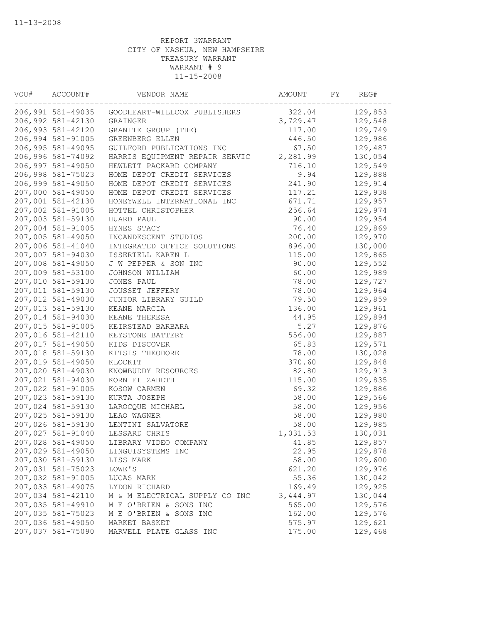| VOU# | ACCOUNT#          | VENDOR NAME                    | AMOUNT   | FY | REG#    |
|------|-------------------|--------------------------------|----------|----|---------|
|      | 206,991 581-49035 | GOODHEART-WILLCOX PUBLISHERS   | 322.04   |    | 129,853 |
|      | 206,992 581-42130 | GRAINGER                       | 3,729.47 |    | 129,548 |
|      | 206,993 581-42120 | GRANITE GROUP (THE)            | 117.00   |    | 129,749 |
|      | 206,994 581-91005 | GREENBERG ELLEN                | 446.50   |    | 129,986 |
|      | 206,995 581-49095 | GUILFORD PUBLICATIONS INC      | 67.50    |    | 129,487 |
|      | 206,996 581-74092 | HARRIS EQUIPMENT REPAIR SERVIC | 2,281.99 |    | 130,054 |
|      | 206,997 581-49050 | HEWLETT PACKARD COMPANY        | 716.10   |    | 129,549 |
|      | 206,998 581-75023 | HOME DEPOT CREDIT SERVICES     | 9.94     |    | 129,888 |
|      | 206,999 581-49050 | HOME DEPOT CREDIT SERVICES     | 241.90   |    | 129,914 |
|      | 207,000 581-49050 | HOME DEPOT CREDIT SERVICES     | 117.21   |    | 129,938 |
|      | 207,001 581-42130 | HONEYWELL INTERNATIONAL INC    | 671.71   |    | 129,957 |
|      | 207,002 581-91005 | HOTTEL CHRISTOPHER             | 256.64   |    | 129,974 |
|      | 207,003 581-59130 | HUARD PAUL                     | 90.00    |    | 129,954 |
|      | 207,004 581-91005 | HYNES STACY                    | 76.40    |    | 129,869 |
|      | 207,005 581-49050 | INCANDESCENT STUDIOS           | 200.00   |    | 129,970 |
|      | 207,006 581-41040 | INTEGRATED OFFICE SOLUTIONS    | 896.00   |    | 130,000 |
|      | 207,007 581-94030 | ISSERTELL KAREN L              | 115.00   |    | 129,865 |
|      | 207,008 581-49050 | J W PEPPER & SON INC           | 90.00    |    | 129,552 |
|      | 207,009 581-53100 | JOHNSON WILLIAM                | 60.00    |    | 129,989 |
|      | 207,010 581-59130 | JONES PAUL                     | 78.00    |    | 129,727 |
|      | 207,011 581-59130 | JOUSSET JEFFERY                | 78.00    |    | 129,964 |
|      | 207,012 581-49030 | JUNIOR LIBRARY GUILD           | 79.50    |    | 129,859 |
|      | 207,013 581-59130 | KEANE MARCIA                   | 136.00   |    | 129,961 |
|      | 207,014 581-94030 | KEANE THERESA                  | 44.95    |    | 129,894 |
|      | 207,015 581-91005 | KEIRSTEAD BARBARA              | 5.27     |    | 129,876 |
|      | 207,016 581-42110 | KEYSTONE BATTERY               | 556.00   |    | 129,887 |
|      | 207,017 581-49050 | KIDS DISCOVER                  | 65.83    |    | 129,571 |
|      | 207,018 581-59130 | KITSIS THEODORE                | 78.00    |    | 130,028 |
|      | 207,019 581-49050 | KLOCKIT                        | 370.60   |    | 129,848 |
|      | 207,020 581-49030 | KNOWBUDDY RESOURCES            | 82.80    |    | 129,913 |
|      | 207,021 581-94030 | KORN ELIZABETH                 | 115.00   |    | 129,835 |
|      | 207,022 581-91005 | KOSOW CARMEN                   | 69.32    |    | 129,886 |
|      | 207,023 581-59130 | KURTA JOSEPH                   | 58.00    |    | 129,566 |
|      | 207,024 581-59130 | LAROCQUE MICHAEL               | 58.00    |    | 129,956 |
|      | 207,025 581-59130 | LEAO WAGNER                    | 58.00    |    | 129,980 |
|      | 207,026 581-59130 | LENTINI SALVATORE              | 58.00    |    | 129,985 |
|      | 207,027 581-91040 | LESSARD CHRIS                  | 1,031.53 |    | 130,031 |
|      | 207,028 581-49050 | LIBRARY VIDEO COMPANY          | 41.85    |    | 129,857 |
|      | 207,029 581-49050 | LINGUISYSTEMS INC              | 22.95    |    | 129,878 |
|      | 207,030 581-59130 | LISS MARK                      | 58.00    |    | 129,600 |
|      | 207,031 581-75023 | LOWE'S                         | 621.20   |    | 129,976 |
|      | 207,032 581-91005 | LUCAS MARK                     | 55.36    |    | 130,042 |
|      | 207,033 581-49075 | LYDON RICHARD                  | 169.49   |    | 129,925 |
|      | 207,034 581-42110 | M & M ELECTRICAL SUPPLY CO INC | 3,444.97 |    | 130,044 |
|      | 207,035 581-49910 | M E O'BRIEN & SONS INC         | 565.00   |    | 129,576 |
|      | 207,035 581-75023 | M E O'BRIEN & SONS INC         | 162.00   |    | 129,576 |
|      | 207,036 581-49050 | MARKET BASKET                  | 575.97   |    | 129,621 |
|      | 207,037 581-75090 | MARVELL PLATE GLASS INC        | 175.00   |    | 129,468 |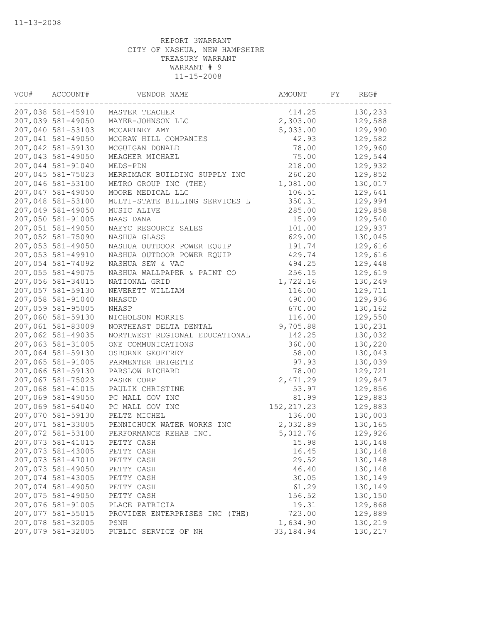| VOU# | ACCOUNT#          | VENDOR NAME                    | AMOUNT      | FY | REG#    |
|------|-------------------|--------------------------------|-------------|----|---------|
|      | 207,038 581-45910 | MASTER TEACHER                 | 414.25      |    | 130,233 |
|      | 207,039 581-49050 | MAYER-JOHNSON LLC              | 2,303.00    |    | 129,588 |
|      | 207,040 581-53103 | MCCARTNEY AMY                  | 5,033.00    |    | 129,990 |
|      | 207,041 581-49050 | MCGRAW HILL COMPANIES          | 42.93       |    | 129,582 |
|      | 207,042 581-59130 | MCGUIGAN DONALD                | 78.00       |    | 129,960 |
|      | 207,043 581-49050 | MEAGHER MICHAEL                | 75.00       |    | 129,544 |
|      | 207,044 581-91040 | MEDS-PDN                       | 218.00      |    | 129,932 |
|      | 207,045 581-75023 | MERRIMACK BUILDING SUPPLY INC  | 260.20      |    | 129,852 |
|      | 207,046 581-53100 | METRO GROUP INC (THE)          | 1,081.00    |    | 130,017 |
|      | 207,047 581-49050 | MOORE MEDICAL LLC              | 106.51      |    | 129,641 |
|      | 207,048 581-53100 | MULTI-STATE BILLING SERVICES L | 350.31      |    | 129,994 |
|      | 207,049 581-49050 | MUSIC ALIVE                    | 285.00      |    | 129,858 |
|      | 207,050 581-91005 | NAAS DANA                      | 15.09       |    | 129,540 |
|      | 207,051 581-49050 | NAEYC RESOURCE SALES           | 101.00      |    | 129,937 |
|      | 207,052 581-75090 | NASHUA GLASS                   | 629.00      |    | 130,045 |
|      | 207,053 581-49050 | NASHUA OUTDOOR POWER EQUIP     | 191.74      |    | 129,616 |
|      | 207,053 581-49910 | NASHUA OUTDOOR POWER EQUIP     | 429.74      |    | 129,616 |
|      | 207,054 581-74092 | NASHUA SEW & VAC               | 494.25      |    | 129,448 |
|      | 207,055 581-49075 | NASHUA WALLPAPER & PAINT CO    | 256.15      |    | 129,619 |
|      | 207,056 581-34015 | NATIONAL GRID                  | 1,722.16    |    | 130,249 |
|      | 207,057 581-59130 | NEVERETT WILLIAM               | 116.00      |    | 129,711 |
|      | 207,058 581-91040 | NHASCD                         | 490.00      |    | 129,936 |
|      | 207,059 581-95005 | NHASP                          | 670.00      |    | 130,162 |
|      | 207,060 581-59130 | NICHOLSON MORRIS               | 116.00      |    | 129,550 |
|      | 207,061 581-83009 | NORTHEAST DELTA DENTAL         | 9,705.88    |    | 130,231 |
|      | 207,062 581-49035 | NORTHWEST REGIONAL EDUCATIONAL | 142.25      |    | 130,032 |
|      | 207,063 581-31005 | ONE COMMUNICATIONS             | 360.00      |    | 130,220 |
|      | 207,064 581-59130 | OSBORNE GEOFFREY               | 58.00       |    | 130,043 |
|      | 207,065 581-91005 | PARMENTER BRIGETTE             | 97.93       |    | 130,039 |
|      | 207,066 581-59130 | PARSLOW RICHARD                | 78.00       |    | 129,721 |
|      | 207,067 581-75023 | PASEK CORP                     | 2,471.29    |    | 129,847 |
|      | 207,068 581-41015 | PAULIK CHRISTINE               | 53.97       |    | 129,856 |
|      | 207,069 581-49050 | PC MALL GOV INC                | 81.99       |    | 129,883 |
|      | 207,069 581-64040 | PC MALL GOV INC                | 152, 217.23 |    | 129,883 |
|      | 207,070 581-59130 | PELTZ MICHEL                   | 136.00      |    | 130,003 |
|      | 207,071 581-33005 | PENNICHUCK WATER WORKS INC     | 2,032.89    |    | 130,165 |
|      | 207,072 581-53100 | PERFORMANCE REHAB INC.         | 5,012.76    |    | 129,926 |
|      | 207,073 581-41015 | PETTY CASH                     | 15.98       |    | 130,148 |
|      | 207,073 581-43005 | PETTY CASH                     | 16.45       |    | 130,148 |
|      | 207,073 581-47010 | PETTY CASH                     | 29.52       |    | 130,148 |
|      | 207,073 581-49050 | PETTY CASH                     | 46.40       |    | 130,148 |
|      | 207,074 581-43005 | PETTY CASH                     | 30.05       |    | 130,149 |
|      | 207,074 581-49050 | PETTY CASH                     | 61.29       |    | 130,149 |
|      | 207,075 581-49050 | PETTY CASH                     | 156.52      |    | 130,150 |
|      | 207,076 581-91005 | PLACE PATRICIA                 | 19.31       |    | 129,868 |
|      | 207,077 581-55015 | PROVIDER ENTERPRISES INC (THE) | 723.00      |    | 129,889 |
|      | 207,078 581-32005 | PSNH                           | 1,634.90    |    | 130,219 |
|      | 207,079 581-32005 | PUBLIC SERVICE OF NH           | 33, 184.94  |    | 130,217 |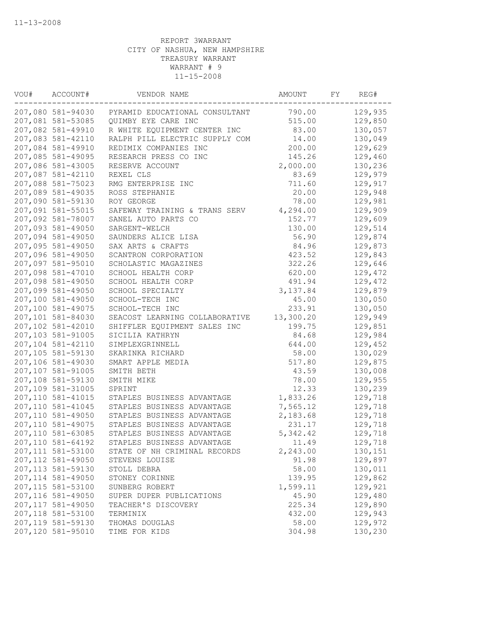| VOU# | ACCOUNT#           | VENDOR NAME                                      | AMOUNT    | FY | REG#    |
|------|--------------------|--------------------------------------------------|-----------|----|---------|
|      |                    | 207,080 581-94030 PYRAMID EDUCATIONAL CONSULTANT | 790.00    |    | 129,935 |
|      | 207,081 581-53085  | QUIMBY EYE CARE INC                              | 515.00    |    | 129,850 |
|      | 207,082 581-49910  | R WHITE EQUIPMENT CENTER INC                     | 83.00     |    | 130,057 |
|      | 207,083 581-42110  | RALPH PILL ELECTRIC SUPPLY COM                   | 14.00     |    | 130,049 |
|      | 207,084 581-49910  | REDIMIX COMPANIES INC                            | 200.00    |    | 129,629 |
|      | 207,085 581-49095  | RESEARCH PRESS CO INC                            | 145.26    |    | 129,460 |
|      | 207,086 581-43005  | RESERVE ACCOUNT                                  | 2,000.00  |    | 130,236 |
|      | 207,087 581-42110  | REXEL CLS                                        | 83.69     |    | 129,979 |
|      | 207,088 581-75023  | RMG ENTERPRISE INC                               | 711.60    |    | 129,917 |
|      | 207,089 581-49035  | ROSS STEPHANIE                                   | 20.00     |    | 129,948 |
|      | 207,090 581-59130  | ROY GEORGE                                       | 78.00     |    | 129,981 |
|      | 207,091 581-55015  | SAFEWAY TRAINING & TRANS SERV                    | 4,294.00  |    | 129,909 |
|      | 207,092 581-78007  | SANEL AUTO PARTS CO                              | 152.77    |    | 129,609 |
|      | 207,093 581-49050  | SARGENT-WELCH                                    | 130.00    |    | 129,514 |
|      | 207,094 581-49050  | SAUNDERS ALICE LISA                              | 56.90     |    | 129,874 |
|      | 207,095 581-49050  | SAX ARTS & CRAFTS                                | 84.96     |    | 129,873 |
|      | 207,096 581-49050  | SCANTRON CORPORATION                             | 423.52    |    | 129,843 |
|      | 207,097 581-95010  | SCHOLASTIC MAGAZINES                             | 322.26    |    | 129,646 |
|      | 207,098 581-47010  | SCHOOL HEALTH CORP                               | 620.00    |    | 129,472 |
|      | 207,098 581-49050  | SCHOOL HEALTH CORP                               | 491.94    |    | 129,472 |
|      | 207,099 581-49050  | SCHOOL SPECIALTY                                 | 3, 137.84 |    | 129,879 |
|      | 207,100 581-49050  | SCHOOL-TECH INC                                  | 45.00     |    | 130,050 |
|      | 207,100 581-49075  | SCHOOL-TECH INC                                  | 233.91    |    | 130,050 |
|      | 207,101 581-84030  | SEACOST LEARNING COLLABORATIVE                   | 13,300.20 |    | 129,949 |
|      | 207,102 581-42010  | SHIFFLER EQUIPMENT SALES INC                     | 199.75    |    | 129,851 |
|      | 207,103 581-91005  | SICILIA KATHRYN                                  | 84.68     |    | 129,984 |
|      | 207,104 581-42110  | SIMPLEXGRINNELL                                  | 644.00    |    | 129,452 |
|      | 207,105 581-59130  | SKARINKA RICHARD                                 | 58.00     |    | 130,029 |
|      | 207,106 581-49030  | SMART APPLE MEDIA                                | 517.80    |    | 129,875 |
|      | 207,107 581-91005  | SMITH BETH                                       | 43.59     |    | 130,008 |
|      | 207,108 581-59130  | SMITH MIKE                                       | 78.00     |    | 129,955 |
|      | 207,109 581-31005  | SPRINT                                           | 12.33     |    | 130,239 |
|      | 207,110 581-41015  | STAPLES BUSINESS ADVANTAGE                       | 1,833.26  |    | 129,718 |
|      | 207,110 581-41045  | STAPLES BUSINESS ADVANTAGE                       | 7,565.12  |    | 129,718 |
|      | 207,110 581-49050  | STAPLES BUSINESS ADVANTAGE                       | 2,183.68  |    | 129,718 |
|      | 207,110 581-49075  | STAPLES BUSINESS ADVANTAGE                       | 231.17    |    | 129,718 |
|      | 207,110 581-63085  | STAPLES BUSINESS ADVANTAGE                       | 5,342.42  |    | 129,718 |
|      | 207,110 581-64192  | STAPLES BUSINESS ADVANTAGE                       | 11.49     |    | 129,718 |
|      | 207,111 581-53100  | STATE OF NH CRIMINAL RECORDS                     | 2,243.00  |    | 130,151 |
|      | 207,112 581-49050  | STEVENS LOUISE                                   | 91.98     |    | 129,897 |
|      | 207,113 581-59130  | STOLL DEBRA                                      | 58.00     |    | 130,011 |
|      | 207, 114 581-49050 | STONEY CORINNE                                   | 139.95    |    | 129,862 |
|      | 207,115 581-53100  | SUNBERG ROBERT                                   | 1,599.11  |    | 129,921 |
|      | 207,116 581-49050  | SUPER DUPER PUBLICATIONS                         | 45.90     |    | 129,480 |
|      | 207,117 581-49050  | TEACHER'S DISCOVERY                              | 225.34    |    | 129,890 |
|      | 207,118 581-53100  | TERMINIX                                         | 432.00    |    | 129,943 |
|      | 207,119 581-59130  | THOMAS DOUGLAS                                   | 58.00     |    | 129,972 |
|      | 207,120 581-95010  | TIME FOR KIDS                                    | 304.98    |    | 130,230 |
|      |                    |                                                  |           |    |         |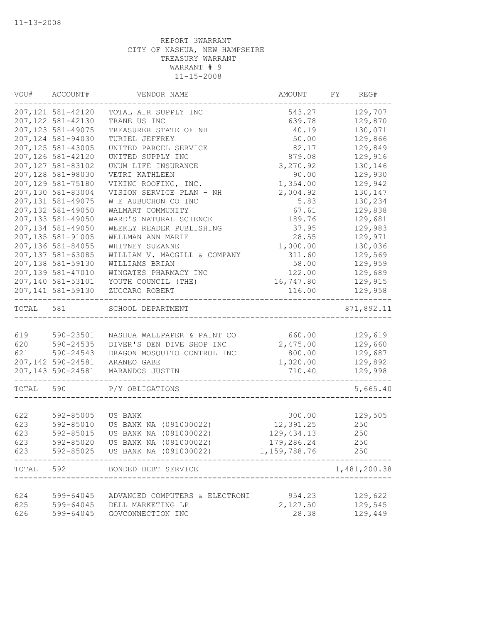| VOU#  | ACCOUNT#           | VENDOR NAME                    | AMOUNT       | FY | REG#         |
|-------|--------------------|--------------------------------|--------------|----|--------------|
|       | 207, 121 581-42120 | TOTAL AIR SUPPLY INC           | 543.27       |    | 129,707      |
|       | 207,122 581-42130  | TRANE US INC                   | 639.78       |    | 129,870      |
|       | 207, 123 581-49075 | TREASURER STATE OF NH          | 40.19        |    | 130,071      |
|       | 207,124 581-94030  | TURIEL JEFFREY                 | 50.00        |    | 129,866      |
|       | 207,125 581-43005  | UNITED PARCEL SERVICE          | 82.17        |    | 129,849      |
|       | 207,126 581-42120  | UNITED SUPPLY INC              | 879.08       |    | 129,916      |
|       | 207,127 581-83102  | UNUM LIFE INSURANCE            | 3,270.92     |    | 130,146      |
|       | 207,128 581-98030  | VETRI KATHLEEN                 | 90.00        |    | 129,930      |
|       | 207,129 581-75180  | VIKING ROOFING, INC.           | 1,354.00     |    | 129,942      |
|       | 207,130 581-83004  | VISION SERVICE PLAN - NH       | 2,004.92     |    | 130,147      |
|       | 207, 131 581-49075 | W E AUBUCHON CO INC            | 5.83         |    | 130,234      |
|       | 207,132 581-49050  | WALMART COMMUNITY              | 67.61        |    | 129,838      |
|       | 207,133 581-49050  | WARD'S NATURAL SCIENCE         | 189.76       |    | 129,681      |
|       | 207,134 581-49050  | WEEKLY READER PUBLISHING       | 37.95        |    | 129,983      |
|       | 207,135 581-91005  | WELLMAN ANN MARIE              | 28.55        |    | 129,971      |
|       | 207,136 581-84055  | WHITNEY SUZANNE                | 1,000.00     |    | 130,036      |
|       | 207,137 581-63085  | WILLIAM V. MACGILL & COMPANY   | 311.60       |    | 129,569      |
|       | 207,138 581-59130  | WILLIAMS BRIAN                 | 58.00        |    | 129,959      |
|       | 207,139 581-47010  | WINGATES PHARMACY INC          | 122.00       |    | 129,689      |
|       | 207,140 581-53101  | YOUTH COUNCIL (THE)            | 16,747.80    |    | 129,915      |
|       | 207,141 581-59130  | ZUCCARO ROBERT                 | 116.00       |    | 129,958      |
| TOTAL | 581                | SCHOOL DEPARTMENT              |              |    | 871,892.11   |
|       |                    |                                |              |    |              |
| 619   | 590-23501          | NASHUA WALLPAPER & PAINT CO    | 660.00       |    | 129,619      |
| 620   | 590-24535          | DIVER'S DEN DIVE SHOP INC      | 2,475.00     |    | 129,660      |
| 621   | 590-24543          | DRAGON MOSQUITO CONTROL INC    | 800.00       |    | 129,687      |
|       | 207,142 590-24581  | ARANEO GABE                    | 1,020.00     |    | 129,892      |
|       | 207,143 590-24581  | MARANDOS JUSTIN                | 710.40       |    | 129,998      |
| TOTAL | 590                | P/Y OBLIGATIONS                |              |    | 5,665.40     |
|       |                    |                                |              |    |              |
| 622   | 592-85005          | US BANK                        | 300.00       |    | 129,505      |
| 623   | 592-85010          | US BANK NA (091000022)         | 12,391.25    |    | 250          |
| 623   | 592-85015          | US BANK NA (091000022)         | 129, 434.13  |    | 250          |
| 623   | 592-85020          | US BANK NA (091000022)         | 179,286.24   |    | 250          |
| 623   | 592-85025          | US BANK NA (091000022)         | 1,159,788.76 |    | 250          |
| TOTAL | 592                | BONDED DEBT SERVICE            |              |    | 1,481,200.38 |
|       |                    |                                |              |    |              |
| 624   | 599-64045          | ADVANCED COMPUTERS & ELECTRONI | 954.23       |    | 129,622      |
| 625   | 599-64045          | DELL MARKETING LP              | 2,127.50     |    | 129,545      |
| 626   | 599-64045          | GOVCONNECTION INC              | 28.38        |    | 129,449      |
|       |                    |                                |              |    |              |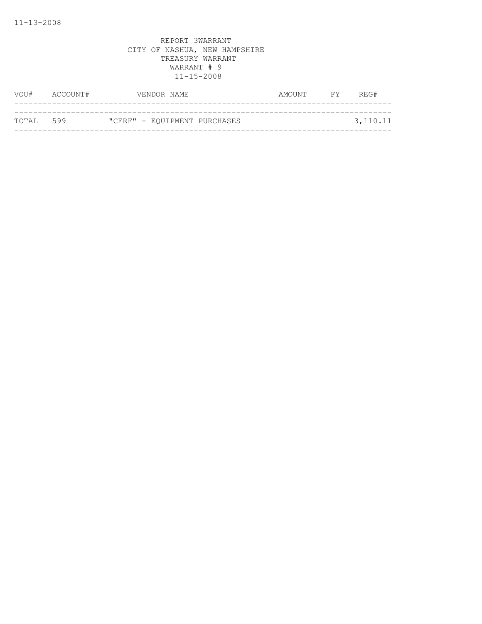| VOU#      | ACCOUNT# | VENDOR NAME                  | AMOUNT | <b>FY</b> | REG#     |
|-----------|----------|------------------------------|--------|-----------|----------|
|           |          |                              |        |           |          |
| TOTAL 599 |          | "CERF" - EQUIPMENT PURCHASES |        |           | 3,110.11 |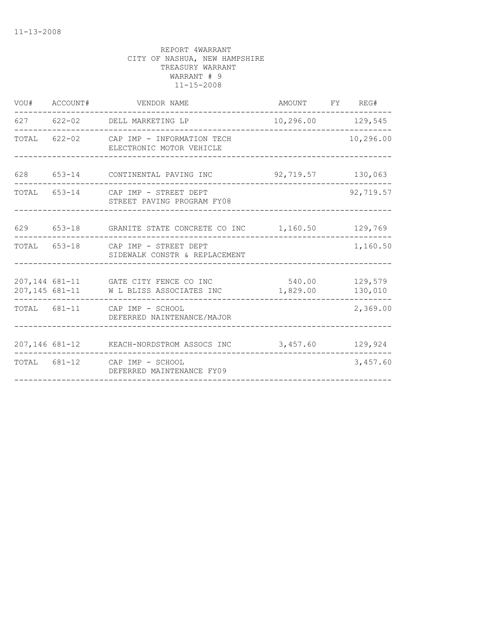| VOU# ACCOUNT# | VENDOR NAME                                                                                      | AMOUNT FY REG#    |           |
|---------------|--------------------------------------------------------------------------------------------------|-------------------|-----------|
|               | 627 622-02 DELL MARKETING LP                                                                     | 10,296.00 129,545 |           |
|               | TOTAL 622-02 CAP IMP - INFORMATION TECH<br>ELECTRONIC MOTOR VEHICLE                              |                   | 10,296.00 |
|               | 628 653-14 CONTINENTAL PAVING INC                                                                | 92,719.57 130,063 |           |
|               | TOTAL 653-14 CAP IMP - STREET DEPT<br>STREET PAVING PROGRAM FY08                                 |                   | 92,719.57 |
|               | 629 653-18 GRANITE STATE CONCRETE CO INC 1,160.50 129,769                                        |                   |           |
|               | TOTAL 653-18 CAP IMP - STREET DEPT<br>SIDEWALK CONSTR & REPLACEMENT                              |                   | 1,160.50  |
|               | 207,144 681-11 GATE CITY FENCE CO INC<br>207,145 681-11 WL BLISS ASSOCIATES INC 1,829.00 130,010 | 540.00 129,579    |           |
|               | TOTAL 681-11 CAP IMP - SCHOOL<br>DEFERRED NAINTENANCE/MAJOR                                      |                   | 2,369.00  |
|               | 207,146 681-12 KEACH-NORDSTROM ASSOCS INC 3,457.60 129,924                                       |                   |           |
|               | TOTAL 681-12 CAP IMP - SCHOOL<br>DEFERRED MAINTENANCE FY09                                       |                   | 3,457.60  |
|               |                                                                                                  |                   |           |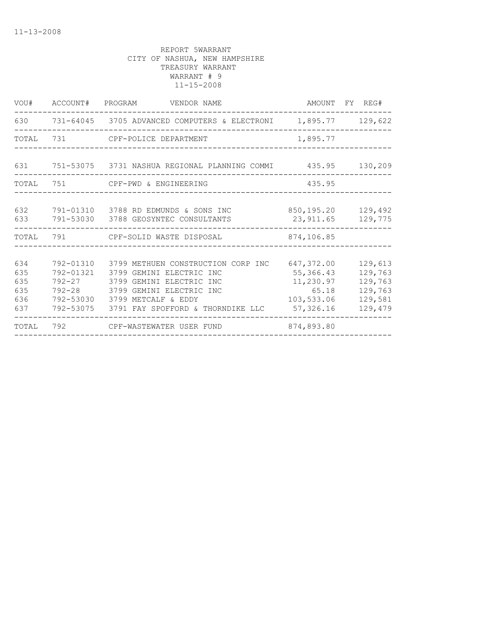| VOU#                                   | ACCOUNT# PROGRAM                    | VENDOR NAME                                                                                                                                                                                                |                                                                           | AMOUNT FY REG#                                                 |
|----------------------------------------|-------------------------------------|------------------------------------------------------------------------------------------------------------------------------------------------------------------------------------------------------------|---------------------------------------------------------------------------|----------------------------------------------------------------|
|                                        |                                     | 630 731-64045 3705 ADVANCED COMPUTERS & ELECTRONI 1,895.77 129,622                                                                                                                                         |                                                                           |                                                                |
| TOTAL                                  | 731                                 | CPF-POLICE DEPARTMENT                                                                                                                                                                                      | 1,895.77                                                                  |                                                                |
| 631                                    |                                     | 751-53075   3731 NASHUA REGIONAL PLANNING COMMI                                                                                                                                                            |                                                                           | 435.95 130,209                                                 |
| TOTAL                                  | 751                                 | CPF-PWD & ENGINEERING                                                                                                                                                                                      | 435.95                                                                    |                                                                |
| 632<br>633                             |                                     | 791-01310 3788 RD EDMUNDS & SONS INC<br>791-53030 3788 GEOSYNTEC CONSULTANTS                                                                                                                               | 850,195.20<br>23,911.65                                                   | 129,492<br>129,775                                             |
| TOTAL                                  |                                     | 791 CPF-SOLID WASTE DISPOSAL                                                                                                                                                                               | 874,106.85                                                                |                                                                |
| 634<br>635<br>635<br>635<br>636<br>637 | 792-01310<br>792-01321<br>792-53075 | 3799 METHUEN CONSTRUCTION CORP INC<br>3799 GEMINI ELECTRIC INC<br>792-27 3799 GEMINI ELECTRIC INC<br>792-28 3799 GEMINI ELECTRIC INC<br>792-53030 3799 METCALF & EDDY<br>3791 FAY SPOFFORD & THORNDIKE LLC | 647,372.00<br>55, 366.43<br>11,230.97<br>65.18<br>103,533.06<br>57,326.16 | 129,613<br>129,763<br>129,763<br>129,763<br>129,581<br>129,479 |
| TOTAL                                  | 792                                 | CPF-WASTEWATER USER FUND                                                                                                                                                                                   | 874,893.80                                                                |                                                                |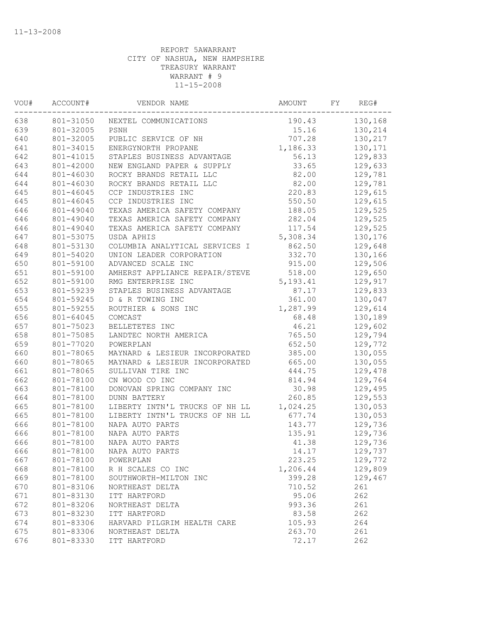| VOU# | ACCOUNT#  | VENDOR NAME                    | AMOUNT    | FY | REG#    |
|------|-----------|--------------------------------|-----------|----|---------|
| 638  | 801-31050 | NEXTEL COMMUNICATIONS          | 190.43    |    | 130,168 |
| 639  | 801-32005 | PSNH                           | 15.16     |    | 130,214 |
| 640  | 801-32005 | PUBLIC SERVICE OF NH           | 707.28    |    | 130,217 |
| 641  | 801-34015 | ENERGYNORTH PROPANE            | 1,186.33  |    | 130,171 |
| 642  | 801-41015 | STAPLES BUSINESS ADVANTAGE     | 56.13     |    | 129,833 |
| 643  | 801-42000 | NEW ENGLAND PAPER & SUPPLY     | 33.65     |    | 129,633 |
| 644  | 801-46030 | ROCKY BRANDS RETAIL LLC        | 82.00     |    | 129,781 |
| 644  | 801-46030 | ROCKY BRANDS RETAIL LLC        | 82.00     |    | 129,781 |
| 645  | 801-46045 | CCP INDUSTRIES INC             | 220.83    |    | 129,615 |
| 645  | 801-46045 | CCP INDUSTRIES INC             | 550.50    |    | 129,615 |
| 646  | 801-49040 | TEXAS AMERICA SAFETY COMPANY   | 188.05    |    | 129,525 |
| 646  | 801-49040 | TEXAS AMERICA SAFETY COMPANY   | 282.04    |    | 129,525 |
| 646  | 801-49040 | TEXAS AMERICA SAFETY COMPANY   | 117.54    |    | 129,525 |
| 647  | 801-53075 | USDA APHIS                     | 5,308.34  |    | 130,176 |
| 648  | 801-53130 | COLUMBIA ANALYTICAL SERVICES I | 862.50    |    | 129,648 |
| 649  | 801-54020 | UNION LEADER CORPORATION       | 332.70    |    | 130,166 |
| 650  | 801-59100 | ADVANCED SCALE INC             | 915.00    |    | 129,506 |
| 651  | 801-59100 | AMHERST APPLIANCE REPAIR/STEVE | 518.00    |    | 129,650 |
| 652  | 801-59100 | RMG ENTERPRISE INC             | 5, 193.41 |    | 129,917 |
| 653  | 801-59239 | STAPLES BUSINESS ADVANTAGE     | 87.17     |    | 129,833 |
| 654  | 801-59245 | D & R TOWING INC               | 361.00    |    | 130,047 |
| 655  | 801-59255 | ROUTHIER & SONS INC            | 1,287.99  |    | 129,614 |
| 656  | 801-64045 | COMCAST                        | 68.48     |    | 130,189 |
| 657  | 801-75023 | BELLETETES INC                 | 46.21     |    | 129,602 |
| 658  | 801-75085 | LANDTEC NORTH AMERICA          | 765.50    |    | 129,794 |
| 659  | 801-77020 | POWERPLAN                      | 652.50    |    | 129,772 |
| 660  | 801-78065 | MAYNARD & LESIEUR INCORPORATED | 385.00    |    | 130,055 |
| 660  | 801-78065 | MAYNARD & LESIEUR INCORPORATED | 665.00    |    | 130,055 |
| 661  | 801-78065 | SULLIVAN TIRE INC              | 444.75    |    | 129,478 |
| 662  | 801-78100 | CN WOOD CO INC                 | 814.94    |    | 129,764 |
| 663  | 801-78100 | DONOVAN SPRING COMPANY INC     | 30.98     |    | 129,495 |
| 664  | 801-78100 | <b>DUNN BATTERY</b>            | 260.85    |    | 129,553 |
| 665  | 801-78100 | LIBERTY INTN'L TRUCKS OF NH LL | 1,024.25  |    | 130,053 |
| 665  | 801-78100 | LIBERTY INTN'L TRUCKS OF NH LL | 677.74    |    | 130,053 |
| 666  | 801-78100 | NAPA AUTO PARTS                | 143.77    |    | 129,736 |
| 666  | 801-78100 | NAPA AUTO PARTS                | 135.91    |    | 129,736 |
| 666  | 801-78100 | NAPA AUTO PARTS                | 41.38     |    | 129,736 |
| 666  | 801-78100 | NAPA AUTO PARTS                | 14.17     |    | 129,737 |
| 667  | 801-78100 | POWERPLAN                      | 223.25    |    | 129,772 |
| 668  | 801-78100 | R H SCALES CO INC              | 1,206.44  |    | 129,809 |
| 669  | 801-78100 | SOUTHWORTH-MILTON INC          | 399.28    |    | 129,467 |
| 670  | 801-83106 | NORTHEAST DELTA                | 710.52    |    | 261     |
| 671  | 801-83130 | ITT HARTFORD                   | 95.06     |    | 262     |
| 672  | 801-83206 | NORTHEAST DELTA                | 993.36    |    | 261     |
| 673  | 801-83230 | ITT HARTFORD                   | 83.58     |    | 262     |
| 674  | 801-83306 | HARVARD PILGRIM HEALTH CARE    | 105.93    |    | 264     |
| 675  | 801-83306 | NORTHEAST DELTA                | 263.70    |    | 261     |
| 676  | 801-83330 | ITT HARTFORD                   | 72.17     |    | 262     |
|      |           |                                |           |    |         |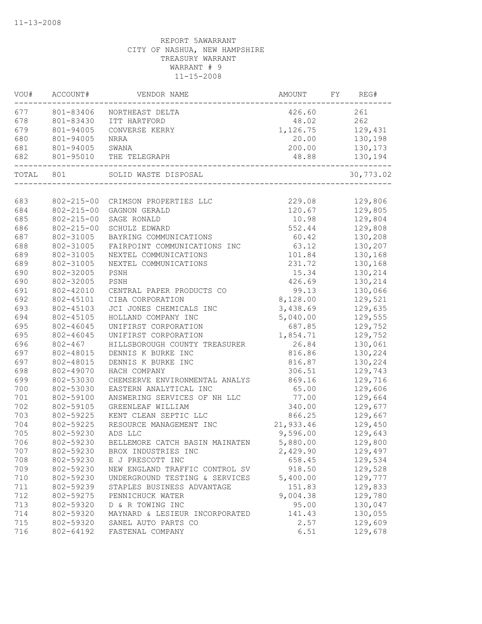| WOU#      | ACCOUNT#         | VENDOR NAME                    | AMOUNT    | FY | REG#      |
|-----------|------------------|--------------------------------|-----------|----|-----------|
| 677       | 801-83406        | NORTHEAST DELTA                | 426.60    |    | 261       |
| 678       | 801-83430        | ITT HARTFORD                   | 48.02     |    | 262       |
| 679       | 801-94005        | CONVERSE KERRY                 | 1,126.75  |    | 129,431   |
| 680       | 801-94005        | NRRA                           | 20.00     |    | 130,198   |
| 681       | 801-94005        | SWANA                          | 200.00    |    | 130,173   |
| 682       | 801-95010        | THE TELEGRAPH                  | 48.88     |    | 130,194   |
| TOTAL 801 |                  | SOLID WASTE DISPOSAL           |           |    | 30,773.02 |
|           |                  |                                |           |    |           |
| 683       | 802-215-00       | CRIMSON PROPERTIES LLC         | 229.08    |    | 129,806   |
| 684       | $802 - 215 - 00$ | GAGNON GERALD                  | 120.67    |    | 129,805   |
| 685       | $802 - 215 - 00$ | SAGE RONALD                    | 10.98     |    | 129,804   |
| 686       | $802 - 215 - 00$ | SCHULZ EDWARD                  | 552.44    |    | 129,808   |
| 687       | 802-31005        | BAYRING COMMUNICATIONS         | 60.42     |    | 130,208   |
| 688       | 802-31005        | FAIRPOINT COMMUNICATIONS INC   | 63.12     |    | 130,207   |
| 689       | 802-31005        | NEXTEL COMMUNICATIONS          | 101.84    |    | 130,168   |
| 689       | 802-31005        | NEXTEL COMMUNICATIONS          | 231.72    |    | 130,168   |
| 690       | 802-32005        | PSNH                           | 15.34     |    | 130,214   |
| 690       | 802-32005        | PSNH                           | 426.69    |    | 130,214   |
| 691       | 802-42010        | CENTRAL PAPER PRODUCTS CO      | 99.13     |    | 130,066   |
| 692       | 802-45101        | CIBA CORPORATION               | 8,128.00  |    | 129,521   |
| 693       | 802-45103        | JCI JONES CHEMICALS INC        | 3,438.69  |    | 129,635   |
| 694       | 802-45105        | HOLLAND COMPANY INC            | 5,040.00  |    | 129,555   |
| 695       | 802-46045        | UNIFIRST CORPORATION           | 687.85    |    | 129,752   |
| 695       | 802-46045        | UNIFIRST CORPORATION           | 1,854.71  |    | 129,752   |
| 696       | $802 - 467$      | HILLSBOROUGH COUNTY TREASURER  | 26.84     |    | 130,061   |
| 697       | 802-48015        | DENNIS K BURKE INC             | 816.86    |    | 130,224   |
| 697       | 802-48015        | DENNIS K BURKE INC             | 816.87    |    | 130,224   |
| 698       | 802-49070        | HACH COMPANY                   | 306.51    |    | 129,743   |
| 699       | 802-53030        | CHEMSERVE ENVIRONMENTAL ANALYS | 869.16    |    | 129,716   |
| 700       | 802-53030        | EASTERN ANALYTICAL INC         | 65.00     |    | 129,606   |
| $701$     | 802-59100        | ANSWERING SERVICES OF NH LLC   | 77.00     |    | 129,664   |
| 702       | 802-59105        | GREENLEAF WILLIAM              | 340.00    |    | 129,677   |
| 703       | 802-59225        | KENT CLEAN SEPTIC LLC          | 866.25    |    | 129,667   |
| 704       | 802-59225        | RESOURCE MANAGEMENT INC        | 21,933.46 |    | 129,450   |
| 705       | 802-59230        | ADS LLC                        | 9,596.00  |    | 129,643   |
| 706       | 802-59230        | BELLEMORE CATCH BASIN MAINATEN | 5,880.00  |    | 129,800   |
| 707       | 802-59230        | BROX INDUSTRIES INC            | 2,429.90  |    | 129,497   |
| 708       | 802-59230        | E J PRESCOTT INC               | 658.45    |    | 129,534   |
| 709       | 802-59230        | NEW ENGLAND TRAFFIC CONTROL SV | 918.50    |    | 129,528   |
| 710       | 802-59230        | UNDERGROUND TESTING & SERVICES | 5,400.00  |    | 129,777   |
| 711       | 802-59239        | STAPLES BUSINESS ADVANTAGE     | 151.83    |    | 129,833   |
| 712       | 802-59275        | PENNICHUCK WATER               | 9,004.38  |    | 129,780   |
| 713       | 802-59320        | D & R TOWING INC               | 95.00     |    | 130,047   |
| 714       | 802-59320        | MAYNARD & LESIEUR INCORPORATED | 141.43    |    | 130,055   |
| 715       | 802-59320        | SANEL AUTO PARTS CO            | 2.57      |    | 129,609   |
| 716       | 802-64192        | FASTENAL COMPANY               | 6.51      |    | 129,678   |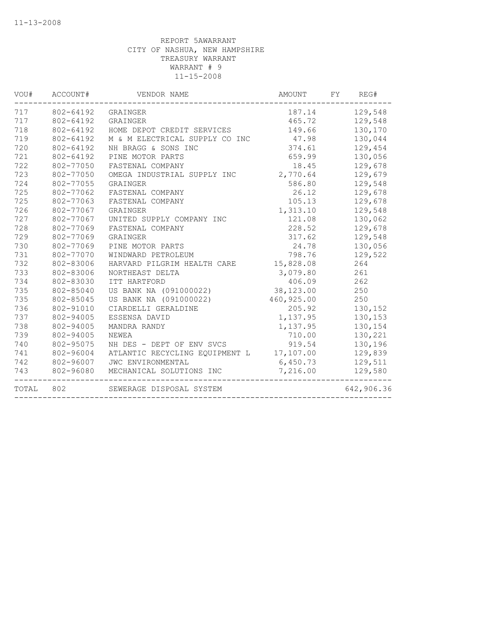| VOU#  | ACCOUNT#  | VENDOR NAME                              | AMOUNT     | FY | REG#       |
|-------|-----------|------------------------------------------|------------|----|------------|
| 717   | 802-64192 | GRAINGER                                 | 187.14     |    | 129,548    |
| 717   | 802-64192 | GRAINGER                                 | 465.72     |    | 129,548    |
| 718   | 802-64192 | HOME DEPOT CREDIT SERVICES               | 149.66     |    | 130,170    |
| 719   | 802-64192 | M & M ELECTRICAL SUPPLY CO INC           | 47.98      |    | 130,044    |
| 720   | 802-64192 | NH BRAGG & SONS INC                      | 374.61     |    | 129,454    |
| 721   | 802-64192 | PINE MOTOR PARTS                         | 659.99     |    | 130,056    |
| 722   | 802-77050 | FASTENAL COMPANY                         | 18.45      |    | 129,678    |
| 723   | 802-77050 | OMEGA INDUSTRIAL SUPPLY INC              | 2,770.64   |    | 129,679    |
| 724   | 802-77055 | GRAINGER                                 | 586.80     |    | 129,548    |
| 725   | 802-77062 | FASTENAL COMPANY                         | 26.12      |    | 129,678    |
| 725   | 802-77063 | FASTENAL COMPANY                         | 105.13     |    | 129,678    |
| 726   | 802-77067 | GRAINGER                                 | 1,313.10   |    | 129,548    |
| 727   | 802-77067 | UNITED SUPPLY COMPANY INC                | 121.08     |    | 130,062    |
| 728   | 802-77069 | FASTENAL COMPANY                         | 228.52     |    | 129,678    |
| 729   | 802-77069 | GRAINGER                                 | 317.62     |    | 129,548    |
| 730   | 802-77069 | PINE MOTOR PARTS                         | 24.78      |    | 130,056    |
| 731   | 802-77070 | WINDWARD PETROLEUM                       | 798.76     |    | 129,522    |
| 732   | 802-83006 | HARVARD PILGRIM HEALTH CARE              | 15,828.08  |    | 264        |
| 733   | 802-83006 | NORTHEAST DELTA                          | 3,079.80   |    | 261        |
| 734   | 802-83030 | ITT HARTFORD                             | 406.09     |    | 262        |
| 735   | 802-85040 | US BANK NA (091000022)                   | 38,123.00  |    | 250        |
| 735   | 802-85045 | US BANK NA (091000022)                   | 460,925.00 |    | 250        |
| 736   | 802-91010 | CIARDELLI GERALDINE                      | 205.92     |    | 130,152    |
| 737   | 802-94005 | ESSENSA DAVID                            | 1,137.95   |    | 130,153    |
| 738   | 802-94005 | MANDRA RANDY                             | 1,137.95   |    | 130,154    |
| 739   | 802-94005 | NEWEA                                    | 710.00     |    | 130,221    |
| 740   | 802-95075 | NH DES - DEPT OF ENV SVCS                | 919.54     |    | 130,196    |
| 741   | 802-96004 | ATLANTIC RECYCLING EQUIPMENT L 17,107.00 |            |    | 129,839    |
| 742   | 802-96007 | JWC ENVIRONMENTAL                        | 6,450.73   |    | 129,511    |
| 743   | 802-96080 | MECHANICAL SOLUTIONS INC                 | 7,216.00   |    | 129,580    |
| TOTAL | 802       | SEWERAGE DISPOSAL SYSTEM                 |            |    | 642,906.36 |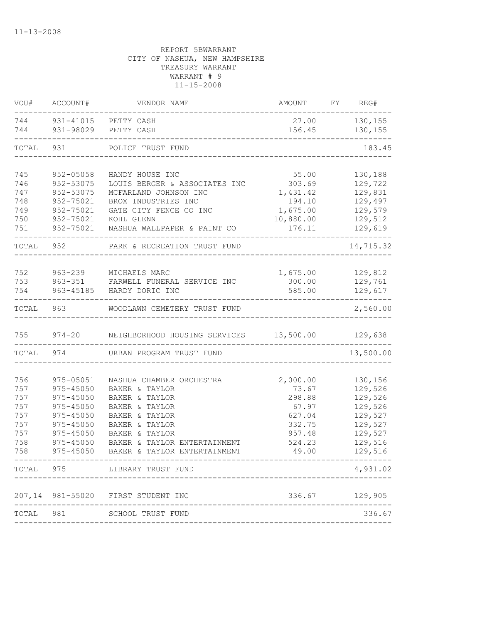| VOU#       | ACCOUNT#      | VENDOR NAME                                    | AMOUNT          | FY REG#            |
|------------|---------------|------------------------------------------------|-----------------|--------------------|
| 744<br>744 |               | 931-41015 PETTY CASH<br>931-98029 PETTY CASH   | 27.00<br>156.45 | 130,155<br>130,155 |
| TOTAL      | 931           | POLICE TRUST FUND                              |                 | 183.45             |
|            |               |                                                |                 |                    |
| 745        | 952-05058     | HANDY HOUSE INC                                | 55.00           | 130,188            |
| 746        | 952-53075     | LOUIS BERGER & ASSOCIATES INC                  | 303.69          | 129,722            |
| 747        | 952-53075     | MCFARLAND JOHNSON INC                          | 1,431.42        | 129,831            |
| 748        | 952-75021     | BROX INDUSTRIES INC                            | 194.10          | 129,497            |
| 749        | 952-75021     | GATE CITY FENCE CO INC                         | 1,675.00        | 129,579            |
| 750        | 952-75021     | KOHL GLENN                                     | 10,880.00       | 129,512            |
| 751        | 952-75021     | NASHUA WALLPAPER & PAINT CO                    | 176.11          | 129,619            |
| TOTAL 952  |               | PARK & RECREATION TRUST FUND                   |                 | 14,715.32          |
|            |               |                                                |                 |                    |
| 752        |               | 963-239 MICHAELS MARC                          | 1,675.00        | 129,812            |
| 753        |               | 963-351 FARWELL FUNERAL SERVICE INC            | 300.00          | 129,761            |
| 754        |               | 963-45185 HARDY DORIC INC                      | 585.00          | 129,617            |
| TOTAL      | 963           | WOODLAWN CEMETERY TRUST FUND                   |                 | 2,560.00           |
| 755        |               | 974-20 NEIGHBORHOOD HOUSING SERVICES 13,500.00 |                 | 129,638            |
| TOTAL      | 974           | URBAN PROGRAM TRUST FUND                       |                 | 13,500.00          |
|            |               |                                                |                 |                    |
| 756        | 975-05051     | NASHUA CHAMBER ORCHESTRA                       | 2,000.00        | 130,156            |
| 757        | 975-45050     | BAKER & TAYLOR                                 | 73.67           | 129,526            |
| 757        | 975-45050     | BAKER & TAYLOR                                 | 298.88          | 129,526            |
| 757        | $975 - 45050$ | BAKER & TAYLOR                                 | 67.97           | 129,526            |
| 757        | 975-45050     | BAKER & TAYLOR                                 | 627.04          | 129,527            |
| 757        | 975-45050     | BAKER & TAYLOR                                 | 332.75          | 129,527            |
| 757        | 975-45050     | BAKER & TAYLOR                                 | 957.48          | 129,527            |
| 758        | 975-45050     | BAKER & TAYLOR ENTERTAINMENT                   | 524.23          | 129,516            |
| 758        | 975-45050     | BAKER & TAYLOR ENTERTAINMENT                   | 49.00           | 129,516            |
|            | TOTAL 975     | LIBRARY TRUST FUND                             |                 | 4,931.02           |
| 207,14     |               | 981-55020 FIRST STUDENT INC                    | 336.67          | 129,905            |
|            |               |                                                |                 |                    |
| TOTAL 981  |               | SCHOOL TRUST FUND                              |                 | 336.67             |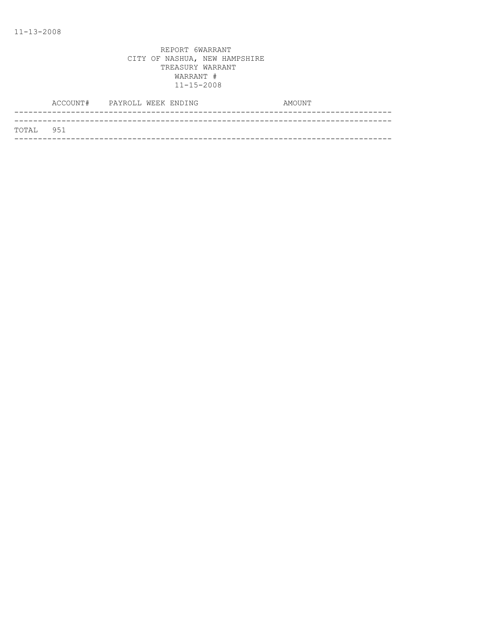| TOTAL 951 |  |
|-----------|--|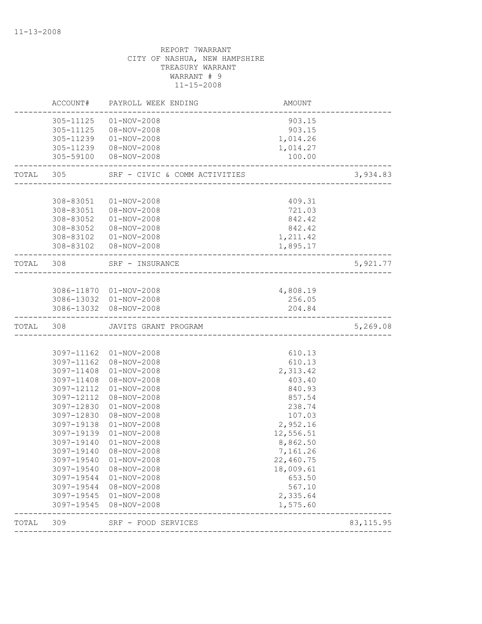| TOTAL     | 309                      | SRF - FOOD SERVICES                              |                    | 83, 115.95 |
|-----------|--------------------------|--------------------------------------------------|--------------------|------------|
|           | 3097-19545               | $08 - NOV - 2008$                                | 1,575.60           |            |
|           | 3097-19545               | $01 - NOV - 2008$                                | 2,335.64           |            |
|           | 3097-19544               | $01 - NOV - 2008$<br>08-NOV-2008                 | 653.50<br>567.10   |            |
|           | 3097-19540<br>3097-19544 | 08-NOV-2008                                      | 18,009.61          |            |
|           | 3097-19540               | $01 - NOV - 2008$                                | 22,460.75          |            |
|           | 3097-19140               | 08-NOV-2008                                      | 7,161.26           |            |
|           | 3097-19140               | $01 - NOV - 2008$                                | 8,862.50           |            |
|           | 3097-19139               | $01 - NOV - 2008$                                | 12,556.51          |            |
|           | 3097-19138               | $01 - NOV - 2008$                                | 2,952.16           |            |
|           | 3097-12830               | $08 - NOV - 2008$                                | 107.03             |            |
|           | 3097-12830               | $01 - NOV - 2008$                                | 238.74             |            |
|           | 3097-12112               | 08-NOV-2008                                      | 857.54             |            |
|           | 3097-12112               | $01 - NOV - 2008$                                | 840.93             |            |
|           | 3097-11408               | 08-NOV-2008                                      | 403.40             |            |
|           | 3097-11408               | $01 - NOV - 2008$                                | 2,313.42           |            |
|           | 3097-11162               | 08-NOV-2008                                      | 610.13             |            |
|           |                          | 3097-11162 01-NOV-2008                           | 610.13             |            |
| TOTAL 308 |                          | JAVITS GRANT PROGRAM                             |                    | 5,269.08   |
|           |                          |                                                  |                    |            |
|           |                          | 3086-13032 08-NOV-2008                           | 204.84             |            |
|           |                          | 3086-11870 01-NOV-2008<br>3086-13032 01-NOV-2008 | 4,808.19<br>256.05 |            |
|           |                          |                                                  |                    |            |
| TOTAL 308 |                          | SRF - INSURANCE<br>-----------------------       |                    | 5,921.77   |
|           |                          | 308-83102  08-NOV-2008                           | 1,895.17           |            |
|           | 308-83102                | $01 - NOV - 2008$                                | 1,211.42           |            |
|           | 308-83052                | 08-NOV-2008                                      | 842.42             |            |
|           | 308-83052                | $01 - NOV - 2008$                                | 842.42             |            |
|           |                          | 308-83051  08-NOV-2008                           | 721.03             |            |
|           | 308-83051                | $01 - NOV - 2008$                                | 409.31             |            |
| TOTAL 305 |                          | SRF - CIVIC & COMM ACTIVITIES                    |                    | 3,934.83   |
|           | 305-59100                | $08 - NOV - 2008$                                | 100.00             |            |
|           | 305-11239                | 08-NOV-2008                                      | 1,014.27           |            |
|           | 305-11239                | $01 - NOV - 2008$                                | 1,014.26           |            |
|           | 305-11125                | 08-NOV-2008                                      | 903.15             |            |
|           | 305-11125                | $01 - NOV - 2008$                                | 903.15             |            |
|           | ACCOUNT#                 | PAYROLL WEEK ENDING                              | AMOUNT             |            |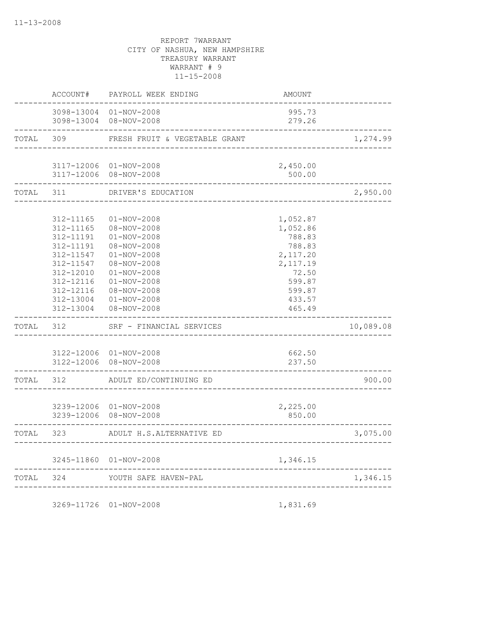|       | ACCOUNT#                                                                                                                                    | PAYROLL WEEK ENDING                                                                                                                                                                                   | AMOUNT                                                                                                            |           |
|-------|---------------------------------------------------------------------------------------------------------------------------------------------|-------------------------------------------------------------------------------------------------------------------------------------------------------------------------------------------------------|-------------------------------------------------------------------------------------------------------------------|-----------|
|       | -----------                                                                                                                                 | 3098-13004 01-NOV-2008<br>3098-13004 08-NOV-2008                                                                                                                                                      | 995.73<br>279.26                                                                                                  |           |
| TOTAL | 309                                                                                                                                         | FRESH FRUIT & VEGETABLE GRANT                                                                                                                                                                         |                                                                                                                   | 1,274.99  |
|       |                                                                                                                                             | 3117-12006 01-NOV-2008<br>3117-12006 08-NOV-2008                                                                                                                                                      | 2,450.00<br>500.00                                                                                                |           |
| TOTAL | 311                                                                                                                                         | DRIVER'S EDUCATION<br>-------------------                                                                                                                                                             |                                                                                                                   | 2,950.00  |
|       | 312-11165<br>312-11165<br>312-11191<br>312-11191<br>312-11547<br>312-11547<br>312-12010<br>312-12116<br>312-12116<br>312-13004<br>312-13004 | $01 - NOV - 2008$<br>08-NOV-2008<br>$01 - NOV - 2008$<br>08-NOV-2008<br>$01 - NOV - 2008$<br>08-NOV-2008<br>$01 - NOV - 2008$<br>$01 - NOV - 2008$<br>08-NOV-2008<br>$01 - NOV - 2008$<br>08-NOV-2008 | 1,052.87<br>1,052.86<br>788.83<br>788.83<br>2,117.20<br>2,117.19<br>72.50<br>599.87<br>599.87<br>433.57<br>465.49 |           |
| TOTAL | 312                                                                                                                                         | SRF - FINANCIAL SERVICES                                                                                                                                                                              |                                                                                                                   | 10,089.08 |
|       |                                                                                                                                             | 3122-12006 01-NOV-2008<br>3122-12006 08-NOV-2008                                                                                                                                                      | 662.50<br>237.50                                                                                                  |           |
| TOTAL | 312                                                                                                                                         | ADULT ED/CONTINUING ED                                                                                                                                                                                |                                                                                                                   | 900.00    |
|       |                                                                                                                                             | 3239-12006 01-NOV-2008<br>3239-12006 08-NOV-2008                                                                                                                                                      | 2,225.00<br>850.00                                                                                                |           |
| TOTAL | 323                                                                                                                                         | ADULT H.S.ALTERNATIVE ED                                                                                                                                                                              |                                                                                                                   | 3,075.00  |
|       |                                                                                                                                             | 3245-11860 01-NOV-2008                                                                                                                                                                                | 1,346.15                                                                                                          |           |
| TOTAL | 324                                                                                                                                         | YOUTH SAFE HAVEN-PAL<br>_______________________                                                                                                                                                       |                                                                                                                   | 1,346.15  |
|       |                                                                                                                                             |                                                                                                                                                                                                       |                                                                                                                   |           |

3269-11726 01-NOV-2008 1,831.69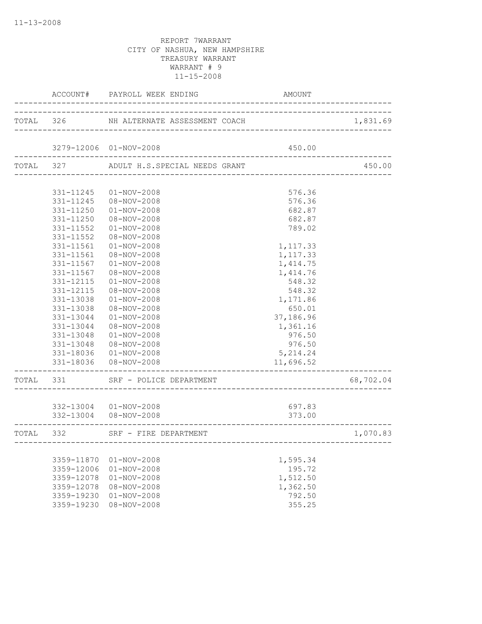|           |                        | ACCOUNT# PAYROLL WEEK ENDING                                                   | AMOUNT                 |           |
|-----------|------------------------|--------------------------------------------------------------------------------|------------------------|-----------|
|           |                        | TOTAL 326 NH ALTERNATE ASSESSMENT COACH                                        |                        | 1,831.69  |
|           |                        | 3279-12006 01-NOV-2008                                                         | 450.00                 |           |
|           |                        | ___________________________________<br>TOTAL 327 ADULT H.S.SPECIAL NEEDS GRANT |                        | 450.00    |
|           |                        |                                                                                |                        |           |
|           | 331-11245              | $01 - NOV - 2008$                                                              | 576.36                 |           |
|           |                        | 331-11245  08-NOV-2008                                                         | 576.36                 |           |
|           |                        | 331-11250  01-NOV-2008                                                         | 682.87                 |           |
|           | 331-11250              | 08-NOV-2008                                                                    | 682.87                 |           |
|           | 331-11552              | $01 - NOV - 2008$                                                              | 789.02                 |           |
|           | 331-11552              | 08-NOV-2008                                                                    |                        |           |
|           | 331-11561              | $01 - NOV - 2008$                                                              | 1,117.33               |           |
|           | 331-11561              | $08 - NOV - 2008$                                                              | 1,117.33               |           |
|           | 331-11567              | $01 - NOV - 2008$                                                              | 1, 414.75              |           |
|           | 331-11567              | 08-NOV-2008                                                                    | 1,414.76<br>548.32     |           |
|           | 331-12115<br>331-12115 | $01 - NOV - 2008$<br>08-NOV-2008                                               | 548.32                 |           |
|           | 331-13038              | $01 - NOV - 2008$                                                              | 1,171.86               |           |
|           | 331-13038              | 08-NOV-2008                                                                    | 650.01                 |           |
|           | 331-13044              | $01 - NOV - 2008$                                                              | 37,186.96              |           |
|           | 331-13044              | 08-NOV-2008                                                                    | 1,361.16               |           |
|           | 331-13048              | $01 - NOV - 2008$                                                              | 976.50                 |           |
|           | 331-13048              | 08-NOV-2008                                                                    | 976.50                 |           |
|           |                        | 331-18036  01-NOV-2008                                                         | 5, 214.24              |           |
|           |                        | 331-18036  08-NOV-2008                                                         | 11,696.52              |           |
| TOTAL 331 |                        | SRF - POLICE DEPARTMENT                                                        | ______________________ | 68,702.04 |
|           |                        |                                                                                |                        |           |
|           |                        | 332-13004  01-NOV-2008<br>332-13004 08-NOV-2008                                | 697.83<br>373.00       |           |
|           |                        | TOTAL 332 SRF - FIRE DEPARTMENT                                                |                        | 1,070.83  |
|           |                        |                                                                                |                        |           |
|           | 3359-11870             | $01 - NOV - 2008$                                                              | 1,595.34               |           |
|           | 3359-12006             | $01 - NOV - 2008$                                                              | 195.72                 |           |
|           | 3359-12078             | $01 - NOV - 2008$                                                              | 1,512.50               |           |
|           | 3359-12078             | 08-NOV-2008                                                                    | 1,362.50               |           |
|           | 3359-19230             | $01 - NOV - 2008$                                                              | 792.50                 |           |
|           | 3359-19230             | $08 - NOV - 2008$                                                              | 355.25                 |           |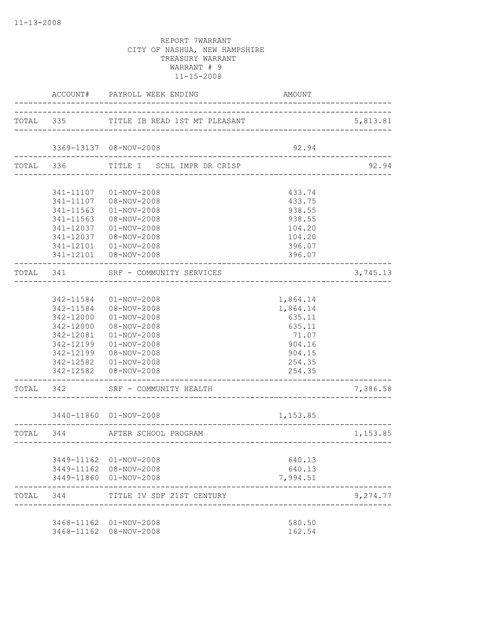|           | ACCOUNT#                                                                                | PAYROLL WEEK ENDING                                                                                                                                                         | AMOUNT                                                                                    |          |
|-----------|-----------------------------------------------------------------------------------------|-----------------------------------------------------------------------------------------------------------------------------------------------------------------------------|-------------------------------------------------------------------------------------------|----------|
|           |                                                                                         | TOTAL 335 TITLE IB READ 1ST MT PLEASANT                                                                                                                                     |                                                                                           | 5,813.81 |
|           |                                                                                         | 3369-13137 08-NOV-2008                                                                                                                                                      | 92.94                                                                                     |          |
| TOTAL 336 |                                                                                         | TITLE I SCHL IMPR DR CRISP                                                                                                                                                  |                                                                                           | 92.94    |
|           | 341-11107<br>341-11563<br>341-11563<br>341-12037<br>341-12037<br>341-12101              | $01 - NOV - 2008$<br>341-11107 08-NOV-2008<br>$01 - NOV - 2008$<br>08-NOV-2008<br>$01 - NOV - 2008$<br>08-NOV-2008<br>$01 - NOV - 2008$                                     | 433.74<br>433.75<br>938.55<br>938.55<br>104.20<br>104.20<br>396.07                        |          |
| TOTAL 341 |                                                                                         | 341-12101  08-NOV-2008<br>SRF - COMMUNITY SERVICES                                                                                                                          | 396.07                                                                                    | 3,745.13 |
|           | 342-11584<br>342-11584<br>342-12000<br>342-12000<br>342-12081<br>342-12199<br>342-12199 | 01-NOV-2008<br>08-NOV-2008<br>$01 - NOV - 2008$<br>08-NOV-2008<br>$01 - NOV - 2008$<br>$01 - NOV - 2008$<br>08-NOV-2008<br>342-12582  01-NOV-2008<br>342-12582  08-NOV-2008 | 1,864.14<br>1,864.14<br>635.11<br>635.11<br>71.07<br>904.16<br>904.15<br>254.35<br>254.35 |          |
|           |                                                                                         | TOTAL 342 SRF - COMMUNITY HEALTH                                                                                                                                            |                                                                                           | 7,386.58 |
|           |                                                                                         | 3440-11860 01-NOV-2008                                                                                                                                                      | 1,153.85                                                                                  |          |
|           |                                                                                         | TOTAL 344 AFTER SCHOOL PROGRAM                                                                                                                                              |                                                                                           | 1,153.85 |
|           |                                                                                         | 3449-11162 01-NOV-2008<br>3449-11162 08-NOV-2008<br>3449-11860 01-NOV-2008                                                                                                  | 640.13<br>640.13<br>7,994.51                                                              |          |
| TOTAL 344 |                                                                                         | TITLE IV SDF 21ST CENTURY                                                                                                                                                   |                                                                                           | 9,274.77 |
|           |                                                                                         | 3468-11162 01-NOV-2008<br>3468-11162 08-NOV-2008                                                                                                                            | 580.50<br>162.54                                                                          |          |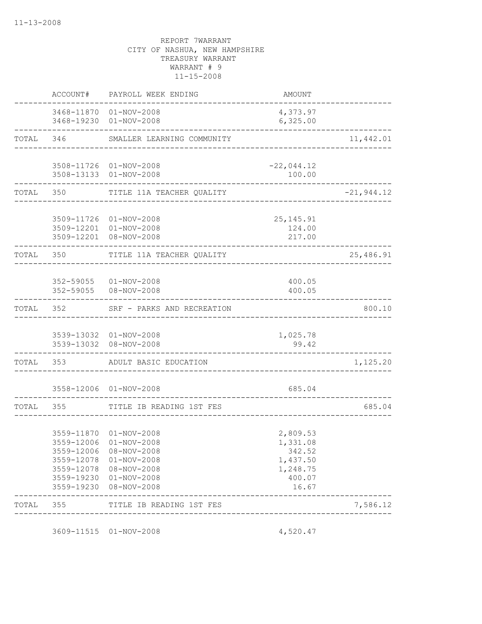|       | ACCOUNT#         | PAYROLL WEEK ENDING                                                                                                                                                     | AMOUNT                                                                    |               |
|-------|------------------|-------------------------------------------------------------------------------------------------------------------------------------------------------------------------|---------------------------------------------------------------------------|---------------|
|       |                  | 3468-11870 01-NOV-2008<br>3468-19230 01-NOV-2008                                                                                                                        | 4,373.97<br>6,325.00                                                      |               |
| TOTAL | 346              | SMALLER LEARNING COMMUNITY                                                                                                                                              | ____________________________                                              | 11,442.01     |
|       |                  | 3508-11726 01-NOV-2008<br>3508-13133 01-NOV-2008                                                                                                                        | $-22,044.12$<br>100.00                                                    |               |
| TOTAL | 350              | TITLE 11A TEACHER QUALITY                                                                                                                                               |                                                                           | $-21, 944.12$ |
|       |                  | 3509-11726 01-NOV-2008<br>3509-12201 01-NOV-2008<br>3509-12201 08-NOV-2008                                                                                              | 25, 145. 91<br>124.00<br>217.00                                           |               |
| TOTAL | 350              | TITLE 11A TEACHER QUALITY                                                                                                                                               |                                                                           | 25,486.91     |
|       | 352-59055        | 352-59055 01-NOV-2008<br>08-NOV-2008                                                                                                                                    | 400.05<br>400.05                                                          |               |
| TOTAL | ---------<br>352 | SRF - PARKS AND RECREATION                                                                                                                                              |                                                                           | 800.10        |
|       |                  | 3539-13032 01-NOV-2008<br>3539-13032 08-NOV-2008                                                                                                                        | 1,025.78<br>99.42                                                         |               |
| TOTAL |                  | 353 ADULT BASIC EDUCATION                                                                                                                                               |                                                                           | 1,125.20      |
|       |                  | 3558-12006 01-NOV-2008                                                                                                                                                  | 685.04                                                                    |               |
| TOTAL | 355              | TITLE IB READING 1ST FES                                                                                                                                                |                                                                           | 685.04        |
|       | 3559-12006       | 3559-11870 01-NOV-2008<br>3559-12006 01-NOV-2008<br>08-NOV-2008<br>3559-12078 01-NOV-2008<br>3559-12078 08-NOV-2008<br>3559-19230 01-NOV-2008<br>3559-19230 08-NOV-2008 | 2,809.53<br>1,331.08<br>342.52<br>1,437.50<br>1,248.75<br>400.07<br>16.67 |               |
| TOTAL | 355              | TITLE IB READING 1ST FES                                                                                                                                                |                                                                           | 7,586.12      |
|       |                  | 3609-11515 01-NOV-2008                                                                                                                                                  | 4,520.47                                                                  |               |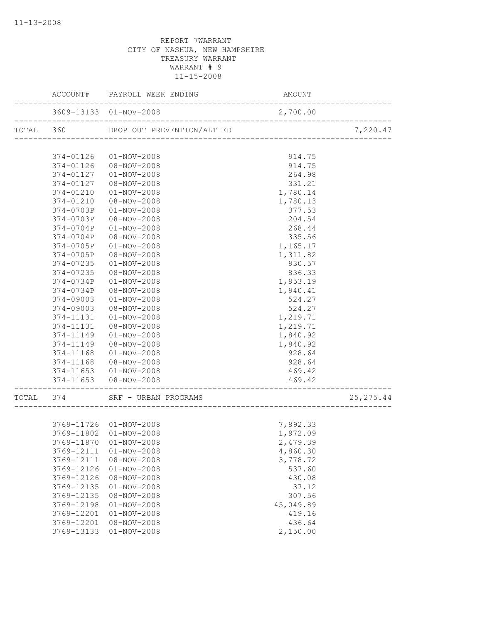|           |            | ACCOUNT# PAYROLL WEEK ENDING | AMOUNT                                     |            |
|-----------|------------|------------------------------|--------------------------------------------|------------|
|           |            | 3609-13133 01-NOV-2008       | 2,700.00<br>______________________________ |            |
| TOTAL 360 |            | DROP OUT PREVENTION/ALT ED   | ------------------------------             | 7,220.47   |
|           |            |                              |                                            |            |
|           | 374-01126  | $01 - NOV - 2008$            | 914.75                                     |            |
|           | 374-01126  | 08-NOV-2008                  | 914.75                                     |            |
|           | 374-01127  | $01 - NOV - 2008$            | 264.98                                     |            |
|           | 374-01127  | 08-NOV-2008                  | 331.21                                     |            |
|           | 374-01210  | $01 - NOV - 2008$            | 1,780.14                                   |            |
|           | 374-01210  | 08-NOV-2008                  | 1,780.13                                   |            |
|           | 374-0703P  | $01 - NOV - 2008$            | 377.53                                     |            |
|           | 374-0703P  | 08-NOV-2008                  | 204.54                                     |            |
|           | 374-0704P  | $01 - NOV - 2008$            | 268.44                                     |            |
|           | 374-0704P  | 08-NOV-2008                  | 335.56                                     |            |
|           | 374-0705P  | $01 - NOV - 2008$            | 1,165.17                                   |            |
|           | 374-0705P  | 08-NOV-2008                  | 1,311.82                                   |            |
|           | 374-07235  | $01 - NOV - 2008$            | 930.57                                     |            |
|           | 374-07235  | 08-NOV-2008                  | 836.33                                     |            |
|           | 374-0734P  | $01 - NOV - 2008$            | 1,953.19                                   |            |
|           | 374-0734P  | 08-NOV-2008                  | 1,940.41                                   |            |
|           | 374-09003  | $01 - NOV - 2008$            | 524.27                                     |            |
|           | 374-09003  | 08-NOV-2008                  | 524.27                                     |            |
|           | 374-11131  | $01 - NOV - 2008$            | 1,219.71                                   |            |
|           | 374-11131  | 08-NOV-2008                  | 1,219.71                                   |            |
|           | 374-11149  | $01 - NOV - 2008$            | 1,840.92                                   |            |
|           | 374-11149  | 08-NOV-2008                  | 1,840.92                                   |            |
|           | 374-11168  | $01 - NOV - 2008$            | 928.64                                     |            |
|           | 374-11168  | 08-NOV-2008                  | 928.64                                     |            |
|           | 374-11653  | $01 - NOV - 2008$            | 469.42                                     |            |
|           |            | 374-11653  08-NOV-2008       | 469.42<br>------------------------------   |            |
| TOTAL 374 |            | SRF - URBAN PROGRAMS         |                                            | 25, 275.44 |
|           |            |                              |                                            |            |
|           |            | 3769-11726 01-NOV-2008       | 7,892.33                                   |            |
|           |            | 3769-11802  01-NOV-2008      | 1,972.09                                   |            |
|           |            | 3769-11870 01-NOV-2008       | 2,479.39                                   |            |
|           | 3769-12111 | $01 - NOV - 2008$            | 4,860.30                                   |            |
|           | 3769-12111 | $08 - NOV - 2008$            | 3,778.72                                   |            |
|           | 3769-12126 | $01 - NOV - 2008$            | 537.60                                     |            |
|           | 3769-12126 | 08-NOV-2008                  | 430.08                                     |            |
|           | 3769-12135 | $01 - NOV - 2008$            | 37.12                                      |            |
|           | 3769-12135 | $08 - NOV - 2008$            | 307.56                                     |            |
|           | 3769-12198 | $01 - NOV - 2008$            | 45,049.89                                  |            |
|           | 3769-12201 | $01 - NOV - 2008$            | 419.16                                     |            |
|           | 3769-12201 | 08-NOV-2008                  | 436.64                                     |            |
|           | 3769-13133 | $01 - NOV - 2008$            | 2,150.00                                   |            |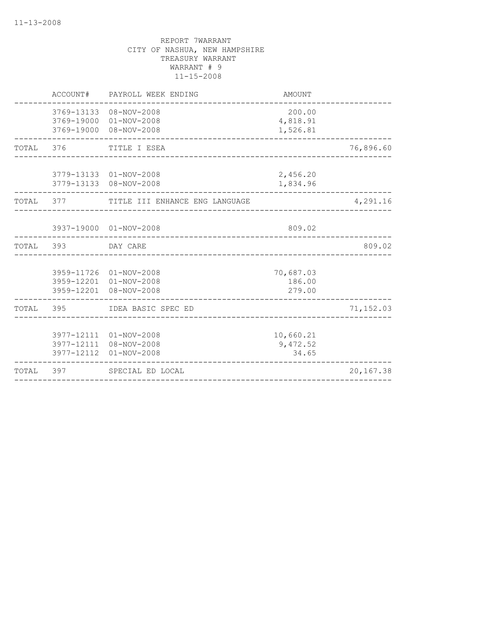|           | ACCOUNT#          | PAYROLL WEEK ENDING                                                                       | AMOUNT                               |           |
|-----------|-------------------|-------------------------------------------------------------------------------------------|--------------------------------------|-----------|
|           |                   | 3769-13133 08-NOV-2008<br>3769-19000 01-NOV-2008<br>3769-19000 08-NOV-2008                | 200.00<br>4,818.91<br>1,526.81       |           |
|           |                   | TOTAL 376 TITLE I ESEA                                                                    |                                      | 76,896.60 |
|           |                   | 3779-13133 01-NOV-2008<br>3779-13133 08-NOV-2008                                          | 2,456.20<br>1,834.96                 |           |
|           |                   | TOTAL 377 TITLE III ENHANCE ENG LANGUAGE                                                  |                                      | 4,291.16  |
|           |                   | 3937-19000 01-NOV-2008                                                                    | 809.02                               |           |
| TOTAL 393 |                   | DAY CARE                                                                                  |                                      | 809.02    |
|           |                   | 3959-11726 01-NOV-2008<br>3959-12201 01-NOV-2008<br>3959-12201 08-NOV-2008                | 70,687.03<br>186.00<br>279.00        |           |
|           |                   | TOTAL 395 IDEA BASIC SPEC ED                                                              |                                      | 71,152.03 |
| TOTAL     | 3977-12112<br>397 | 3977-12111 01-NOV-2008<br>3977-12111 08-NOV-2008<br>$01 - NOV - 2008$<br>SPECIAL ED LOCAL | 10,660.21<br>9,472.52<br>34.65       | 20,167.38 |
|           |                   |                                                                                           | ____________________________________ |           |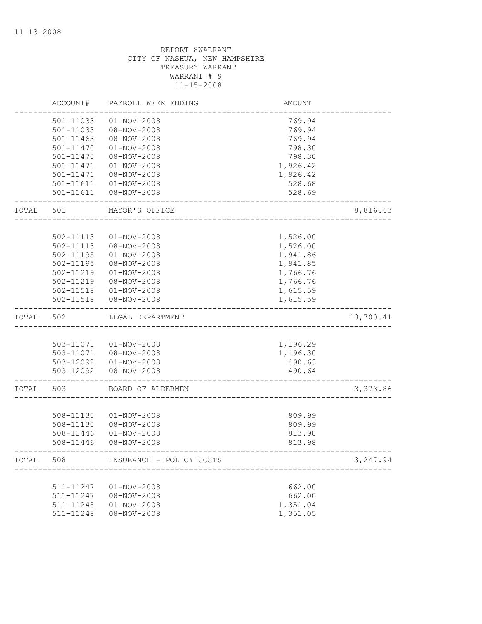|       | ACCOUNT#      | PAYROLL WEEK ENDING      | <b>AMOUNT</b> |           |
|-------|---------------|--------------------------|---------------|-----------|
|       | 501-11033     | $01 - NOV - 2008$        | 769.94        |           |
|       | 501-11033     | $08 - NOV - 2008$        | 769.94        |           |
|       | 501-11463     | 08-NOV-2008              | 769.94        |           |
|       | 501-11470     | $01 - NOV - 2008$        | 798.30        |           |
|       | 501-11470     | 08-NOV-2008              | 798.30        |           |
|       | 501-11471     | $01 - NOV - 2008$        | 1,926.42      |           |
|       | 501-11471     | $08 - NOV - 2008$        | 1,926.42      |           |
|       | 501-11611     | $01 - NOV - 2008$        | 528.68        |           |
|       | 501-11611     | 08-NOV-2008              | 528.69        |           |
| TOTAL | 501           | MAYOR'S OFFICE           |               | 8,816.63  |
|       |               |                          |               |           |
|       | 502-11113     | $01 - NOV - 2008$        | 1,526.00      |           |
|       | 502-11113     | 08-NOV-2008              | 1,526.00      |           |
|       | $502 - 11195$ | $01 - NOV - 2008$        | 1,941.86      |           |
|       | 502-11195     | 08-NOV-2008              | 1,941.85      |           |
|       | 502-11219     | $01 - NOV - 2008$        | 1,766.76      |           |
|       | 502-11219     | 08-NOV-2008              | 1,766.76      |           |
|       | 502-11518     | $01 - NOV - 2008$        | 1,615.59      |           |
|       | 502-11518     | 08-NOV-2008              | 1,615.59      |           |
| TOTAL | 502           | LEGAL DEPARTMENT         |               | 13,700.41 |
|       |               |                          |               |           |
|       | 503-11071     | $01 - NOV - 2008$        | 1,196.29      |           |
|       |               | 503-11071  08-NOV-2008   | 1,196.30      |           |
|       |               | 503-12092  01-NOV-2008   | 490.63        |           |
|       | 503-12092     | 08-NOV-2008              | 490.64        |           |
| TOTAL | 503           | BOARD OF ALDERMEN        |               | 3,373.86  |
|       |               |                          |               |           |
|       | 508-11130     | $01 - NOV - 2008$        | 809.99        |           |
|       | 508-11130     | 08-NOV-2008              | 809.99        |           |
|       | 508-11446     | $01 - NOV - 2008$        | 813.98        |           |
|       | 508-11446     | 08-NOV-2008              | 813.98        |           |
| TOTAL | 508           | INSURANCE - POLICY COSTS |               | 3,247.94  |
|       |               |                          |               |           |
|       | 511-11247     | $01 - NOV - 2008$        | 662.00        |           |
|       | 511-11247     | 08-NOV-2008              | 662.00        |           |
|       | 511-11248     | $01 - NOV - 2008$        | 1,351.04      |           |
|       | 511-11248     | $08 - NOV - 2008$        | 1,351.05      |           |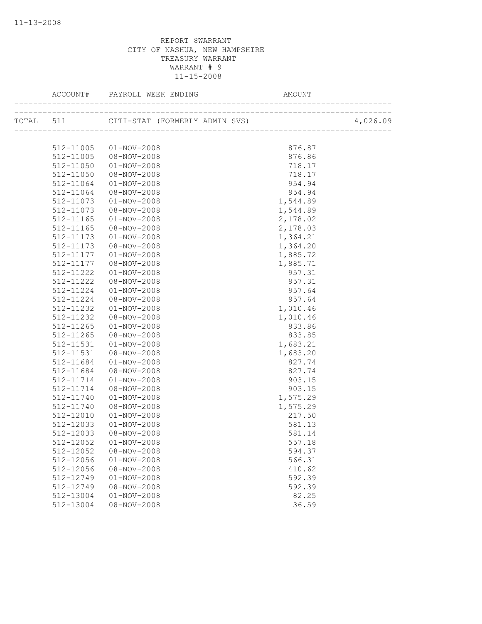|           |                   |          | 4,026.09 |
|-----------|-------------------|----------|----------|
|           |                   |          |          |
| 512-11005 | $01 - NOV - 2008$ | 876.87   |          |
| 512-11005 | $08 - NOV - 2008$ | 876.86   |          |
| 512-11050 | $01 - NOV - 2008$ | 718.17   |          |
| 512-11050 | 08-NOV-2008       | 718.17   |          |
| 512-11064 | 01-NOV-2008       | 954.94   |          |
| 512-11064 | 08-NOV-2008       | 954.94   |          |
| 512-11073 | $01 - NOV - 2008$ | 1,544.89 |          |
| 512-11073 | 08-NOV-2008       | 1,544.89 |          |
| 512-11165 | $01 - NOV - 2008$ | 2,178.02 |          |
| 512-11165 | 08-NOV-2008       | 2,178.03 |          |
| 512-11173 | $01 - NOV - 2008$ | 1,364.21 |          |
| 512-11173 | 08-NOV-2008       | 1,364.20 |          |
| 512-11177 | $01 - NOV - 2008$ | 1,885.72 |          |
| 512-11177 | 08-NOV-2008       | 1,885.71 |          |
| 512-11222 | $01 - NOV - 2008$ | 957.31   |          |
| 512-11222 | 08-NOV-2008       | 957.31   |          |
| 512-11224 | $01 - NOV - 2008$ | 957.64   |          |
| 512-11224 | 08-NOV-2008       | 957.64   |          |
| 512-11232 | $01 - NOV - 2008$ | 1,010.46 |          |
| 512-11232 | 08-NOV-2008       | 1,010.46 |          |
| 512-11265 | $01 - NOV - 2008$ | 833.86   |          |
| 512-11265 | 08-NOV-2008       | 833.85   |          |
| 512-11531 | $01 - NOV - 2008$ | 1,683.21 |          |
| 512-11531 | 08-NOV-2008       | 1,683.20 |          |
| 512-11684 | $01 - NOV - 2008$ | 827.74   |          |
| 512-11684 | 08-NOV-2008       | 827.74   |          |
| 512-11714 | $01 - NOV - 2008$ | 903.15   |          |
| 512-11714 | 08-NOV-2008       | 903.15   |          |
| 512-11740 | $01 - NOV - 2008$ | 1,575.29 |          |
| 512-11740 | $08 - NOV - 2008$ | 1,575.29 |          |
| 512-12010 | $01 - NOV - 2008$ | 217.50   |          |
| 512-12033 | $01 - NOV - 2008$ | 581.13   |          |
| 512-12033 | 08-NOV-2008       | 581.14   |          |
| 512-12052 | 01-NOV-2008       | 557.18   |          |
| 512-12052 | 08-NOV-2008       | 594.37   |          |
| 512-12056 | $01 - NOV - 2008$ | 566.31   |          |
| 512-12056 | $08 - NOV - 2008$ | 410.62   |          |
| 512-12749 | $01 - NOV - 2008$ | 592.39   |          |
| 512-12749 | $08 - NOV - 2008$ | 592.39   |          |
| 512-13004 | $01 - NOV - 2008$ | 82.25    |          |
| 512-13004 | $08 - NOV - 2008$ | 36.59    |          |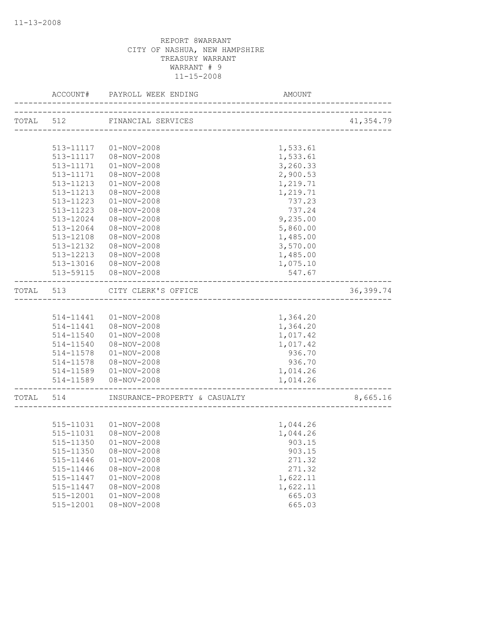|           | ACCOUNT#  | PAYROLL WEEK ENDING           | AMOUNT   |            |
|-----------|-----------|-------------------------------|----------|------------|
|           |           | TOTAL 512 FINANCIAL SERVICES  |          | 41,354.79  |
|           |           | -------------------------     |          |            |
|           |           | 513-11117  01-NOV-2008        | 1,533.61 |            |
|           |           | 513-11117  08-NOV-2008        | 1,533.61 |            |
|           | 513-11171 | $01 - NOV - 2008$             | 3,260.33 |            |
|           | 513-11171 | 08-NOV-2008                   | 2,900.53 |            |
|           | 513-11213 | $01 - NOV - 2008$             | 1,219.71 |            |
|           | 513-11213 | 08-NOV-2008                   | 1,219.71 |            |
|           | 513-11223 | $01 - NOV - 2008$             | 737.23   |            |
|           | 513-11223 | 08-NOV-2008                   | 737.24   |            |
|           | 513-12024 | 08-NOV-2008                   | 9,235.00 |            |
|           | 513-12064 | 08-NOV-2008                   | 5,860.00 |            |
|           | 513-12108 | 08-NOV-2008                   | 1,485.00 |            |
|           | 513-12132 | 08-NOV-2008                   | 3,570.00 |            |
|           | 513-12213 | 08-NOV-2008                   | 1,485.00 |            |
|           | 513-13016 | 08-NOV-2008                   | 1,075.10 |            |
|           |           | 513-59115  08-NOV-2008        | 547.67   |            |
| TOTAL 513 |           | CITY CLERK'S OFFICE           |          | 36, 399.74 |
|           |           |                               |          |            |
|           |           | 514-11441  01-NOV-2008        | 1,364.20 |            |
|           | 514-11441 | $08 - NOV - 2008$             | 1,364.20 |            |
|           | 514-11540 | $01 - NOV - 2008$             | 1,017.42 |            |
|           | 514-11540 | 08-NOV-2008                   | 1,017.42 |            |
|           | 514-11578 | $01 - NOV - 2008$             | 936.70   |            |
|           | 514-11578 | 08-NOV-2008                   | 936.70   |            |
|           | 514-11589 | $01 - NOV - 2008$             | 1,014.26 |            |
|           | 514-11589 | 08-NOV-2008                   | 1,014.26 |            |
| TOTAL 514 |           | INSURANCE-PROPERTY & CASUALTY |          | 8,665.16   |
|           |           |                               |          |            |
|           |           | 515-11031  01-NOV-2008        | 1,044.26 |            |
|           | 515-11031 | 08-NOV-2008                   | 1,044.26 |            |
|           |           | 515-11350  01-NOV-2008        | 903.15   |            |
|           | 515-11350 | $08 - NOV - 2008$             | 903.15   |            |
|           | 515-11446 | $01 - NOV - 2008$             | 271.32   |            |
|           | 515-11446 | 08-NOV-2008                   | 271.32   |            |
|           | 515-11447 | $01 - NOV - 2008$             | 1,622.11 |            |
|           | 515-11447 | $08 - NOV - 2008$             | 1,622.11 |            |
|           | 515-12001 | $01 - NOV - 2008$             | 665.03   |            |
|           | 515-12001 | 08-NOV-2008                   | 665.03   |            |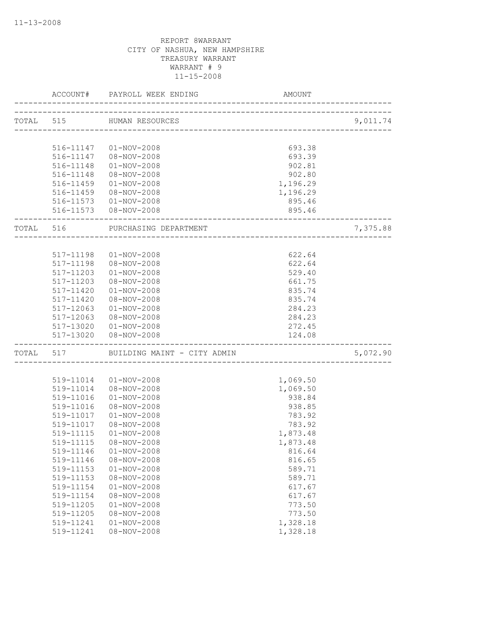|           | ACCOUNT#      | PAYROLL WEEK ENDING         | AMOUNT                            |          |
|-----------|---------------|-----------------------------|-----------------------------------|----------|
| TOTAL 515 |               | HUMAN RESOURCES             |                                   | 9,011.74 |
|           |               |                             | _________________________________ |          |
|           | 516-11147     | 01-NOV-2008                 | 693.38                            |          |
|           | 516-11147     | 08-NOV-2008                 | 693.39                            |          |
|           | 516-11148     | $01 - NOV - 2008$           | 902.81                            |          |
|           | 516-11148     | 08-NOV-2008                 | 902.80                            |          |
|           | 516-11459     | $01 - NOV - 2008$           | 1,196.29                          |          |
|           | 516-11459     | 08-NOV-2008                 | 1,196.29                          |          |
|           |               | 516-11573  01-NOV-2008      | 895.46                            |          |
|           |               | 516-11573  08-NOV-2008      | 895.46                            |          |
| TOTAL     | 516           | PURCHASING DEPARTMENT       |                                   | 7,375.88 |
|           |               |                             |                                   |          |
|           | 517-11198     | $01 - NOV - 2008$           | 622.64                            |          |
|           | 517-11198     | 08-NOV-2008                 | 622.64                            |          |
|           | 517-11203     | $01 - NOV - 2008$           | 529.40                            |          |
|           | $517 - 11203$ | 08-NOV-2008                 | 661.75                            |          |
|           | $517 - 11420$ | $01 - NOV - 2008$           | 835.74                            |          |
|           | 517-11420     | 08-NOV-2008                 | 835.74                            |          |
|           | 517-12063     | $01 - NOV - 2008$           | 284.23                            |          |
|           | 517-12063     | 08-NOV-2008                 | 284.23                            |          |
|           | 517-13020     | $01 - NOV - 2008$           | 272.45                            |          |
|           | 517-13020     | 08-NOV-2008                 | 124.08                            |          |
| TOTAL 517 |               | BUILDING MAINT - CITY ADMIN |                                   | 5,072.90 |
|           |               |                             |                                   |          |
|           | 519-11014     | $01 - NOV - 2008$           | 1,069.50                          |          |
|           | 519-11014     | 08-NOV-2008                 | 1,069.50                          |          |
|           | 519-11016     | $01 - NOV - 2008$           | 938.84                            |          |
|           | 519-11016     | 08-NOV-2008                 | 938.85                            |          |
|           | 519-11017     | $01 - NOV - 2008$           | 783.92                            |          |
|           | 519-11017     | 08-NOV-2008                 | 783.92                            |          |
|           | 519-11115     | $01 - NOV - 2008$           | 1,873.48                          |          |
|           | 519-11115     | 08-NOV-2008                 | 1,873.48                          |          |
|           | 519-11146     | $01 - NOV - 2008$           | 816.64                            |          |
|           | 519-11146     | $08 - NOV - 2008$           | 816.65                            |          |
|           | 519-11153     | $01 - NOV - 2008$           | 589.71                            |          |
|           | 519-11153     | 08-NOV-2008                 | 589.71                            |          |
|           | 519-11154     | $01 - NOV - 2008$           | 617.67                            |          |
|           | 519-11154     | $08 - NOV - 2008$           | 617.67                            |          |
|           | 519-11205     | $01 - NOV - 2008$           | 773.50                            |          |
|           | 519-11205     | $08 - NOV - 2008$           | 773.50                            |          |
|           | 519-11241     | $01 - NOV - 2008$           | 1,328.18                          |          |
|           | 519-11241     | $08 - NOV - 2008$           | 1,328.18                          |          |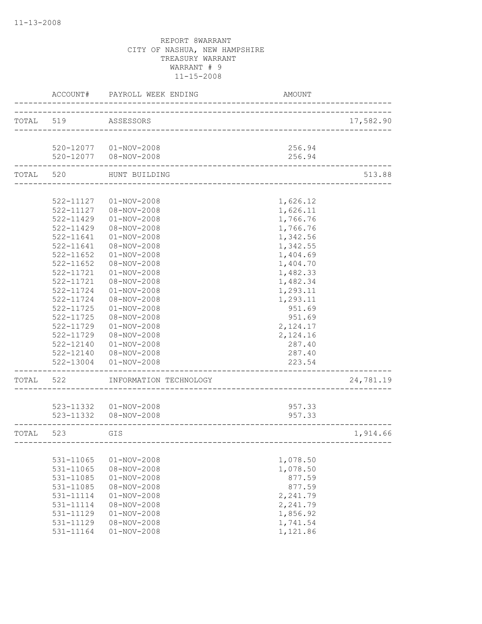|           | ACCOUNT#  | PAYROLL WEEK ENDING    | AMOUNT                          |           |
|-----------|-----------|------------------------|---------------------------------|-----------|
| TOTAL 519 |           | ASSESSORS              | _____________________________   | 17,582.90 |
|           |           | 520-12077  01-NOV-2008 | 256.94                          |           |
|           |           | 520-12077  08-NOV-2008 | 256.94                          |           |
| TOTAL     | 520       | HUNT BUILDING          | _______________________________ | 513.88    |
|           |           |                        |                                 |           |
|           | 522-11127 | $01 - NOV - 2008$      | 1,626.12                        |           |
|           | 522-11127 | 08-NOV-2008            | 1,626.11                        |           |
|           | 522-11429 | $01 - NOV - 2008$      | 1,766.76                        |           |
|           | 522-11429 | 08-NOV-2008            | 1,766.76                        |           |
|           | 522-11641 | $01 - NOV - 2008$      | 1,342.56                        |           |
|           | 522-11641 | $08 - NOV - 2008$      | 1,342.55                        |           |
|           | 522-11652 | $01 - NOV - 2008$      | 1,404.69                        |           |
|           | 522-11652 | 08-NOV-2008            | 1,404.70                        |           |
|           | 522-11721 | $01 - NOV - 2008$      | 1,482.33                        |           |
|           |           |                        | 1,482.34                        |           |
|           | 522-11721 | 08-NOV-2008            |                                 |           |
|           | 522-11724 | $01 - NOV - 2008$      | 1,293.11                        |           |
|           | 522-11724 | 08-NOV-2008            | 1,293.11                        |           |
|           | 522-11725 | $01 - NOV - 2008$      | 951.69                          |           |
|           | 522-11725 | 08-NOV-2008            | 951.69                          |           |
|           | 522-11729 | $01 - NOV - 2008$      | 2,124.17                        |           |
|           | 522-11729 | 08-NOV-2008            | 2,124.16                        |           |
|           | 522-12140 | $01 - NOV - 2008$      | 287.40                          |           |
|           | 522-12140 | 08-NOV-2008            | 287.40                          |           |
|           | 522-13004 | $01 - NOV - 2008$      | 223.54                          |           |
| TOTAL     | 522       | INFORMATION TECHNOLOGY |                                 | 24,781.19 |
|           |           |                        |                                 |           |
|           |           | 523-11332  01-NOV-2008 | 957.33                          |           |
|           |           | 523-11332  08-NOV-2008 | 957.33                          |           |
| TOTAL     | 523       | GIS                    |                                 | 1,914.66  |
|           |           |                        |                                 |           |
|           | 531-11065 | $01 - NOV - 2008$      | 1,078.50                        |           |
|           | 531-11065 | 08-NOV-2008            | 1,078.50                        |           |
|           | 531-11085 | $01 - NOV - 2008$      | 877.59                          |           |
|           | 531-11085 | 08-NOV-2008            | 877.59                          |           |
|           | 531-11114 | $01 - NOV - 2008$      | 2,241.79                        |           |
|           | 531-11114 | $08 - NOV - 2008$      | 2,241.79                        |           |
|           | 531-11129 | $01 - NOV - 2008$      | 1,856.92                        |           |
|           | 531-11129 | $08 - NOV - 2008$      | 1,741.54                        |           |
|           | 531-11164 | $01 - NOV - 2008$      | 1,121.86                        |           |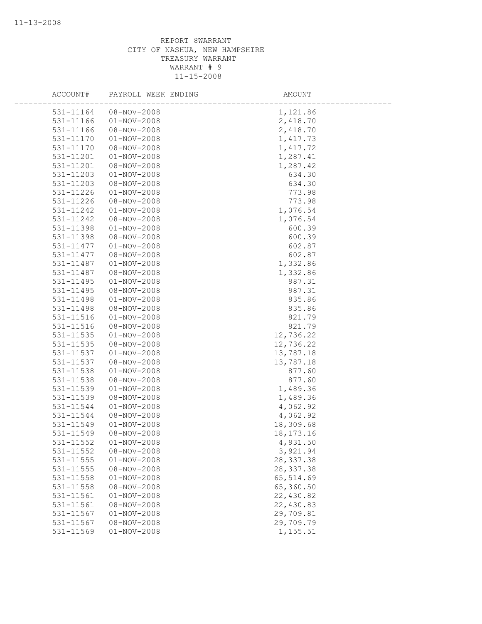| ACCOUNT#  | PAYROLL WEEK ENDING | AMOUNT      |
|-----------|---------------------|-------------|
| 531-11164 | 08-NOV-2008         | 1,121.86    |
| 531-11166 | $01 - NOV - 2008$   | 2,418.70    |
| 531-11166 | 08-NOV-2008         | 2,418.70    |
| 531-11170 | $01 - NOV - 2008$   | 1,417.73    |
| 531-11170 | $08 - NOV - 2008$   | 1, 417.72   |
| 531-11201 | $01 - NOV - 2008$   | 1,287.41    |
| 531-11201 | 08-NOV-2008         | 1,287.42    |
| 531-11203 | $01 - NOV - 2008$   | 634.30      |
| 531-11203 | $08 - NOV - 2008$   | 634.30      |
| 531-11226 | $01 - NOV - 2008$   | 773.98      |
| 531-11226 | $08 - NOV - 2008$   | 773.98      |
| 531-11242 | $01 - NOV - 2008$   | 1,076.54    |
| 531-11242 | 08-NOV-2008         | 1,076.54    |
| 531-11398 | $01 - NOV - 2008$   | 600.39      |
| 531-11398 | 08-NOV-2008         | 600.39      |
| 531-11477 | $01 - NOV - 2008$   | 602.87      |
| 531-11477 | 08-NOV-2008         | 602.87      |
| 531-11487 | $01 - NOV - 2008$   | 1,332.86    |
| 531-11487 | 08-NOV-2008         | 1,332.86    |
| 531-11495 | $01 - NOV - 2008$   | 987.31      |
| 531-11495 | 08-NOV-2008         | 987.31      |
| 531-11498 | $01 - NOV - 2008$   | 835.86      |
| 531-11498 | 08-NOV-2008         | 835.86      |
| 531-11516 | $01 - NOV - 2008$   | 821.79      |
| 531-11516 | $08 - NOV - 2008$   | 821.79      |
| 531-11535 | $01 - NOV - 2008$   | 12,736.22   |
| 531-11535 | $08 - NOV - 2008$   | 12,736.22   |
| 531-11537 | $01 - NOV - 2008$   | 13,787.18   |
| 531-11537 | $08 - NOV - 2008$   | 13,787.18   |
| 531-11538 | $01 - NOV - 2008$   | 877.60      |
| 531-11538 | 08-NOV-2008         | 877.60      |
| 531-11539 | $01 - NOV - 2008$   | 1,489.36    |
| 531-11539 | 08-NOV-2008         | 1,489.36    |
| 531-11544 | $01 - NOV - 2008$   | 4,062.92    |
| 531-11544 | 08-NOV-2008         | 4,062.92    |
| 531-11549 | $01 - NOV - 2008$   | 18,309.68   |
| 531-11549 | 08-NOV-2008         | 18, 173. 16 |
| 531-11552 | $01 - NOV - 2008$   | 4,931.50    |
| 531-11552 | 08-NOV-2008         | 3,921.94    |
| 531-11555 | $01 - NOV - 2008$   | 28, 337.38  |
| 531-11555 | $08 - NOV - 2008$   | 28, 337.38  |
| 531-11558 | $01 - NOV - 2008$   | 65,514.69   |
| 531-11558 | $08 - NOV - 2008$   | 65,360.50   |
| 531-11561 | $01 - NOV - 2008$   | 22,430.82   |
| 531-11561 | 08-NOV-2008         | 22,430.83   |
| 531-11567 | $01 - NOV - 2008$   | 29,709.81   |
| 531-11567 | 08-NOV-2008         | 29,709.79   |
| 531-11569 | $01 - NOV - 2008$   | 1,155.51    |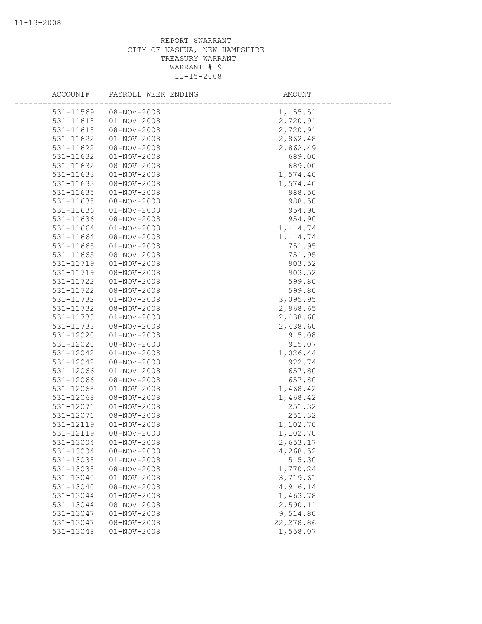| ACCOUNT#  | PAYROLL WEEK ENDING | AMOUNT     |
|-----------|---------------------|------------|
| 531-11569 | 08-NOV-2008         | 1,155.51   |
| 531-11618 | $01 - NOV - 2008$   | 2,720.91   |
| 531-11618 | 08-NOV-2008         | 2,720.91   |
| 531-11622 | $01 - NOV - 2008$   | 2,862.48   |
| 531-11622 | 08-NOV-2008         | 2,862.49   |
| 531-11632 | $01 - NOV - 2008$   | 689.00     |
| 531-11632 | 08-NOV-2008         | 689.00     |
| 531-11633 | $01 - NOV - 2008$   | 1,574.40   |
| 531-11633 | 08-NOV-2008         | 1,574.40   |
| 531-11635 | $01 - NOV - 2008$   | 988.50     |
| 531-11635 | $08 - NOV - 2008$   | 988.50     |
| 531-11636 | $01 - NOV - 2008$   | 954.90     |
| 531-11636 | 08-NOV-2008         | 954.90     |
| 531-11664 | $01 - NOV - 2008$   | 1, 114.74  |
| 531-11664 | 08-NOV-2008         | 1, 114.74  |
| 531-11665 | $01 - NOV - 2008$   | 751.95     |
| 531-11665 | 08-NOV-2008         | 751.95     |
| 531-11719 | $01 - NOV - 2008$   | 903.52     |
| 531-11719 | 08-NOV-2008         | 903.52     |
| 531-11722 | $01 - NOV - 2008$   | 599.80     |
| 531-11722 | 08-NOV-2008         | 599.80     |
| 531-11732 | $01 - NOV - 2008$   | 3,095.95   |
| 531-11732 | 08-NOV-2008         | 2,968.65   |
| 531-11733 | $01 - NOV - 2008$   | 2,438.60   |
| 531-11733 | 08-NOV-2008         | 2,438.60   |
| 531-12020 | $01 - NOV - 2008$   | 915.08     |
| 531-12020 | 08-NOV-2008         | 915.07     |
| 531-12042 | $01 - NOV - 2008$   | 1,026.44   |
| 531-12042 | $08 - NOV - 2008$   | 922.74     |
| 531-12066 | $01 - NOV - 2008$   | 657.80     |
| 531-12066 | 08-NOV-2008         | 657.80     |
| 531-12068 | $01 - NOV - 2008$   | 1,468.42   |
| 531-12068 | 08-NOV-2008         | 1,468.42   |
| 531-12071 | $01 - NOV - 2008$   | 251.32     |
| 531-12071 | 08-NOV-2008         | 251.32     |
| 531-12119 | $01 - NOV - 2008$   | 1,102.70   |
| 531-12119 | 08-NOV-2008         | 1,102.70   |
| 531-13004 | $01 - NOV - 2008$   | 2,653.17   |
| 531-13004 | 08-NOV-2008         | 4,268.52   |
| 531-13038 | $01 - NOV - 2008$   | 515.30     |
| 531-13038 | 08-NOV-2008         | 1,770.24   |
| 531-13040 | $01 - NOV - 2008$   | 3,719.61   |
| 531-13040 | 08-NOV-2008         | 4,916.14   |
| 531-13044 | $01 - NOV - 2008$   | 1,463.78   |
| 531-13044 | 08-NOV-2008         | 2,590.11   |
| 531-13047 | $01 - NOV - 2008$   | 9,514.80   |
| 531-13047 | 08-NOV-2008         | 22, 278.86 |
| 531-13048 | $01 - NOV - 2008$   | 1,558.07   |
|           |                     |            |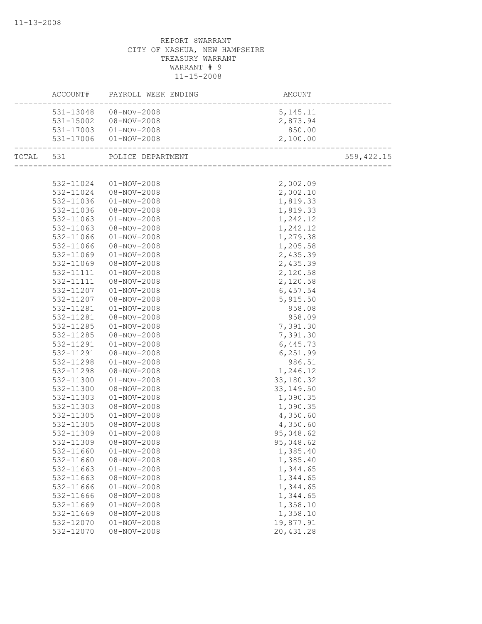|           |           | ACCOUNT# PAYROLL WEEK ENDING | AMOUNT                                   |             |
|-----------|-----------|------------------------------|------------------------------------------|-------------|
|           |           | 531-13048  08-NOV-2008       | 5, 145. 11                               |             |
|           |           | 531-15002  08-NOV-2008       | 2,873.94                                 |             |
|           |           | 531-17003  01-NOV-2008       | 850.00                                   |             |
|           |           | 531-17006 01-NOV-2008        | 2,100.00                                 |             |
| TOTAL 531 |           | POLICE DEPARTMENT            | r<br>----------------------------------- | 559, 422.15 |
|           |           |                              |                                          |             |
|           |           | 532-11024  01-NOV-2008       | 2,002.09                                 |             |
|           | 532-11024 | $08 - NOV - 2008$            | 2,002.10                                 |             |
|           | 532-11036 | $01 - NOV - 2008$            | 1,819.33                                 |             |
|           | 532-11036 | 08-NOV-2008                  | 1,819.33                                 |             |
|           | 532-11063 | $01 - NOV - 2008$            | 1,242.12                                 |             |
|           | 532-11063 | 08-NOV-2008                  | 1,242.12                                 |             |
|           | 532-11066 | $01 - NOV - 2008$            | 1,279.38                                 |             |
|           | 532-11066 | 08-NOV-2008                  | 1,205.58                                 |             |
|           | 532-11069 | $01 - NOV - 2008$            | 2,435.39                                 |             |
|           | 532-11069 | 08-NOV-2008                  | 2,435.39                                 |             |
|           | 532-11111 | $01 - NOV - 2008$            | 2,120.58                                 |             |
|           | 532-11111 | 08-NOV-2008                  | 2,120.58                                 |             |
|           | 532-11207 | 01-NOV-2008                  | 6,457.54                                 |             |
|           | 532-11207 | 08-NOV-2008                  | 5,915.50                                 |             |
|           | 532-11281 | $01 - NOV - 2008$            | 958.08                                   |             |
|           | 532-11281 | 08-NOV-2008                  | 958.09                                   |             |
|           | 532-11285 | $01 - NOV - 2008$            | 7,391.30                                 |             |
|           | 532-11285 | 08-NOV-2008                  | 7,391.30                                 |             |
|           | 532-11291 | $01 - NOV - 2008$            | 6,445.73                                 |             |
|           | 532-11291 | 08-NOV-2008                  | 6,251.99                                 |             |
|           | 532-11298 | 01-NOV-2008                  | 986.51                                   |             |
|           | 532-11298 | 08-NOV-2008                  | 1,246.12                                 |             |
|           | 532-11300 | $01 - NOV - 2008$            | 33,180.32                                |             |
|           | 532-11300 | 08-NOV-2008                  | 33, 149.50                               |             |
|           | 532-11303 | $01 - NOV - 2008$            | 1,090.35                                 |             |
|           | 532-11303 | 08-NOV-2008                  | 1,090.35                                 |             |
|           | 532-11305 | $01 - NOV - 2008$            | 4,350.60                                 |             |
|           | 532-11305 | 08-NOV-2008                  | 4,350.60                                 |             |
|           | 532-11309 | $01 - NOV - 2008$            | 95,048.62                                |             |
|           | 532-11309 | 08-NOV-2008                  | 95,048.62                                |             |
|           | 532-11660 | $01 - NOV - 2008$            | 1,385.40                                 |             |
|           | 532-11660 | $08 - NOV - 2008$            | 1,385.40                                 |             |
|           | 532-11663 | $01 - NOV - 2008$            | 1,344.65                                 |             |
|           | 532-11663 | 08-NOV-2008                  | 1,344.65                                 |             |
|           | 532-11666 | $01 - NOV - 2008$            | 1,344.65                                 |             |
|           | 532-11666 | $08 - NOV - 2008$            | 1,344.65                                 |             |
|           | 532-11669 | $01 - NOV - 2008$            | 1,358.10                                 |             |
|           | 532-11669 | 08-NOV-2008                  | 1,358.10                                 |             |
|           | 532-12070 | $01 - NOV - 2008$            | 19,877.91                                |             |
|           | 532-12070 | $08 - NOV - 2008$            | 20,431.28                                |             |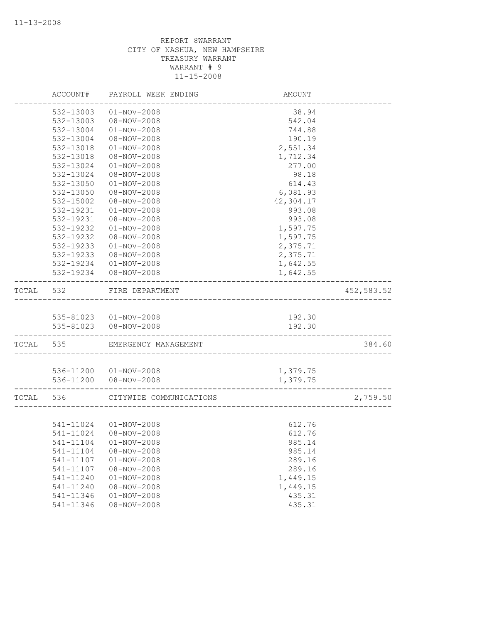|       | ACCOUNT#               | PAYROLL WEEK ENDING                              | AMOUNT               |            |
|-------|------------------------|--------------------------------------------------|----------------------|------------|
|       | 532-13003              | $01 - NOV - 2008$                                | 38.94                |            |
|       | 532-13003              | $08 - NOV - 2008$                                | 542.04               |            |
|       | 532-13004              | $01 - NOV - 2008$                                | 744.88               |            |
|       | 532-13004              | 08-NOV-2008                                      | 190.19               |            |
|       | 532-13018              | $01 - NOV - 2008$                                | 2,551.34             |            |
|       | 532-13018              | $08 - NOV - 2008$                                | 1,712.34             |            |
|       | 532-13024              | $01 - NOV - 2008$                                | 277.00               |            |
|       | 532-13024              | 08-NOV-2008                                      | 98.18                |            |
|       | 532-13050              | $01 - NOV - 2008$                                | 614.43               |            |
|       | 532-13050              | 08-NOV-2008                                      | 6,081.93             |            |
|       | 532-15002              | $08 - NOV - 2008$                                | 42,304.17            |            |
|       | 532-19231              | $01 - NOV - 2008$                                | 993.08               |            |
|       | 532-19231              | 08-NOV-2008                                      | 993.08               |            |
|       | 532-19232              | $01 - NOV - 2008$                                | 1,597.75             |            |
|       | 532-19232              | 08-NOV-2008                                      | 1,597.75             |            |
|       | 532-19233              | $01 - NOV - 2008$                                | 2,375.71             |            |
|       | 532-19233              | 08-NOV-2008                                      | 2,375.71             |            |
|       | 532-19234              | $01 - NOV - 2008$                                | 1,642.55             |            |
|       | 532-19234              | 08-NOV-2008                                      | 1,642.55             |            |
| TOTAL | 532                    | FIRE DEPARTMENT<br>----------------------------  |                      | 452,583.52 |
|       |                        |                                                  |                      |            |
|       |                        | 535-81023  01-NOV-2008                           | 192.30               |            |
|       |                        | 535-81023  08-NOV-2008                           | 192.30               |            |
|       | TOTAL 535              | EMERGENCY MANAGEMENT                             |                      | 384.60     |
|       |                        |                                                  |                      |            |
|       |                        | 536-11200  01-NOV-2008<br>536-11200  08-NOV-2008 | 1,379.75<br>1,379.75 |            |
|       |                        |                                                  |                      |            |
| TOTAL | 536                    | CITYWIDE COMMUNICATIONS                          |                      | 2,759.50   |
|       |                        |                                                  |                      |            |
|       | 541-11024              | 541-11024 01-NOV-2008<br>08-NOV-2008             | 612.76<br>612.76     |            |
|       |                        |                                                  |                      |            |
|       | 541-11104              | $01 - NOV - 2008$                                | 985.14               |            |
|       | 541-11104              | 08-NOV-2008<br>$01 - NOV - 2008$                 | 985.14<br>289.16     |            |
|       | 541-11107<br>541-11107 | $08 - NOV - 2008$                                | 289.16               |            |
|       | 541-11240              | $01 - NOV - 2008$                                | 1,449.15             |            |
|       | 541-11240              | $08 - NOV - 2008$                                | 1,449.15             |            |
|       | 541-11346              | $01 - NOV - 2008$                                | 435.31               |            |
|       | 541-11346              | $08 - NOV - 2008$                                | 435.31               |            |
|       |                        |                                                  |                      |            |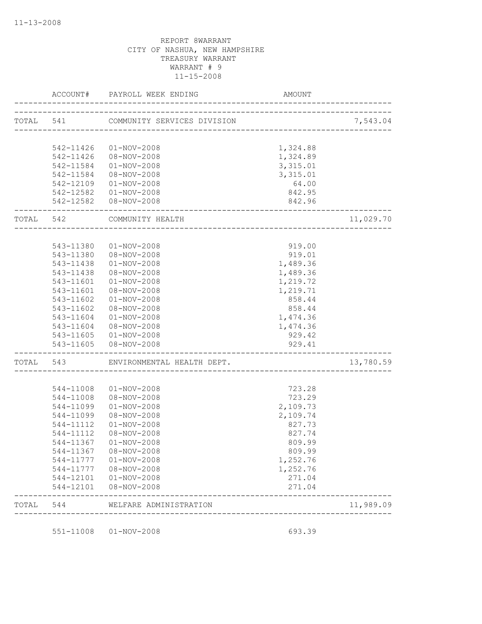|           | ACCOUNT#               | PAYROLL WEEK ENDING         | AMOUNT                       |           |
|-----------|------------------------|-----------------------------|------------------------------|-----------|
| TOTAL 541 |                        | COMMUNITY SERVICES DIVISION | ---------------------------- | 7,543.04  |
|           |                        |                             |                              |           |
|           | 542-11426              | 01-NOV-2008                 | 1,324.88                     |           |
|           |                        | 542-11426  08-NOV-2008      | 1,324.89                     |           |
|           | 542-11584              | $01 - NOV - 2008$           | 3,315.01                     |           |
|           | 542-11584              | 08-NOV-2008                 | 3,315.01                     |           |
|           |                        | 542-12109  01-NOV-2008      | 64.00                        |           |
|           |                        | 542-12582  01-NOV-2008      | 842.95                       |           |
|           |                        | 542-12582  08-NOV-2008      | 842.96                       |           |
| TOTAL 542 |                        | COMMUNITY HEALTH            |                              | 11,029.70 |
|           |                        |                             |                              |           |
|           | 543-11380              | $01 - NOV - 2008$           | 919.00                       |           |
|           | 543-11380              | 08-NOV-2008                 | 919.01                       |           |
|           | 543-11438              | $01 - NOV - 2008$           | 1,489.36                     |           |
|           | 543-11438              | 08-NOV-2008                 | 1,489.36                     |           |
|           | 543-11601              | $01 - NOV - 2008$           | 1,219.72                     |           |
|           | 543-11601              | 08-NOV-2008                 | 1,219.71                     |           |
|           | 543-11602              | $01 - NOV - 2008$           | 858.44                       |           |
|           | 543-11602              | 08-NOV-2008                 | 858.44                       |           |
|           | 543-11604              | $01 - NOV - 2008$           | 1,474.36                     |           |
|           | 543-11604              | 08-NOV-2008                 | 1,474.36                     |           |
|           |                        | 543-11605  01-NOV-2008      | 929.42                       |           |
|           |                        | 543-11605 08-NOV-2008       | 929.41                       |           |
| TOTAL 543 |                        | ENVIRONMENTAL HEALTH DEPT.  |                              | 13,780.59 |
|           |                        |                             |                              |           |
|           | 544-11008              | $01 - NOV - 2008$           | 723.28                       |           |
|           | 544-11008              | 08-NOV-2008                 | 723.29                       |           |
|           | 544-11099              | $01 - NOV - 2008$           | 2,109.73                     |           |
|           | 544-11099              | 08-NOV-2008                 | 2,109.74                     |           |
|           | 544-11112              | $01 - NOV - 2008$           | 827.73                       |           |
|           | 544-11112              | 08-NOV-2008                 | 827.74                       |           |
|           |                        | 544-11367  01-NOV-2008      | 809.99                       |           |
|           | 544-11367              | 08-NOV-2008                 | 809.99                       |           |
|           | 544-11777              | 01-NOV-2008                 | 1,252.76                     |           |
|           | 544-11777              | 08-NOV-2008                 | 1,252.76                     |           |
|           | 544-12101<br>544-12101 | 01-NOV-2008<br>08-NOV-2008  | 271.04<br>271.04             |           |
| TOTAL     | 544                    | WELFARE ADMINISTRATION      |                              | 11,989.09 |

551-11008 01-NOV-2008 693.39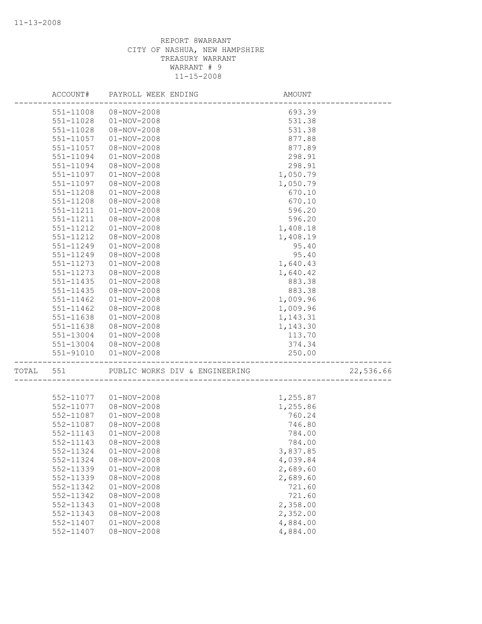|       | ACCOUNT#      | PAYROLL WEEK ENDING            | AMOUNT   |           |
|-------|---------------|--------------------------------|----------|-----------|
|       | 551-11008     | 08-NOV-2008                    | 693.39   |           |
|       | 551-11028     | $01 - NOV - 2008$              | 531.38   |           |
|       | 551-11028     | $08 - NOV - 2008$              | 531.38   |           |
|       | 551-11057     | $01 - NOV - 2008$              | 877.88   |           |
|       | 551-11057     | 08-NOV-2008                    | 877.89   |           |
|       | 551-11094     | $01 - NOV - 2008$              | 298.91   |           |
|       | 551-11094     | $08 - NOV - 2008$              | 298.91   |           |
|       | 551-11097     | $01 - NOV - 2008$              | 1,050.79 |           |
|       | 551-11097     | 08-NOV-2008                    | 1,050.79 |           |
|       | 551-11208     | $01 - NOV - 2008$              | 670.10   |           |
|       | 551-11208     | 08-NOV-2008                    | 670.10   |           |
|       | 551-11211     | $01 - NOV - 2008$              | 596.20   |           |
|       | 551-11211     | 08-NOV-2008                    | 596.20   |           |
|       | 551-11212     | $01 - NOV - 2008$              | 1,408.18 |           |
|       | 551-11212     | 08-NOV-2008                    | 1,408.19 |           |
|       | 551-11249     | $01 - NOV - 2008$              | 95.40    |           |
|       | 551-11249     | $08 - NOV - 2008$              | 95.40    |           |
|       | 551-11273     | $01 - NOV - 2008$              | 1,640.43 |           |
|       | 551-11273     | 08-NOV-2008                    | 1,640.42 |           |
|       | 551-11435     | $01 - NOV - 2008$              | 883.38   |           |
|       | $551 - 11435$ | $08 - NOV - 2008$              | 883.38   |           |
|       | 551-11462     | $01 - NOV - 2008$              | 1,009.96 |           |
|       | 551-11462     | 08-NOV-2008                    | 1,009.96 |           |
|       | 551-11638     | $01 - NOV - 2008$              | 1,143.31 |           |
|       | 551-11638     | 08-NOV-2008                    | 1,143.30 |           |
|       | 551-13004     | $01 - NOV - 2008$              | 113.70   |           |
|       |               | 551-13004 08-NOV-2008          | 374.34   |           |
|       | 551-91010     | $01 - NOV - 2008$              | 250.00   |           |
| TOTAL | 551           | PUBLIC WORKS DIV & ENGINEERING |          | 22,536.66 |
|       |               |                                |          |           |
|       |               | 552-11077  01-NOV-2008         | 1,255.87 |           |
|       | 552-11077     | 08-NOV-2008                    | 1,255.86 |           |
|       | 552-11087     | $01 - NOV - 2008$              | 760.24   |           |
|       | 552-11087     | 08-NOV-2008                    | 746.80   |           |
|       | 552-11143     | $01 - NOV - 2008$              | 784.00   |           |
|       |               | 552-11143  08-NOV-2008         | 784.00   |           |
|       | 552-11324     | $01 - NOV - 2008$              | 3,837.85 |           |
|       | 552-11324     | $08 - NOV - 2008$              | 4,039.84 |           |
|       | 552-11339     | $01 - NOV - 2008$              | 2,689.60 |           |
|       | 552-11339     | $08 - NOV - 2008$              | 2,689.60 |           |
|       | 552-11342     | $01 - NOV - 2008$              | 721.60   |           |
|       | 552-11342     | $08 - NOV - 2008$              | 721.60   |           |
|       | 552-11343     | $01 - NOV - 2008$              | 2,358.00 |           |
|       | 552-11343     | 08-NOV-2008                    | 2,352.00 |           |
|       | 552-11407     | $01 - NOV - 2008$              | 4,884.00 |           |
|       | 552-11407     | $08 - NOV - 2008$              | 4,884.00 |           |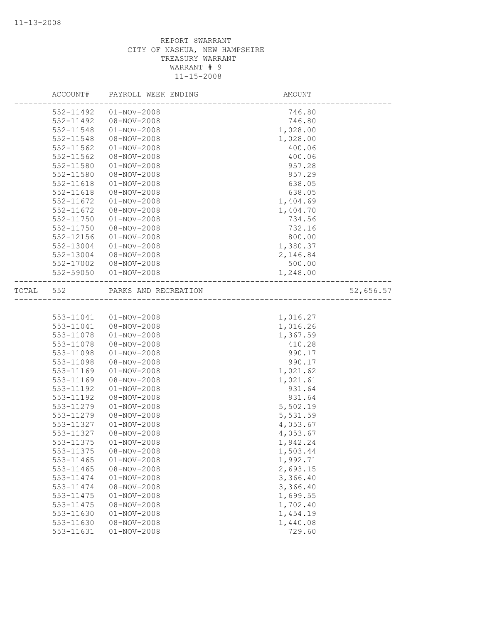|       | ACCOUNT#  | PAYROLL WEEK ENDING  | AMOUNT   |           |
|-------|-----------|----------------------|----------|-----------|
|       | 552-11492 | $01 - NOV - 2008$    | 746.80   |           |
|       | 552-11492 | $08 - NOV - 2008$    | 746.80   |           |
|       | 552-11548 | $01 - NOV - 2008$    | 1,028.00 |           |
|       | 552-11548 | 08-NOV-2008          | 1,028.00 |           |
|       | 552-11562 | $01 - NOV - 2008$    | 400.06   |           |
|       | 552-11562 | 08-NOV-2008          | 400.06   |           |
|       | 552-11580 | $01 - NOV - 2008$    | 957.28   |           |
|       | 552-11580 | 08-NOV-2008          | 957.29   |           |
|       | 552-11618 | $01 - NOV - 2008$    | 638.05   |           |
|       | 552-11618 | $08 - NOV - 2008$    | 638.05   |           |
|       | 552-11672 | $01 - NOV - 2008$    | 1,404.69 |           |
|       | 552-11672 | 08-NOV-2008          | 1,404.70 |           |
|       | 552-11750 | $01 - NOV - 2008$    | 734.56   |           |
|       | 552-11750 | 08-NOV-2008          | 732.16   |           |
|       | 552-12156 | $01 - NOV - 2008$    | 800.00   |           |
|       | 552-13004 | $01 - NOV - 2008$    | 1,380.37 |           |
|       | 552-13004 | 08-NOV-2008          | 2,146.84 |           |
|       | 552-17002 | 08-NOV-2008          | 500.00   |           |
|       | 552-59050 | $01 - NOV - 2008$    | 1,248.00 |           |
| TOTAL | 552       | PARKS AND RECREATION |          | 52,656.57 |
|       |           |                      |          |           |
|       | 553-11041 | $01 - NOV - 2008$    | 1,016.27 |           |
|       | 553-11041 | 08-NOV-2008          | 1,016.26 |           |
|       | 553-11078 | $01 - NOV - 2008$    | 1,367.59 |           |
|       | 553-11078 | 08-NOV-2008          | 410.28   |           |
|       | 553-11098 | $01 - NOV - 2008$    | 990.17   |           |
|       | 553-11098 | 08-NOV-2008          | 990.17   |           |
|       | 553-11169 | $01 - NOV - 2008$    | 1,021.62 |           |
|       | 553-11169 | $08 - NOV - 2008$    | 1,021.61 |           |
|       | 553-11192 | $01 - NOV - 2008$    | 931.64   |           |
|       | 553-11192 | 08-NOV-2008          | 931.64   |           |
|       | 553-11279 | $01 - NOV - 2008$    | 5,502.19 |           |
|       | 553-11279 | 08-NOV-2008          | 5,531.59 |           |
|       | 553-11327 | $01 - NOV - 2008$    | 4,053.67 |           |
|       | 553-11327 | 08-NOV-2008          | 4,053.67 |           |
|       | 553-11375 | $01 - NOV - 2008$    | 1,942.24 |           |
|       | 553-11375 | 08-NOV-2008          | 1,503.44 |           |
|       | 553-11465 | $01 - NOV - 2008$    | 1,992.71 |           |
|       | 553-11465 | $08 - NOV - 2008$    | 2,693.15 |           |
|       | 553-11474 | $01 - NOV - 2008$    | 3,366.40 |           |
|       | 553-11474 | 08-NOV-2008          | 3,366.40 |           |
|       | 553-11475 | $01 - NOV - 2008$    | 1,699.55 |           |
|       | 553-11475 | $08 - NOV - 2008$    | 1,702.40 |           |
|       | 553-11630 | $01 - NOV - 2008$    | 1,454.19 |           |
|       | 553-11630 | $08 - NOV - 2008$    | 1,440.08 |           |
|       | 553-11631 | $01 - NOV - 2008$    | 729.60   |           |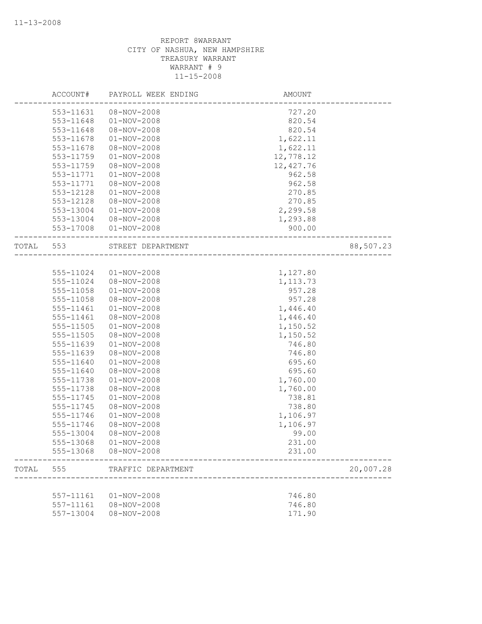|       | ACCOUNT#  | PAYROLL WEEK ENDING | AMOUNT     |           |
|-------|-----------|---------------------|------------|-----------|
|       | 553-11631 | 08-NOV-2008         | 727.20     |           |
|       | 553-11648 | $01 - NOV - 2008$   | 820.54     |           |
|       | 553-11648 | 08-NOV-2008         | 820.54     |           |
|       | 553-11678 | $01 - NOV - 2008$   | 1,622.11   |           |
|       | 553-11678 | 08-NOV-2008         | 1,622.11   |           |
|       | 553-11759 | $01 - NOV - 2008$   | 12,778.12  |           |
|       | 553-11759 | $08 - NOV - 2008$   | 12, 427.76 |           |
|       | 553-11771 | $01 - NOV - 2008$   | 962.58     |           |
|       | 553-11771 | 08-NOV-2008         | 962.58     |           |
|       | 553-12128 | $01 - NOV - 2008$   | 270.85     |           |
|       | 553-12128 | 08-NOV-2008         | 270.85     |           |
|       | 553-13004 | $01 - NOV - 2008$   | 2,299.58   |           |
|       | 553-13004 | 08-NOV-2008         | 1,293.88   |           |
|       | 553-17008 | $01 - NOV - 2008$   | 900.00     |           |
| TOTAL | 553       | STREET DEPARTMENT   |            | 88,507.23 |
|       |           |                     |            |           |
|       | 555-11024 | $01 - NOV - 2008$   | 1,127.80   |           |
|       | 555-11024 | $08 - NOV - 2008$   | 1,113.73   |           |
|       | 555-11058 | $01 - NOV - 2008$   | 957.28     |           |
|       | 555-11058 | 08-NOV-2008         | 957.28     |           |
|       | 555-11461 | $01 - NOV - 2008$   | 1,446.40   |           |
|       | 555-11461 | 08-NOV-2008         | 1,446.40   |           |
|       | 555-11505 | $01 - NOV - 2008$   | 1,150.52   |           |
|       | 555-11505 | 08-NOV-2008         | 1,150.52   |           |
|       | 555-11639 | $01 - NOV - 2008$   | 746.80     |           |
|       | 555-11639 | 08-NOV-2008         | 746.80     |           |
|       | 555-11640 | $01 - NOV - 2008$   | 695.60     |           |
|       | 555-11640 | 08-NOV-2008         | 695.60     |           |
|       | 555-11738 | $01 - NOV - 2008$   | 1,760.00   |           |
|       | 555-11738 | 08-NOV-2008         | 1,760.00   |           |
|       | 555-11745 | $01 - NOV - 2008$   | 738.81     |           |
|       | 555-11745 | 08-NOV-2008         | 738.80     |           |
|       | 555-11746 | $01 - NOV - 2008$   | 1,106.97   |           |
|       | 555-11746 | 08-NOV-2008         | 1,106.97   |           |
|       | 555-13004 | 08-NOV-2008         | 99.00      |           |
|       | 555-13068 | $01 - NOV - 2008$   | 231.00     |           |
|       | 555-13068 | $08 - NOV - 2008$   | 231.00     |           |
| TOTAL | 555       | TRAFFIC DEPARTMENT  |            | 20,007.28 |
|       |           |                     |            |           |
|       | 557-11161 | $01 - NOV - 2008$   | 746.80     |           |
|       | 557-11161 | $08 - NOV - 2008$   | 746.80     |           |
|       | 557-13004 | $08 - NOV - 2008$   | 171.90     |           |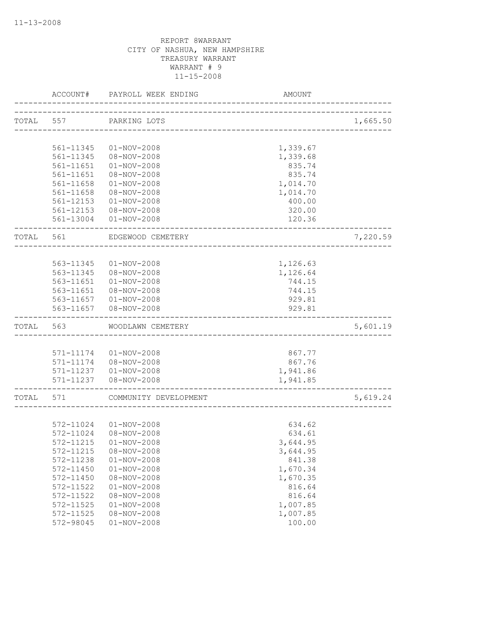|           | ACCOUNT#  | PAYROLL WEEK ENDING    | AMOUNT                         |          |
|-----------|-----------|------------------------|--------------------------------|----------|
| TOTAL 557 |           | PARKING LOTS           | ------------------------------ | 1,665.50 |
|           |           |                        |                                |          |
|           | 561-11345 | $01 - NOV - 2008$      | 1,339.67                       |          |
|           | 561-11345 | 08-NOV-2008            | 1,339.68                       |          |
|           | 561-11651 | $01 - NOV - 2008$      | 835.74                         |          |
|           | 561-11651 | 08-NOV-2008            | 835.74                         |          |
|           | 561-11658 | $01 - NOV - 2008$      | 1,014.70                       |          |
|           | 561-11658 | 08-NOV-2008            | 1,014.70                       |          |
|           | 561-12153 | $01 - NOV - 2008$      | 400.00                         |          |
|           | 561-12153 | 08-NOV-2008            | 320.00                         |          |
|           | 561-13004 | $01 - NOV - 2008$      | 120.36                         |          |
| TOTAL     | 561       | EDGEWOOD CEMETERY      |                                | 7,220.59 |
|           |           |                        |                                |          |
|           | 563-11345 | $01 - NOV - 2008$      | 1,126.63                       |          |
|           | 563-11345 | 08-NOV-2008            | 1,126.64                       |          |
|           | 563-11651 | $01 - NOV - 2008$      | 744.15                         |          |
|           | 563-11651 | 08-NOV-2008            | 744.15                         |          |
|           |           | 563-11657 01-NOV-2008  | 929.81                         |          |
|           | 563-11657 | 08-NOV-2008            | 929.81                         |          |
| TOTAL     | 563       | WOODLAWN CEMETERY      |                                | 5,601.19 |
|           |           |                        |                                |          |
|           | 571-11174 | $01 - NOV - 2008$      | 867.77                         |          |
|           | 571-11174 | 08-NOV-2008            | 867.76                         |          |
|           |           | 571-11237  01-NOV-2008 | 1,941.86                       |          |
|           | 571-11237 | 08-NOV-2008            | 1,941.85                       |          |
| TOTAL     | 571       | COMMUNITY DEVELOPMENT  |                                | 5,619.24 |
|           |           |                        |                                |          |
|           | 572-11024 | $01 - NOV - 2008$      | 634.62                         |          |
|           | 572-11024 | 08-NOV-2008            | 634.61                         |          |
|           | 572-11215 | $01 - NOV - 2008$      | 3,644.95                       |          |
|           | 572-11215 | 08-NOV-2008            | 3,644.95                       |          |
|           | 572-11238 | $01 - NOV - 2008$      | 841.38                         |          |
|           | 572-11450 | $01 - NOV - 2008$      | 1,670.34                       |          |
|           | 572-11450 | $08 - NOV - 2008$      | 1,670.35                       |          |
|           | 572-11522 | $01 - NOV - 2008$      | 816.64                         |          |
|           | 572-11522 | 08-NOV-2008            | 816.64                         |          |
|           | 572-11525 | $01 - NOV - 2008$      | 1,007.85                       |          |
|           | 572-11525 | 08-NOV-2008            | 1,007.85                       |          |
|           | 572-98045 | $01 - NOV - 2008$      | 100.00                         |          |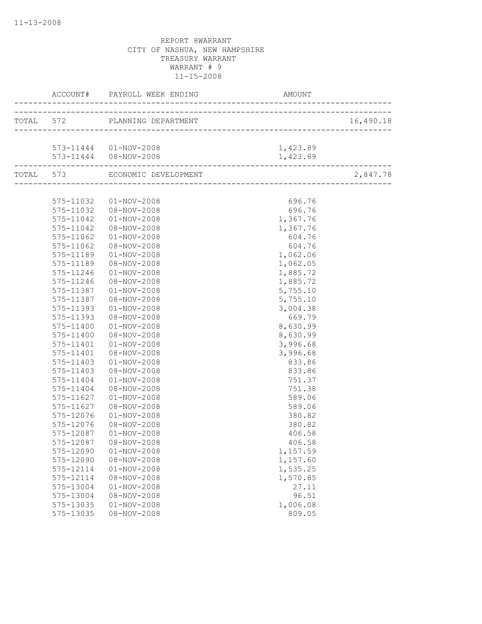|           | TOTAL 572 PLANNING DEPARTMENT  |          | 16,490.18 |
|-----------|--------------------------------|----------|-----------|
|           |                                |          |           |
|           | 573-11444  01-NOV-2008         | 1,423.89 |           |
|           | 573-11444  08-NOV-2008         | 1,423.89 |           |
|           | TOTAL 573 ECONOMIC DEVELOPMENT |          | 2,847.78  |
|           |                                |          |           |
| 575-11032 | $01 - NOV - 2008$              | 696.76   |           |
|           | 575-11032  08-NOV-2008         | 696.76   |           |
| 575-11042 | $01 - NOV - 2008$              | 1,367.76 |           |
| 575-11042 | 08-NOV-2008                    | 1,367.76 |           |
| 575-11062 | $01 - NOV - 2008$              | 604.76   |           |
| 575-11062 | 08-NOV-2008                    | 604.76   |           |
| 575-11189 | $01 - NOV - 2008$              | 1,062.06 |           |
| 575-11189 | 08-NOV-2008                    | 1,062.05 |           |
| 575-11246 | $01 - NOV - 2008$              | 1,885.72 |           |
| 575-11246 | $08 - NOV - 2008$              | 1,885.72 |           |
| 575-11387 | $01 - NOV - 2008$              | 5,755.10 |           |
| 575-11387 | 08-NOV-2008                    | 5,755.10 |           |
| 575-11393 | $01 - NOV - 2008$              | 3,004.38 |           |
| 575-11393 | 08-NOV-2008                    | 669.79   |           |
| 575-11400 | $01 - NOV - 2008$              | 8,630.99 |           |
| 575-11400 | 08-NOV-2008                    | 8,630.99 |           |
| 575-11401 | $01 - NOV - 2008$              | 3,996.68 |           |
| 575-11401 | 08-NOV-2008                    | 3,996.68 |           |
| 575-11403 | $01 - NOV - 2008$              | 833.86   |           |
| 575-11403 | 08-NOV-2008                    | 833.86   |           |
| 575-11404 | $01 - NOV - 2008$              | 751.37   |           |
| 575-11404 | 08-NOV-2008                    | 751.38   |           |
| 575-11627 | $01 - NOV - 2008$              | 589.06   |           |
| 575-11627 | $08 - NOV - 2008$              | 589.06   |           |
| 575-12076 | $01 - NOV - 2008$              | 380.82   |           |
| 575-12076 | 08-NOV-2008                    | 380.82   |           |
| 575-12087 | $01 - NOV - 2008$              | 406.58   |           |
| 575-12087 | 08-NOV-2008                    | 406.58   |           |
| 575-12090 | $01 - NOV - 2008$              | 1,157.59 |           |
| 575-12090 | $08 - NOV - 2008$              | 1,157.60 |           |
| 575-12114 | $01 - NOV - 2008$              | 1,535.25 |           |
| 575-12114 | $08 - NOV - 2008$              | 1,570.85 |           |
| 575-13004 | $01 - NOV - 2008$              | 27.11    |           |
| 575-13004 | 08-NOV-2008                    | 96.51    |           |
| 575-13035 | $01 - NOV - 2008$              | 1,006.08 |           |
| 575-13035 | $08 - NOV - 2008$              | 809.05   |           |
|           |                                |          |           |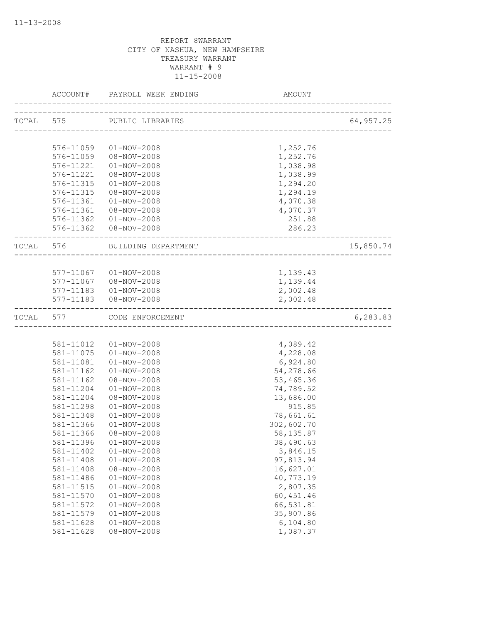|           | ACCOUNT#  | PAYROLL WEEK ENDING        | AMOUNT                                |           |
|-----------|-----------|----------------------------|---------------------------------------|-----------|
|           |           | TOTAL 575 PUBLIC LIBRARIES | ------------------------------------- | 64,957.25 |
|           |           |                            |                                       |           |
|           | 576-11059 | 01-NOV-2008                | 1,252.76                              |           |
|           | 576-11059 | 08-NOV-2008                | 1,252.76                              |           |
|           | 576-11221 | $01 - NOV - 2008$          | 1,038.98                              |           |
|           | 576-11221 | 08-NOV-2008                | 1,038.99                              |           |
|           | 576-11315 | $01 - NOV - 2008$          | 1,294.20                              |           |
|           | 576-11315 | 08-NOV-2008                | 1,294.19                              |           |
|           | 576-11361 | $01 - NOV - 2008$          | 4,070.38                              |           |
|           | 576-11361 | 08-NOV-2008                | 4,070.37                              |           |
|           |           | 576-11362  01-NOV-2008     | 251.88                                |           |
|           |           | 576-11362  08-NOV-2008     | 286.23                                |           |
| TOTAL 576 |           | BUILDING DEPARTMENT        | -------------                         | 15,850.74 |
|           |           |                            | ___________________                   |           |
|           | 577-11067 | 01-NOV-2008                | 1,139.43                              |           |
|           | 577-11067 | 08-NOV-2008                | 1,139.44                              |           |
|           |           | 577-11183  01-NOV-2008     | 2,002.48                              |           |
|           |           | 577-11183  08-NOV-2008     | 2,002.48                              |           |
| TOTAL     | 577       | CODE ENFORCEMENT           |                                       | 6,283.83  |
|           |           |                            |                                       |           |
|           | 581-11012 | $01 - NOV - 2008$          | 4,089.42                              |           |
|           | 581-11075 | $01 - NOV - 2008$          | 4,228.08                              |           |
|           | 581-11081 | $01 - NOV - 2008$          | 6,924.80                              |           |
|           | 581-11162 | $01 - NOV - 2008$          | 54,278.66                             |           |
|           | 581-11162 | 08-NOV-2008                | 53,465.36                             |           |
|           | 581-11204 | $01 - NOV - 2008$          | 74,789.52                             |           |
|           | 581-11204 | 08-NOV-2008                | 13,686.00                             |           |
|           | 581-11298 | $01 - NOV - 2008$          | 915.85                                |           |
|           | 581-11348 | $01 - NOV - 2008$          | 78,661.61                             |           |
|           | 581-11366 | $01 - NOV - 2008$          | 302,602.70                            |           |
|           | 581-11366 | 08-NOV-2008                | 58, 135.87                            |           |
|           | 581-11396 | $01 - NOV - 2008$          | 38,490.63                             |           |
|           | 581-11402 | $01 - NOV - 2008$          | 3,846.15                              |           |
|           | 581-11408 | $01 - NOV - 2008$          | 97,813.94                             |           |
|           | 581-11408 | 08-NOV-2008                | 16,627.01                             |           |
|           | 581-11486 | $01 - NOV - 2008$          | 40,773.19                             |           |
|           | 581-11515 | $01 - NOV - 2008$          | 2,807.35                              |           |
|           | 581-11570 | $01 - NOV - 2008$          | 60, 451.46                            |           |
|           | 581-11572 | $01 - NOV - 2008$          | 66,531.81                             |           |
|           | 581-11579 | $01 - NOV - 2008$          | 35,907.86                             |           |
|           | 581-11628 | $01 - NOV - 2008$          | 6,104.80                              |           |
|           | 581-11628 | 08-NOV-2008                | 1,087.37                              |           |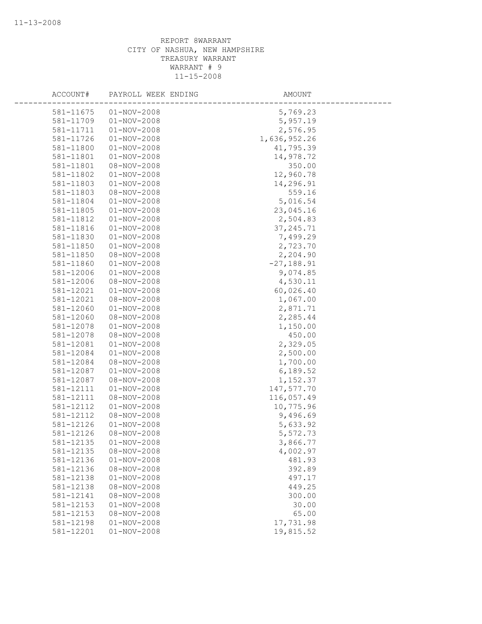| ACCOUNT#               | PAYROLL WEEK ENDING              | AMOUNT             |
|------------------------|----------------------------------|--------------------|
|                        |                                  |                    |
| 581-11675              | $01 - NOV - 2008$                | 5,769.23           |
| 581-11709              | $01 - NOV - 2008$                | 5,957.19           |
| 581-11711              | $01 - NOV - 2008$                | 2,576.95           |
| 581-11726              | $01 - NOV - 2008$                | 1,636,952.26       |
| 581-11800              | $01 - NOV - 2008$                | 41,795.39          |
| 581-11801              | $01 - NOV - 2008$                | 14,978.72          |
| 581-11801              | 08-NOV-2008                      | 350.00             |
| 581-11802              | $01 - NOV - 2008$                | 12,960.78          |
| 581-11803              | $01 - NOV - 2008$                | 14,296.91          |
| 581-11803              | 08-NOV-2008                      | 559.16             |
| 581-11804              | $01 - NOV - 2008$                | 5,016.54           |
| 581-11805              | $01 - NOV - 2008$                | 23,045.16          |
| 581-11812              | $01 - NOV - 2008$                | 2,504.83           |
| 581-11816              | $01 - NOV - 2008$                | 37, 245.71         |
| 581-11830              | $01 - NOV - 2008$                | 7,499.29           |
| 581-11850              | $01 - NOV - 2008$                | 2,723.70           |
| 581-11850              | 08-NOV-2008                      | 2,204.90           |
| 581-11860              | $01 - NOV - 2008$                | $-27, 188.91$      |
| 581-12006              | $01 - NOV - 2008$                | 9,074.85           |
| 581-12006<br>581-12021 | 08-NOV-2008                      | 4,530.11           |
|                        | $01 - NOV - 2008$                | 60,026.40          |
| 581-12021              | 08-NOV-2008                      | 1,067.00           |
| 581-12060              | $01 - NOV - 2008$                | 2,871.71           |
| 581-12060              | 08-NOV-2008                      | 2,285.44           |
| 581-12078              | $01 - NOV - 2008$<br>08-NOV-2008 | 1,150.00           |
| 581-12078<br>581-12081 | $01 - NOV - 2008$                | 450.00<br>2,329.05 |
| 581-12084              | $01 - NOV - 2008$                | 2,500.00           |
| 581-12084              | 08-NOV-2008                      | 1,700.00           |
| 581-12087              | $01 - NOV - 2008$                | 6,189.52           |
| 581-12087              | $08 - NOV - 2008$                | 1,152.37           |
| 581-12111              | $01 - NOV - 2008$                | 147,577.70         |
| 581-12111              | $08 - NOV - 2008$                | 116,057.49         |
| 581-12112              | $01 - NOV - 2008$                | 10,775.96          |
| 581-12112              | 08-NOV-2008                      | 9,496.69           |
| 581-12126              | $01 - NOV - 2008$                | 5,633.92           |
| 581-12126              | 08-NOV-2008                      | 5,572.73           |
| 581-12135              | $01 - NOV - 2008$                | 3,866.77           |
| 581-12135              | 08-NOV-2008                      | 4,002.97           |
| 581-12136              | $01 - NOV - 2008$                | 481.93             |
| 581-12136              | 08-NOV-2008                      | 392.89             |
| 581-12138              | $01 - NOV - 2008$                | 497.17             |
| 581-12138              | $08 - NOV - 2008$                | 449.25             |
| 581-12141              | 08-NOV-2008                      | 300.00             |
| 581-12153              | $01 - NOV - 2008$                | 30.00              |
| 581-12153              | 08-NOV-2008                      | 65.00              |
| 581-12198              | $01 - NOV - 2008$                | 17,731.98          |
| 581-12201              | $01 - NOV - 2008$                | 19,815.52          |
|                        |                                  |                    |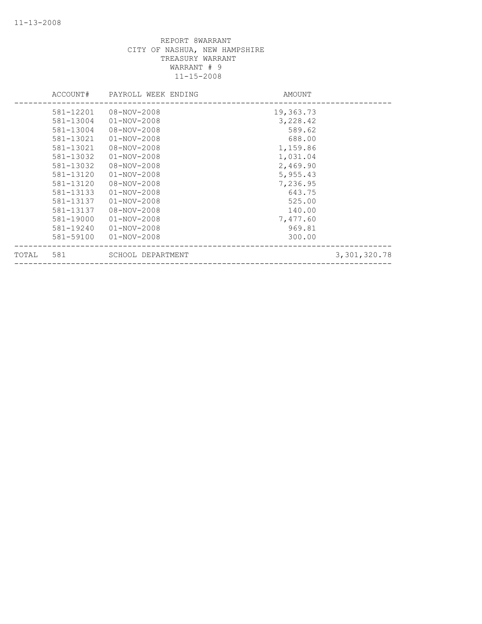|       | ACCOUNT#  | PAYROLL WEEK ENDING | AMOUNT    |              |
|-------|-----------|---------------------|-----------|--------------|
|       | 581-12201 | 08-NOV-2008         | 19,363.73 |              |
|       | 581-13004 | $01 - NOV - 2008$   | 3,228.42  |              |
|       | 581-13004 | 08-NOV-2008         | 589.62    |              |
|       | 581-13021 | $01 - NOV - 2008$   | 688.00    |              |
|       | 581-13021 | 08-NOV-2008         | 1,159.86  |              |
|       | 581-13032 | $01 - NOV - 2008$   | 1,031.04  |              |
|       | 581-13032 | $08 - NOV - 2008$   | 2,469.90  |              |
|       | 581-13120 | $01 - NOV - 2008$   | 5,955.43  |              |
|       | 581-13120 | 08-NOV-2008         | 7,236.95  |              |
|       | 581-13133 | $01 - NOV - 2008$   | 643.75    |              |
|       | 581-13137 | $01 - NOV - 2008$   | 525.00    |              |
|       | 581-13137 | 08-NOV-2008         | 140.00    |              |
|       | 581-19000 | $01 - NOV - 2008$   | 7,477.60  |              |
|       | 581-19240 | $01 - NOV - 2008$   | 969.81    |              |
|       | 581-59100 | $01 - NOV - 2008$   | 300.00    |              |
| TOTAL | 581       | SCHOOL DEPARTMENT   |           | 3,301,320.78 |
|       |           |                     |           |              |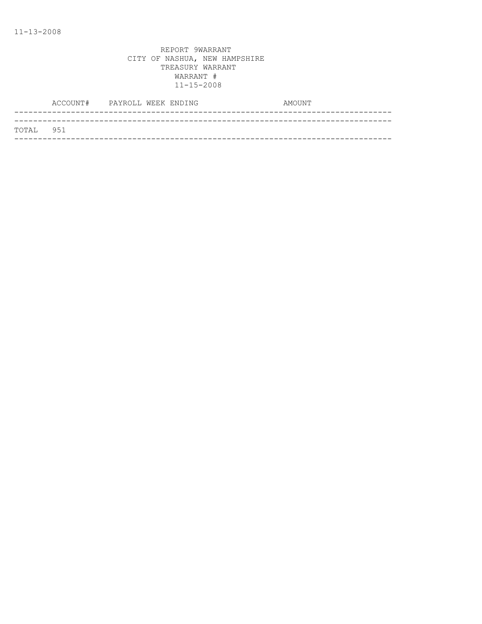|           | ACCOUNT# PAYROLL WEEK ENDING |  |  | AMOUNT |  |
|-----------|------------------------------|--|--|--------|--|
|           |                              |  |  |        |  |
| TOTAL 951 |                              |  |  |        |  |
|           |                              |  |  |        |  |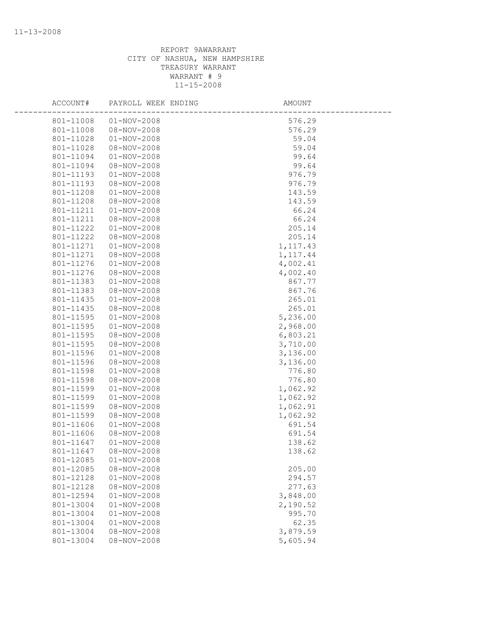| ACCOUNT#  | PAYROLL WEEK ENDING | <b>AMOUNT</b> |
|-----------|---------------------|---------------|
| 801-11008 | $01 - NOV - 2008$   | 576.29        |
| 801-11008 | 08-NOV-2008         | 576.29        |
| 801-11028 | $01 - NOV - 2008$   | 59.04         |
| 801-11028 | $08 - NOV - 2008$   | 59.04         |
| 801-11094 | $01 - NOV - 2008$   | 99.64         |
| 801-11094 | 08-NOV-2008         | 99.64         |
| 801-11193 | $01 - NOV - 2008$   | 976.79        |
| 801-11193 | 08-NOV-2008         | 976.79        |
| 801-11208 | $01 - NOV - 2008$   | 143.59        |
| 801-11208 | 08-NOV-2008         | 143.59        |
| 801-11211 | $01 - NOV - 2008$   | 66.24         |
| 801-11211 | 08-NOV-2008         | 66.24         |
| 801-11222 | $01 - NOV - 2008$   | 205.14        |
| 801-11222 | 08-NOV-2008         | 205.14        |
| 801-11271 | $01 - NOV - 2008$   | 1, 117.43     |
| 801-11271 | 08-NOV-2008         | 1, 117.44     |
| 801-11276 | $01 - NOV - 2008$   | 4,002.41      |
| 801-11276 | 08-NOV-2008         | 4,002.40      |
| 801-11383 | $01 - NOV - 2008$   | 867.77        |
| 801-11383 | 08-NOV-2008         | 867.76        |
| 801-11435 | $01 - NOV - 2008$   | 265.01        |
| 801-11435 | 08-NOV-2008         | 265.01        |
| 801-11595 | $01 - NOV - 2008$   | 5,236.00      |
| 801-11595 | $01 - NOV - 2008$   | 2,968.00      |
| 801-11595 | 08-NOV-2008         | 6,803.21      |
| 801-11595 | 08-NOV-2008         | 3,710.00      |
| 801-11596 | $01 - NOV - 2008$   | 3,136.00      |
| 801-11596 | 08-NOV-2008         | 3,136.00      |
| 801-11598 | $01 - NOV - 2008$   | 776.80        |
| 801-11598 | 08-NOV-2008         | 776.80        |
| 801-11599 | $01 - NOV - 2008$   | 1,062.92      |
| 801-11599 | $01 - NOV - 2008$   | 1,062.92      |
| 801-11599 | 08-NOV-2008         | 1,062.91      |
| 801-11599 | 08-NOV-2008         | 1,062.92      |
| 801-11606 | $01 - NOV - 2008$   | 691.54        |
| 801-11606 | 08-NOV-2008         | 691.54        |
| 801-11647 | $01 - NOV - 2008$   | 138.62        |
| 801-11647 | 08-NOV-2008         | 138.62        |
| 801-12085 | $01 - NOV - 2008$   |               |
| 801-12085 | $08 - NOV - 2008$   | 205.00        |
| 801-12128 | $01 - NOV - 2008$   | 294.57        |
| 801-12128 | 08-NOV-2008         | 277.63        |
| 801-12594 | $01 - NOV - 2008$   | 3,848.00      |
| 801-13004 | $01 - NOV - 2008$   | 2,190.52      |
| 801-13004 | $01 - NOV - 2008$   | 995.70        |
| 801-13004 | $01 - NOV - 2008$   | 62.35         |
| 801-13004 | $08 - NOV - 2008$   | 3,879.59      |
| 801-13004 | $08 - NOV - 2008$   | 5,605.94      |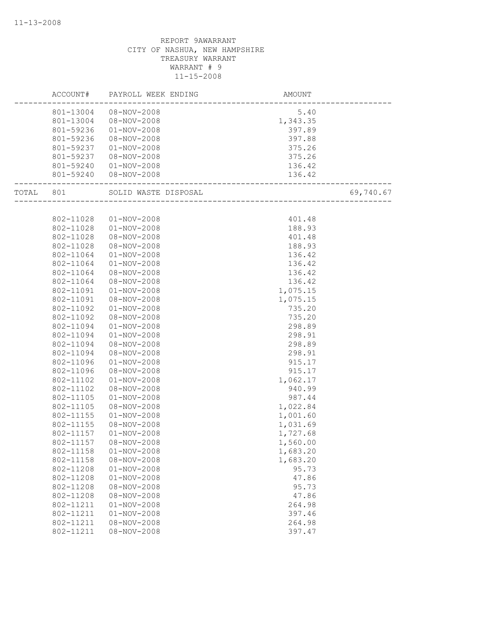|           | ACCOUNT#  | PAYROLL WEEK ENDING   | AMOUNT                                      |           |
|-----------|-----------|-----------------------|---------------------------------------------|-----------|
|           | 801-13004 | 08-NOV-2008           | 5.40                                        |           |
|           | 801-13004 | 08-NOV-2008           | 1,343.35                                    |           |
|           | 801-59236 | $01 - NOV - 2008$     | 397.89                                      |           |
|           | 801-59236 | 08-NOV-2008           | 397.88                                      |           |
|           | 801-59237 | $01 - NOV - 2008$     | 375.26                                      |           |
|           | 801-59237 | 08-NOV-2008           | 375.26                                      |           |
|           | 801-59240 | 01-NOV-2008           | 136.42                                      |           |
|           |           | 801-59240 08-NOV-2008 | 136.42<br>_________________________________ |           |
| TOTAL 801 |           | SOLID WASTE DISPOSAL  | ----<br>------------------------            | 69,740.67 |
|           |           |                       |                                             |           |
|           | 802-11028 | $01 - NOV - 2008$     | 401.48                                      |           |
|           | 802-11028 | $01 - NOV - 2008$     | 188.93                                      |           |
|           | 802-11028 | 08-NOV-2008           | 401.48                                      |           |
|           | 802-11028 | 08-NOV-2008           | 188.93                                      |           |
|           | 802-11064 | $01 - NOV - 2008$     | 136.42                                      |           |
|           | 802-11064 | $01 - NOV - 2008$     | 136.42                                      |           |
|           | 802-11064 | 08-NOV-2008           | 136.42                                      |           |
|           | 802-11064 | $08 - NOV - 2008$     | 136.42                                      |           |
|           | 802-11091 | $01 - NOV - 2008$     | 1,075.15                                    |           |
|           | 802-11091 | 08-NOV-2008           | 1,075.15                                    |           |
|           | 802-11092 | $01 - NOV - 2008$     | 735.20                                      |           |
|           | 802-11092 | 08-NOV-2008           | 735.20                                      |           |
|           | 802-11094 | $01 - NOV - 2008$     | 298.89                                      |           |
|           | 802-11094 | $01 - NOV - 2008$     | 298.91                                      |           |
|           | 802-11094 | 08-NOV-2008           | 298.89                                      |           |
|           | 802-11094 | 08-NOV-2008           | 298.91                                      |           |
|           | 802-11096 | $01 - NOV - 2008$     | 915.17                                      |           |
|           | 802-11096 | $08 - NOV - 2008$     | 915.17                                      |           |
|           | 802-11102 | $01 - NOV - 2008$     | 1,062.17                                    |           |
|           | 802-11102 | 08-NOV-2008           | 940.99                                      |           |
|           | 802-11105 | $01 - NOV - 2008$     | 987.44                                      |           |
|           | 802-11105 | $08 - NOV - 2008$     | 1,022.84                                    |           |
|           | 802-11155 | $01 - NOV - 2008$     | 1,001.60                                    |           |
|           | 802-11155 | 08-NOV-2008           | 1,031.69                                    |           |
|           | 802-11157 | $01 - NOV - 2008$     | 1,727.68                                    |           |
|           | 802-11157 | 08-NOV-2008           | 1,560.00                                    |           |
|           | 802-11158 | $01 - NOV - 2008$     | 1,683.20                                    |           |
|           | 802-11158 | 08-NOV-2008           | 1,683.20                                    |           |
|           | 802-11208 | $01 - NOV - 2008$     | 95.73                                       |           |
|           | 802-11208 | $01 - NOV - 2008$     | 47.86                                       |           |
|           | 802-11208 | 08-NOV-2008           | 95.73                                       |           |
|           | 802-11208 | $08 - NOV - 2008$     | 47.86                                       |           |
|           | 802-11211 | $01 - NOV - 2008$     | 264.98                                      |           |
|           | 802-11211 | $01 - NOV - 2008$     | 397.46                                      |           |
|           | 802-11211 | 08-NOV-2008           | 264.98                                      |           |
|           | 802-11211 | $08 - NOV - 2008$     | 397.47                                      |           |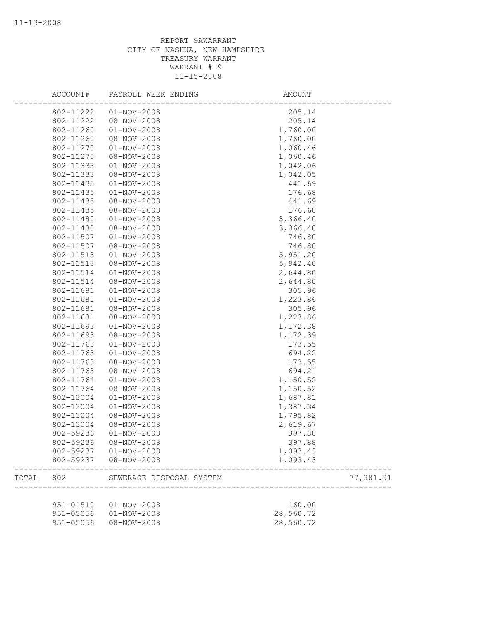|       | ACCOUNT#      | PAYROLL WEEK ENDING      | <b>AMOUNT</b> |           |
|-------|---------------|--------------------------|---------------|-----------|
|       | 802-11222     | $01 - NOV - 2008$        | 205.14        |           |
|       | 802-11222     | 08-NOV-2008              | 205.14        |           |
|       | 802-11260     | $01 - NOV - 2008$        | 1,760.00      |           |
|       | 802-11260     | $08 - NOV - 2008$        | 1,760.00      |           |
|       | 802-11270     | $01 - NOV - 2008$        | 1,060.46      |           |
|       | 802-11270     | $08 - NOV - 2008$        | 1,060.46      |           |
|       | 802-11333     | $01 - NOV - 2008$        | 1,042.06      |           |
|       | 802-11333     | 08-NOV-2008              | 1,042.05      |           |
|       | 802-11435     | $01 - NOV - 2008$        | 441.69        |           |
|       | 802-11435     | $01 - NOV - 2008$        | 176.68        |           |
|       | 802-11435     | 08-NOV-2008              | 441.69        |           |
|       | 802-11435     | $08 - NOV - 2008$        | 176.68        |           |
|       | 802-11480     | $01 - NOV - 2008$        | 3,366.40      |           |
|       | 802-11480     | $08 - NOV - 2008$        | 3,366.40      |           |
|       | 802-11507     | $01 - NOV - 2008$        | 746.80        |           |
|       | 802-11507     | $08 - NOV - 2008$        | 746.80        |           |
|       | 802-11513     | $01 - NOV - 2008$        | 5,951.20      |           |
|       | 802-11513     | $08 - NOV - 2008$        | 5,942.40      |           |
|       | 802-11514     | $01 - NOV - 2008$        | 2,644.80      |           |
|       | 802-11514     | 08-NOV-2008              | 2,644.80      |           |
|       | 802-11681     | $01 - NOV - 2008$        | 305.96        |           |
|       | 802-11681     | $01 - NOV - 2008$        | 1,223.86      |           |
|       | 802-11681     | $08 - NOV - 2008$        | 305.96        |           |
|       | 802-11681     | 08-NOV-2008              | 1,223.86      |           |
|       | 802-11693     | $01 - NOV - 2008$        | 1,172.38      |           |
|       | 802-11693     | 08-NOV-2008              | 1,172.39      |           |
|       | 802-11763     | $01 - NOV - 2008$        | 173.55        |           |
|       | 802-11763     | $01 - NOV - 2008$        | 694.22        |           |
|       | 802-11763     | 08-NOV-2008              | 173.55        |           |
|       | 802-11763     | $08 - NOV - 2008$        | 694.21        |           |
|       | 802-11764     | $01 - NOV - 2008$        | 1,150.52      |           |
|       | 802-11764     | $08 - NOV - 2008$        | 1,150.52      |           |
|       | 802-13004     | $01 - NOV - 2008$        | 1,687.81      |           |
|       | 802-13004     | $01 - NOV - 2008$        | 1,387.34      |           |
|       | 802-13004     | $08 - NOV - 2008$        | 1,795.82      |           |
|       | 802-13004     | $08 - NOV - 2008$        | 2,619.67      |           |
|       | 802-59236     | $01 - NOV - 2008$        | 397.88        |           |
|       | 802-59236     | $08 - NOV - 2008$        | 397.88        |           |
|       | 802-59237     | 01-NOV-2008              | 1,093.43      |           |
|       | 802-59237     | $08 - NOV - 2008$        | 1,093.43      |           |
| TOTAL | 802           | SEWERAGE DISPOSAL SYSTEM |               | 77,381.91 |
|       |               |                          |               |           |
|       | 951-01510     | $01 - NOV - 2008$        | 160.00        |           |
|       | $951 - 05056$ | $01 - NOV - 2008$        | 28,560.72     |           |
|       | 951-05056     | 08-NOV-2008              | 28,560.72     |           |